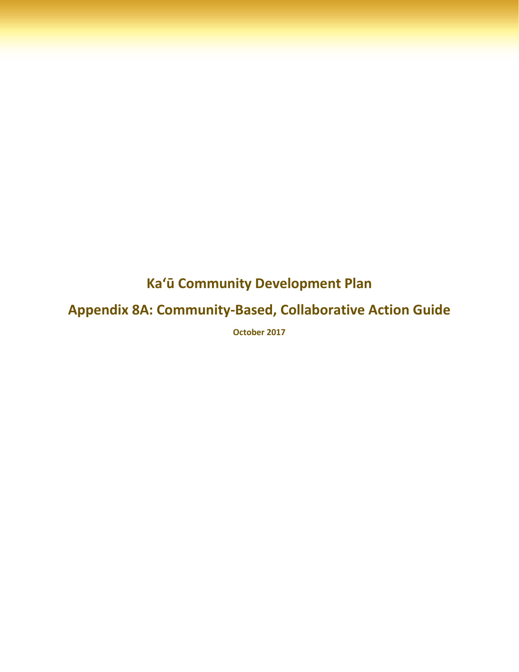# **Ka'ū Community Development Plan**

# **Appendix 8A: Community-Based, Collaborative Action Guide**

**October 2017**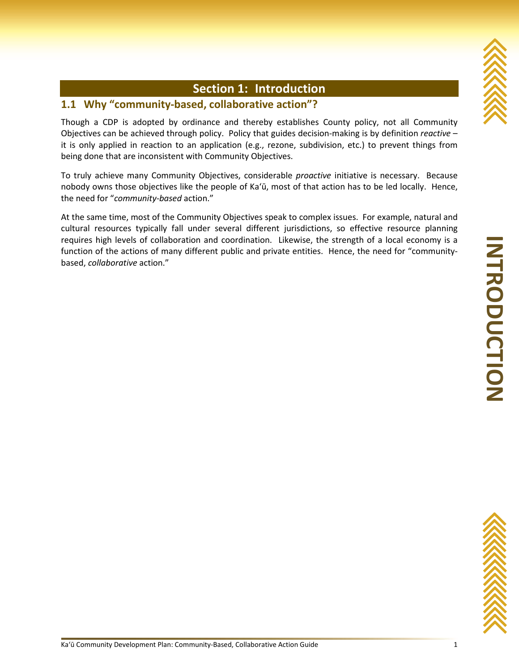

## **Section 1: Introduction**

## <span id="page-2-1"></span><span id="page-2-0"></span>**1.1 Why "community-based, collaborative action"?**

Though a CDP is adopted by ordinance and thereby establishes County policy, not all Community Objectives can be achieved through policy. Policy that guides decision-making is by definition *reactive* – it is only applied in reaction to an application (e.g., rezone, subdivision, etc.) to prevent things from being done that are inconsistent with Community Objectives.

To truly achieve many Community Objectives, considerable *proactive* initiative is necessary. Because nobody owns those objectives like the people of Ka'ū, most of that action has to be led locally. Hence, the need for "*community-based* action."

At the same time, most of the Community Objectives speak to complex issues. For example, natural and cultural resources typically fall under several different jurisdictions, so effective resource planning requires high levels of collaboration and coordination. Likewise, the strength of a local economy is a function of the actions of many different public and private entities. Hence, the need for "communitybased, *collaborative* action."

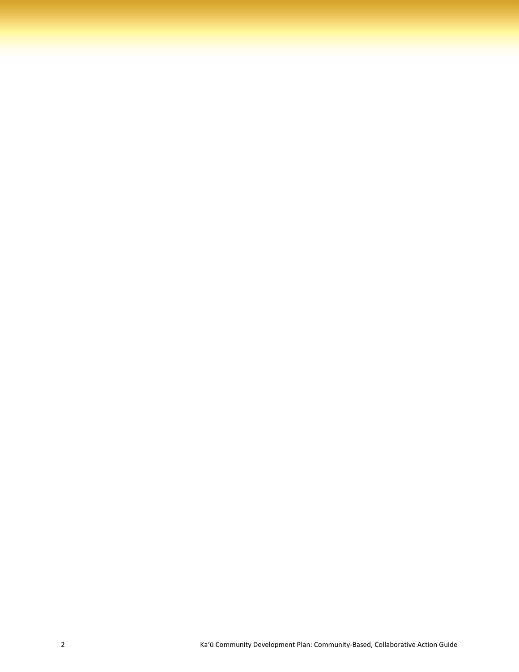Ka'ū Community Development Plan: Community-Based, Collaborative Action Guide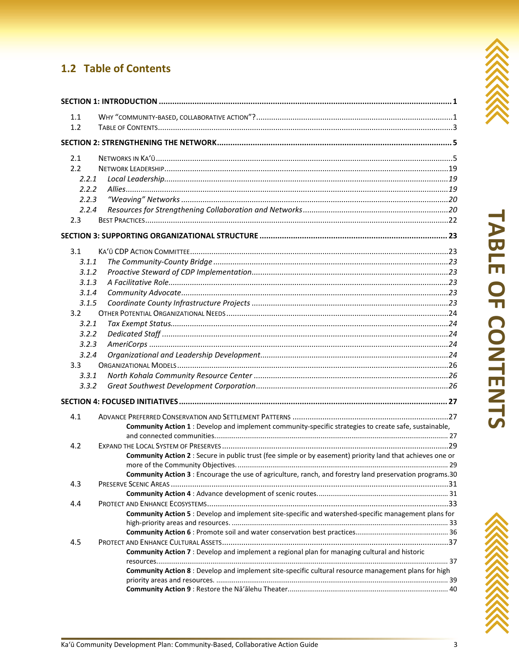# <span id="page-4-0"></span>1.2 Table of Contents

| 1.1   |                                                                                                            |  |
|-------|------------------------------------------------------------------------------------------------------------|--|
| 1.2   |                                                                                                            |  |
|       |                                                                                                            |  |
| 2.1   |                                                                                                            |  |
| 2.2   |                                                                                                            |  |
| 2.2.1 |                                                                                                            |  |
| 2.2.2 |                                                                                                            |  |
| 2.2.3 |                                                                                                            |  |
| 2.2.4 |                                                                                                            |  |
| 2.3   |                                                                                                            |  |
|       |                                                                                                            |  |
| 3.1   |                                                                                                            |  |
| 3.1.1 |                                                                                                            |  |
| 3.1.2 |                                                                                                            |  |
| 3.1.3 |                                                                                                            |  |
| 3.1.4 |                                                                                                            |  |
| 3.1.5 |                                                                                                            |  |
| 3.2   |                                                                                                            |  |
| 3.2.1 |                                                                                                            |  |
| 3.2.2 |                                                                                                            |  |
| 3.2.3 |                                                                                                            |  |
| 3.2.4 |                                                                                                            |  |
| 3.3   |                                                                                                            |  |
| 3.3.1 |                                                                                                            |  |
| 3.3.2 |                                                                                                            |  |
|       |                                                                                                            |  |
|       |                                                                                                            |  |
| 4.1   | Community Action 1 : Develop and implement community-specific strategies to create safe, sustainable,      |  |
|       |                                                                                                            |  |
| 4.2   |                                                                                                            |  |
|       | Community Action 2 : Secure in public trust (fee simple or by easement) priority land that achieves one or |  |
|       | Community Action 3 : Encourage the use of agriculture, ranch, and forestry land preservation programs.30   |  |
| 4.3   |                                                                                                            |  |
|       |                                                                                                            |  |
| 4.4   |                                                                                                            |  |
|       | Community Action 5 : Develop and implement site-specific and watershed-specific management plans for       |  |
|       |                                                                                                            |  |
|       |                                                                                                            |  |
| 4.5   |                                                                                                            |  |
|       | Community Action 7 : Develop and implement a regional plan for managing cultural and historic              |  |
|       |                                                                                                            |  |
|       | Community Action 8 : Develop and implement site-specific cultural resource management plans for high       |  |
|       |                                                                                                            |  |
|       |                                                                                                            |  |



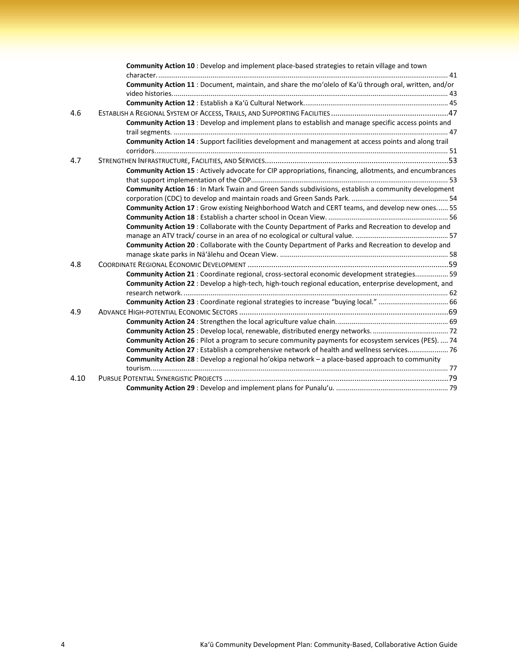|      | Community Action 10 : Develop and implement place-based strategies to retain village and town           |
|------|---------------------------------------------------------------------------------------------------------|
|      |                                                                                                         |
|      | Community Action 11 : Document, maintain, and share the mo'olelo of Ka'ū through oral, written, and/or  |
|      |                                                                                                         |
| 4.6  |                                                                                                         |
|      | Community Action 13 : Develop and implement plans to establish and manage specific access points and    |
|      | Community Action 14 : Support facilities development and management at access points and along trail    |
|      |                                                                                                         |
| 4.7  |                                                                                                         |
|      | Community Action 15 : Actively advocate for CIP appropriations, financing, allotments, and encumbrances |
|      | Community Action 16 : In Mark Twain and Green Sands subdivisions, establish a community development     |
|      |                                                                                                         |
|      | Community Action 17 : Grow existing Neighborhood Watch and CERT teams, and develop new ones 55          |
|      |                                                                                                         |
|      | Community Action 19 : Collaborate with the County Department of Parks and Recreation to develop and     |
|      |                                                                                                         |
|      | Community Action 20 : Collaborate with the County Department of Parks and Recreation to develop and     |
|      |                                                                                                         |
| 4.8  |                                                                                                         |
|      | Community Action 21 : Coordinate regional, cross-sectoral economic development strategies 59            |
|      | Community Action 22 : Develop a high-tech, high-touch regional education, enterprise development, and   |
|      | Community Action 23 : Coordinate regional strategies to increase "buying local."  66                    |
| 4.9  |                                                                                                         |
|      |                                                                                                         |
|      |                                                                                                         |
|      | Community Action 26 : Pilot a program to secure community payments for ecosystem services (PES).  74    |
|      | Community Action 27 : Establish a comprehensive network of health and wellness services 76              |
|      | Community Action 28 : Develop a regional ho'okipa network - a place-based approach to community         |
|      |                                                                                                         |
| 4.10 |                                                                                                         |
|      |                                                                                                         |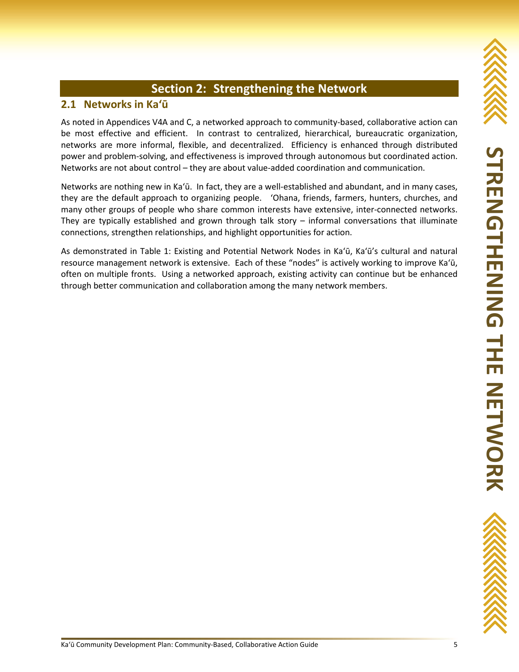

## <span id="page-6-0"></span>**Section 2: Strengthening the Network**

## <span id="page-6-1"></span>**2.1 Networks in Ka'ū**

As noted in Appendices V4A and C, a networked approach to community-based, collaborative action can be most effective and efficient. In contrast to centralized, hierarchical, bureaucratic organization, networks are more informal, flexible, and decentralized. Efficiency is enhanced through distributed power and problem-solving, and effectiveness is improved through autonomous but coordinated action. Networks are not about control – they are about value-added coordination and communication.

Networks are nothing new in Ka'ū. In fact, they are a well-established and abundant, and in many cases, they are the default approach to organizing people. ʻOhana, friends, farmers, hunters, churches, and many other groups of people who share common interests have extensive, inter-connected networks. They are typically established and grown through talk story – informal conversations that illuminate connections, strengthen relationships, and highlight opportunities for action.

As demonstrated in Table 1[: Existing and Potential Network Nodes in Ka'ū,](#page-8-0) Ka'ū's cultural and natural resource management network is extensive. Each of these "nodes" is actively working to improve Ka'ū, often on multiple fronts. Using a networked approach, existing activity can continue but be enhanced through better communication and collaboration among the many network members.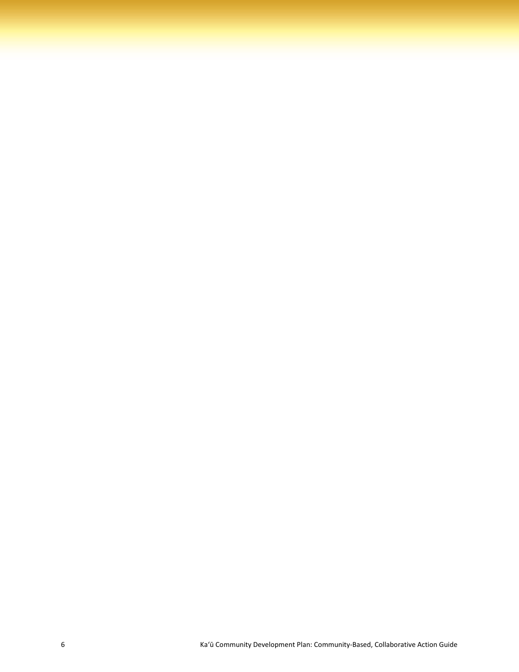Ka'ū Community Development Plan: Community-Based, Collaborative Action Guide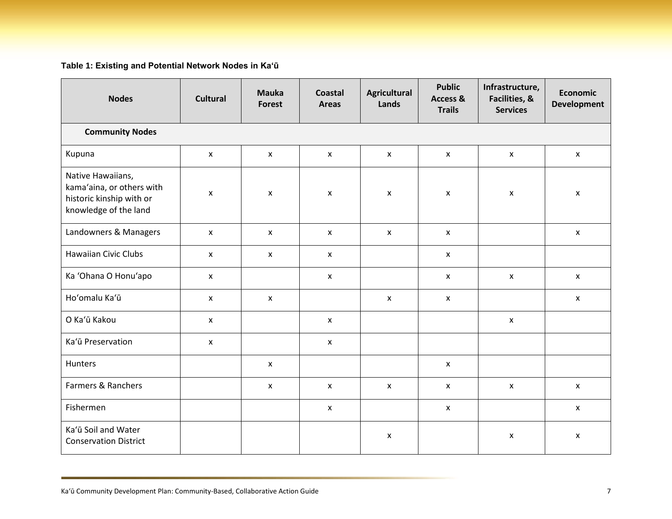## Table 1: Existing and Potential Network Nodes in Ka'ū

<span id="page-8-0"></span>

| <b>Nodes</b>                                                                                        | <b>Cultural</b>    | <b>Mauka</b><br><b>Forest</b> | <b>Coastal</b><br><b>Areas</b> | <b>Agricultural</b><br>Lands | <b>Public</b><br>Access &<br><b>Trails</b> | Infrastructure,<br>Facilities, &<br><b>Services</b> | <b>Economic</b><br><b>Development</b> |  |  |  |
|-----------------------------------------------------------------------------------------------------|--------------------|-------------------------------|--------------------------------|------------------------------|--------------------------------------------|-----------------------------------------------------|---------------------------------------|--|--|--|
| <b>Community Nodes</b>                                                                              |                    |                               |                                |                              |                                            |                                                     |                                       |  |  |  |
| Kupuna                                                                                              | $\mathsf{x}$       | $\mathsf{x}$                  | $\boldsymbol{\mathsf{x}}$      | $\mathsf{x}$                 | $\mathsf{x}$                               | $\boldsymbol{\mathsf{x}}$                           | $\pmb{\mathsf{X}}$                    |  |  |  |
| Native Hawaiians,<br>kama'aina, or others with<br>historic kinship with or<br>knowledge of the land | X                  | $\boldsymbol{\mathsf{X}}$     | $\boldsymbol{\mathsf{x}}$      | X                            | X                                          | $\mathsf{x}$                                        | $\boldsymbol{\mathsf{x}}$             |  |  |  |
| Landowners & Managers                                                                               | $\pmb{\mathsf{X}}$ | $\mathsf{x}$                  | $\mathsf{x}$                   | $\mathsf{x}$                 | $\mathsf{x}$                               |                                                     | $\mathsf{x}$                          |  |  |  |
| <b>Hawaiian Civic Clubs</b>                                                                         | $\pmb{\mathsf{X}}$ | $\mathsf{x}$                  | $\boldsymbol{\mathsf{x}}$      |                              | $\mathsf{x}$                               |                                                     |                                       |  |  |  |
| Ka 'Ohana O Honu'apo                                                                                | $\pmb{\mathsf{x}}$ |                               | $\boldsymbol{\mathsf{x}}$      |                              | $\mathsf{x}$                               | $\mathsf{x}$                                        | $\pmb{\mathsf{X}}$                    |  |  |  |
| Ho'omalu Ka'ū                                                                                       | $\pmb{\mathsf{X}}$ | $\mathsf{x}$                  |                                | $\mathsf{x}$                 | $\mathsf{x}$                               |                                                     | $\pmb{\mathsf{X}}$                    |  |  |  |
| O Ka'ū Kakou                                                                                        | $\pmb{\mathsf{X}}$ |                               | $\pmb{\chi}$                   |                              |                                            | $\pmb{\mathsf{X}}$                                  |                                       |  |  |  |
| Ka'ū Preservation                                                                                   | $\pmb{\mathsf{X}}$ |                               | $\boldsymbol{\mathsf{x}}$      |                              |                                            |                                                     |                                       |  |  |  |
| Hunters                                                                                             |                    | $\pmb{\mathsf{X}}$            |                                |                              | $\pmb{\mathsf{X}}$                         |                                                     |                                       |  |  |  |
| Farmers & Ranchers                                                                                  |                    | $\pmb{\mathsf{X}}$            | $\boldsymbol{\mathsf{x}}$      | X                            | $\mathsf{x}$                               | $\pmb{\mathsf{X}}$                                  | $\pmb{\mathsf{X}}$                    |  |  |  |
| Fishermen                                                                                           |                    |                               | $\pmb{\mathsf{x}}$             |                              | $\pmb{\mathsf{x}}$                         |                                                     | $\pmb{\mathsf{X}}$                    |  |  |  |
| Ka'ū Soil and Water<br><b>Conservation District</b>                                                 |                    |                               |                                | X                            |                                            | $\pmb{\mathsf{x}}$                                  | $\pmb{\mathsf{X}}$                    |  |  |  |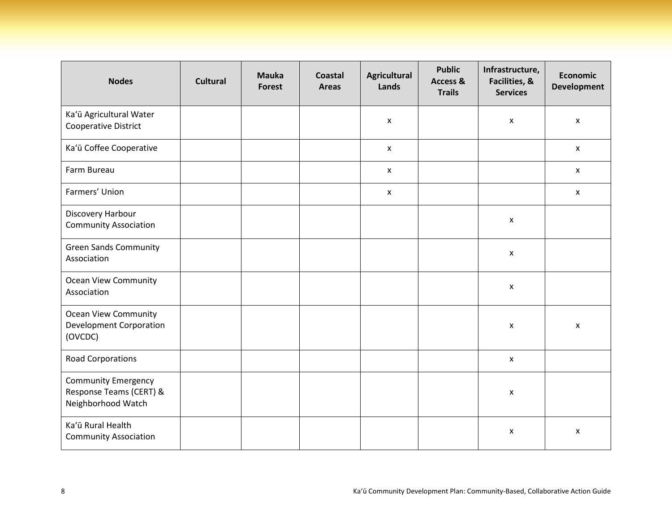| <b>Nodes</b>                                                                | <b>Cultural</b> | <b>Mauka</b><br><b>Forest</b> | <b>Coastal</b><br><b>Areas</b> | <b>Agricultural</b><br>Lands | <b>Public</b><br>Access &<br><b>Trails</b> | Infrastructure,<br>Facilities, &<br><b>Services</b> | <b>Economic</b><br><b>Development</b> |
|-----------------------------------------------------------------------------|-----------------|-------------------------------|--------------------------------|------------------------------|--------------------------------------------|-----------------------------------------------------|---------------------------------------|
| Ka'ū Agricultural Water<br>Cooperative District                             |                 |                               |                                | $\boldsymbol{\mathsf{x}}$    |                                            | $\mathsf{x}$                                        | X                                     |
| Ka'ū Coffee Cooperative                                                     |                 |                               |                                | $\mathsf{x}$                 |                                            |                                                     | $\mathsf{x}$                          |
| Farm Bureau                                                                 |                 |                               |                                | $\boldsymbol{\mathsf{x}}$    |                                            |                                                     | $\pmb{\mathsf{X}}$                    |
| Farmers' Union                                                              |                 |                               |                                | $\pmb{\mathsf{X}}$           |                                            |                                                     | $\pmb{\mathsf{X}}$                    |
| Discovery Harbour<br><b>Community Association</b>                           |                 |                               |                                |                              |                                            | $\mathsf{x}$                                        |                                       |
| <b>Green Sands Community</b><br>Association                                 |                 |                               |                                |                              |                                            | $\pmb{\mathsf{X}}$                                  |                                       |
| <b>Ocean View Community</b><br>Association                                  |                 |                               |                                |                              |                                            | $\mathsf{x}$                                        |                                       |
| <b>Ocean View Community</b><br><b>Development Corporation</b><br>(OVCDC)    |                 |                               |                                |                              |                                            | $\mathsf{x}$                                        | X                                     |
| <b>Road Corporations</b>                                                    |                 |                               |                                |                              |                                            | $\pmb{\mathsf{X}}$                                  |                                       |
| <b>Community Emergency</b><br>Response Teams (CERT) &<br>Neighborhood Watch |                 |                               |                                |                              |                                            | X                                                   |                                       |
| Ka'ū Rural Health<br><b>Community Association</b>                           |                 |                               |                                |                              |                                            | X                                                   | X                                     |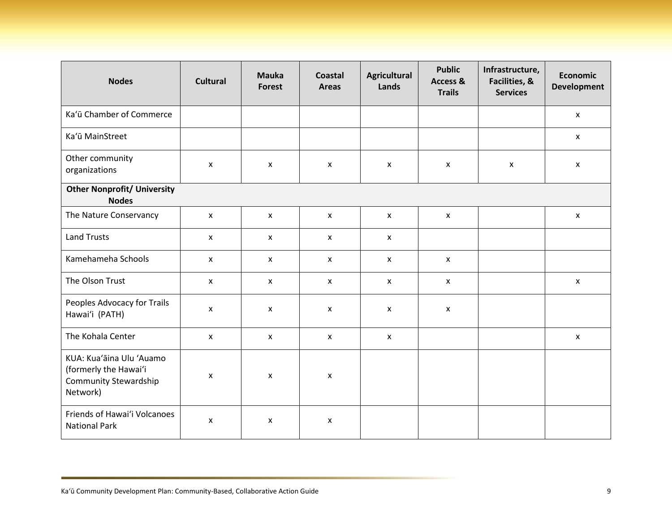| <b>Nodes</b>                                                                                  | <b>Cultural</b>           | <b>Mauka</b><br><b>Forest</b> | <b>Coastal</b><br><b>Areas</b> | <b>Agricultural</b><br>Lands | <b>Public</b><br>Access &<br><b>Trails</b> | Infrastructure,<br>Facilities, &<br><b>Services</b> | <b>Economic</b><br><b>Development</b> |
|-----------------------------------------------------------------------------------------------|---------------------------|-------------------------------|--------------------------------|------------------------------|--------------------------------------------|-----------------------------------------------------|---------------------------------------|
| Ka'ū Chamber of Commerce                                                                      |                           |                               |                                |                              |                                            |                                                     | $\mathsf{x}$                          |
| Ka'ū MainStreet                                                                               |                           |                               |                                |                              |                                            |                                                     | X                                     |
| Other community<br>organizations                                                              | $\boldsymbol{\mathsf{x}}$ | X                             | X                              | $\boldsymbol{\mathsf{x}}$    | $\boldsymbol{\mathsf{X}}$                  | X                                                   | X                                     |
| <b>Other Nonprofit/ University</b><br><b>Nodes</b>                                            |                           |                               |                                |                              |                                            |                                                     |                                       |
| The Nature Conservancy                                                                        | $\boldsymbol{\mathsf{x}}$ | X                             | $\pmb{\mathsf{X}}$             | $\boldsymbol{\mathsf{x}}$    | $\pmb{\times}$                             |                                                     | X                                     |
| <b>Land Trusts</b>                                                                            | $\mathsf{x}$              | X                             | $\mathsf{x}$                   | $\boldsymbol{\mathsf{x}}$    |                                            |                                                     |                                       |
| Kamehameha Schools                                                                            | $\mathsf{x}$              | $\mathsf{x}$                  | $\mathsf{x}$                   | $\boldsymbol{\mathsf{x}}$    | $\mathsf{x}$                               |                                                     |                                       |
| The Olson Trust                                                                               | $\pmb{\mathsf{X}}$        | X                             | $\pmb{\mathsf{X}}$             | $\boldsymbol{\mathsf{x}}$    | $\mathsf{x}$                               |                                                     | X                                     |
| Peoples Advocacy for Trails<br>Hawai'i (PATH)                                                 | $\boldsymbol{\mathsf{x}}$ | X                             | X                              | X                            | X                                          |                                                     |                                       |
| The Kohala Center                                                                             | $\boldsymbol{\mathsf{x}}$ | X                             | $\pmb{\mathsf{X}}$             | $\boldsymbol{\mathsf{x}}$    |                                            |                                                     | X                                     |
| KUA: Kua'āina Ulu 'Auamo<br>(formerly the Hawai'i<br><b>Community Stewardship</b><br>Network) | X                         | X                             | X                              |                              |                                            |                                                     |                                       |
| Friends of Hawai'i Volcanoes<br><b>National Park</b>                                          | $\boldsymbol{\mathsf{x}}$ | X                             | $\pmb{\mathsf{X}}$             |                              |                                            |                                                     |                                       |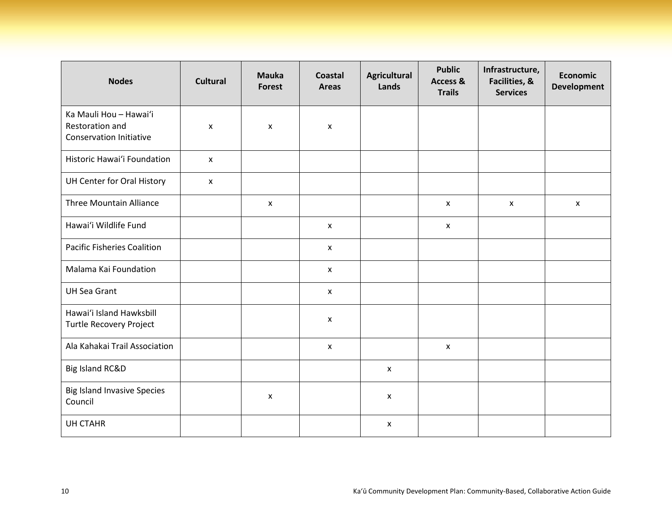| <b>Nodes</b>                                                                | <b>Cultural</b>    | <b>Mauka</b><br><b>Forest</b> | <b>Coastal</b><br><b>Areas</b> | <b>Agricultural</b><br>Lands | <b>Public</b><br>Access &<br><b>Trails</b> | Infrastructure,<br>Facilities, &<br><b>Services</b> | <b>Economic</b><br><b>Development</b> |
|-----------------------------------------------------------------------------|--------------------|-------------------------------|--------------------------------|------------------------------|--------------------------------------------|-----------------------------------------------------|---------------------------------------|
| Ka Mauli Hou - Hawai'i<br>Restoration and<br><b>Conservation Initiative</b> | $\pmb{\mathsf{X}}$ | X                             | $\pmb{\mathsf{X}}$             |                              |                                            |                                                     |                                       |
| Historic Hawai'i Foundation                                                 | $\mathsf{x}$       |                               |                                |                              |                                            |                                                     |                                       |
| UH Center for Oral History                                                  | $\pmb{\mathsf{X}}$ |                               |                                |                              |                                            |                                                     |                                       |
| <b>Three Mountain Alliance</b>                                              |                    | X                             |                                |                              | X                                          | X                                                   | $\pmb{\mathsf{X}}$                    |
| Hawai'i Wildlife Fund                                                       |                    |                               | $\pmb{\mathsf{X}}$             |                              | $\pmb{\mathsf{X}}$                         |                                                     |                                       |
| <b>Pacific Fisheries Coalition</b>                                          |                    |                               | $\boldsymbol{\mathsf{X}}$      |                              |                                            |                                                     |                                       |
| Malama Kai Foundation                                                       |                    |                               | $\mathsf{x}$                   |                              |                                            |                                                     |                                       |
| <b>UH Sea Grant</b>                                                         |                    |                               | $\pmb{\mathsf{X}}$             |                              |                                            |                                                     |                                       |
| Hawai'i Island Hawksbill<br><b>Turtle Recovery Project</b>                  |                    |                               | $\pmb{\mathsf{X}}$             |                              |                                            |                                                     |                                       |
| Ala Kahakai Trail Association                                               |                    |                               | $\pmb{\mathsf{X}}$             |                              | $\boldsymbol{\mathsf{x}}$                  |                                                     |                                       |
| <b>Big Island RC&amp;D</b>                                                  |                    |                               |                                | $\boldsymbol{\mathsf{x}}$    |                                            |                                                     |                                       |
| <b>Big Island Invasive Species</b><br>Council                               |                    | X                             |                                | $\boldsymbol{\mathsf{x}}$    |                                            |                                                     |                                       |
| <b>UH CTAHR</b>                                                             |                    |                               |                                | $\boldsymbol{\mathsf{x}}$    |                                            |                                                     |                                       |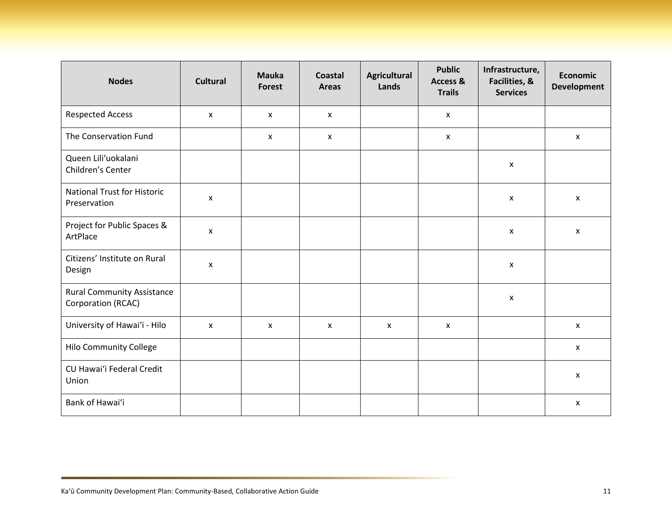| <b>Nodes</b>                                            | <b>Cultural</b>           | <b>Mauka</b><br><b>Forest</b> | <b>Coastal</b><br><b>Areas</b> | Agricultural<br>Lands     | <b>Public</b><br>Access &<br><b>Trails</b> | Infrastructure,<br>Facilities, &<br><b>Services</b> | <b>Economic</b><br><b>Development</b> |
|---------------------------------------------------------|---------------------------|-------------------------------|--------------------------------|---------------------------|--------------------------------------------|-----------------------------------------------------|---------------------------------------|
| <b>Respected Access</b>                                 | X                         | $\mathsf{x}$                  | $\mathsf{x}$                   |                           | $\boldsymbol{\mathsf{x}}$                  |                                                     |                                       |
| The Conservation Fund                                   |                           | $\mathsf{x}$                  | $\mathsf{x}$                   |                           | $\boldsymbol{\mathsf{x}}$                  |                                                     | $\mathsf{x}$                          |
| Queen Lili'uokalani<br>Children's Center                |                           |                               |                                |                           |                                            | $\mathsf{x}$                                        |                                       |
| <b>National Trust for Historic</b><br>Preservation      | X                         |                               |                                |                           |                                            | $\mathsf{x}$                                        | $\boldsymbol{\mathsf{x}}$             |
| Project for Public Spaces &<br>ArtPlace                 | $\pmb{\mathsf{x}}$        |                               |                                |                           |                                            | $\mathsf{x}$                                        | $\boldsymbol{\mathsf{x}}$             |
| Citizens' Institute on Rural<br>Design                  | $\pmb{\mathsf{x}}$        |                               |                                |                           |                                            | $\mathsf{x}$                                        |                                       |
| <b>Rural Community Assistance</b><br>Corporation (RCAC) |                           |                               |                                |                           |                                            | $\pmb{\mathsf{x}}$                                  |                                       |
| University of Hawai'i - Hilo                            | $\boldsymbol{\mathsf{x}}$ | $\boldsymbol{\mathsf{x}}$     | $\mathsf{x}$                   | $\boldsymbol{\mathsf{x}}$ | $\boldsymbol{\mathsf{x}}$                  |                                                     | $\mathsf{x}$                          |
| <b>Hilo Community College</b>                           |                           |                               |                                |                           |                                            |                                                     | $\mathsf{x}$                          |
| CU Hawai'i Federal Credit<br>Union                      |                           |                               |                                |                           |                                            |                                                     | $\mathsf{x}$                          |
| Bank of Hawai'i                                         |                           |                               |                                |                           |                                            |                                                     | $\boldsymbol{\mathsf{x}}$             |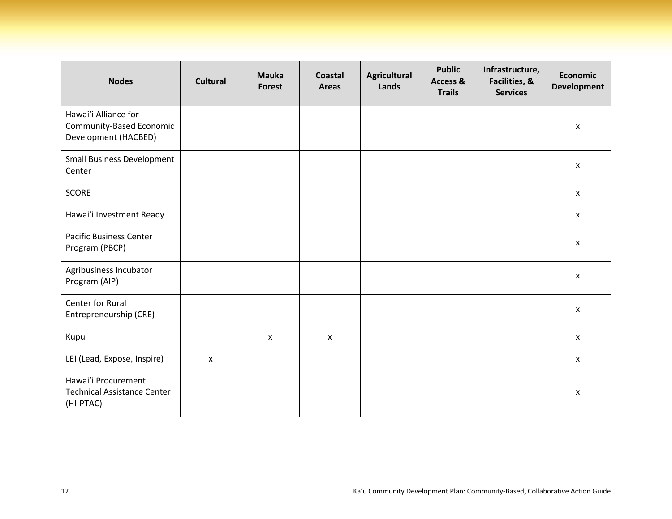| <b>Nodes</b>                                                             | <b>Cultural</b> | <b>Mauka</b><br><b>Forest</b> | <b>Coastal</b><br><b>Areas</b> | <b>Agricultural</b><br>Lands | <b>Public</b><br>Access &<br><b>Trails</b> | Infrastructure,<br>Facilities, &<br><b>Services</b> | <b>Economic</b><br><b>Development</b> |
|--------------------------------------------------------------------------|-----------------|-------------------------------|--------------------------------|------------------------------|--------------------------------------------|-----------------------------------------------------|---------------------------------------|
| Hawai'i Alliance for<br>Community-Based Economic<br>Development (HACBED) |                 |                               |                                |                              |                                            |                                                     | $\boldsymbol{\mathsf{x}}$             |
| <b>Small Business Development</b><br>Center                              |                 |                               |                                |                              |                                            |                                                     | $\boldsymbol{\mathsf{x}}$             |
| <b>SCORE</b>                                                             |                 |                               |                                |                              |                                            |                                                     | $\mathsf{x}$                          |
| Hawai'i Investment Ready                                                 |                 |                               |                                |                              |                                            |                                                     | $\pmb{\mathsf{X}}$                    |
| <b>Pacific Business Center</b><br>Program (PBCP)                         |                 |                               |                                |                              |                                            |                                                     | $\mathsf{x}$                          |
| Agribusiness Incubator<br>Program (AIP)                                  |                 |                               |                                |                              |                                            |                                                     | $\mathsf{x}$                          |
| Center for Rural<br>Entrepreneurship (CRE)                               |                 |                               |                                |                              |                                            |                                                     | $\pmb{\mathsf{X}}$                    |
| Kupu                                                                     |                 | X                             | $\boldsymbol{\mathsf{x}}$      |                              |                                            |                                                     | $\boldsymbol{\mathsf{x}}$             |
| LEI (Lead, Expose, Inspire)                                              | $\pmb{\times}$  |                               |                                |                              |                                            |                                                     | $\mathsf{x}$                          |
| Hawai'i Procurement<br><b>Technical Assistance Center</b><br>(HI-PTAC)   |                 |                               |                                |                              |                                            |                                                     | X                                     |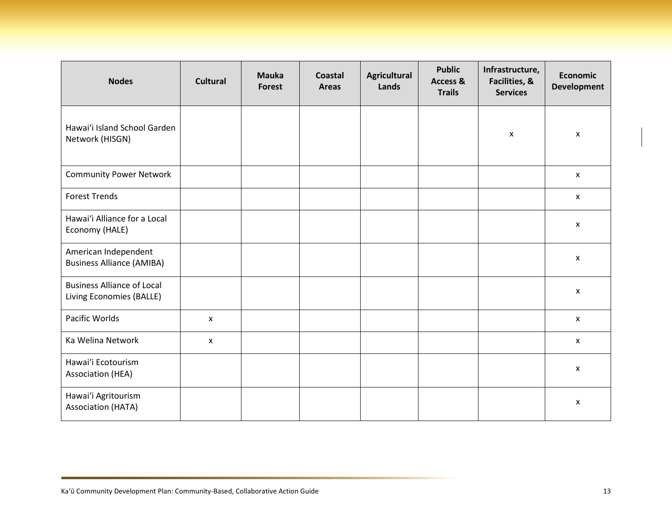| <b>Nodes</b>                                                  | <b>Cultural</b>    | <b>Mauka</b><br><b>Forest</b> | <b>Coastal</b><br><b>Areas</b> | <b>Agricultural</b><br>Lands | <b>Public</b><br>Access &<br><b>Trails</b> | Infrastructure,<br>Facilities, &<br><b>Services</b> | <b>Economic</b><br><b>Development</b> |
|---------------------------------------------------------------|--------------------|-------------------------------|--------------------------------|------------------------------|--------------------------------------------|-----------------------------------------------------|---------------------------------------|
| Hawai'i Island School Garden<br>Network (HISGN)               |                    |                               |                                |                              |                                            | $\pmb{\mathsf{X}}$                                  | X                                     |
| <b>Community Power Network</b>                                |                    |                               |                                |                              |                                            |                                                     | X                                     |
| <b>Forest Trends</b>                                          |                    |                               |                                |                              |                                            |                                                     | X                                     |
| Hawai'i Alliance for a Local<br>Economy (HALE)                |                    |                               |                                |                              |                                            |                                                     | X                                     |
| American Independent<br><b>Business Alliance (AMIBA)</b>      |                    |                               |                                |                              |                                            |                                                     | X                                     |
| <b>Business Alliance of Local</b><br>Living Economies (BALLE) |                    |                               |                                |                              |                                            |                                                     | X                                     |
| Pacific Worlds                                                | $\pmb{\mathsf{X}}$ |                               |                                |                              |                                            |                                                     | X                                     |
| Ka Welina Network                                             | $\pmb{\mathsf{X}}$ |                               |                                |                              |                                            |                                                     | X                                     |
| Hawai'i Ecotourism<br><b>Association (HEA)</b>                |                    |                               |                                |                              |                                            |                                                     | X                                     |
| Hawai'i Agritourism<br><b>Association (HATA)</b>              |                    |                               |                                |                              |                                            |                                                     | X                                     |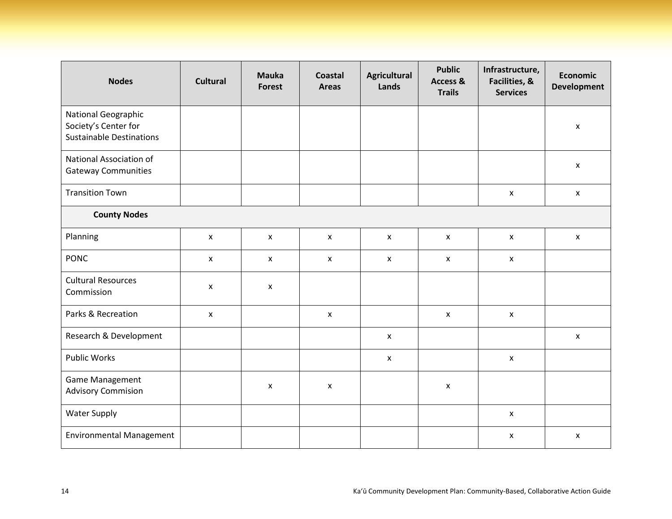| <b>Nodes</b>                                                                   | <b>Cultural</b>           | <b>Mauka</b><br><b>Forest</b> | <b>Coastal</b><br><b>Areas</b> | <b>Agricultural</b><br>Lands | <b>Public</b><br>Access &<br><b>Trails</b> | Infrastructure,<br>Facilities, &<br><b>Services</b> | <b>Economic</b><br><b>Development</b> |  |  |
|--------------------------------------------------------------------------------|---------------------------|-------------------------------|--------------------------------|------------------------------|--------------------------------------------|-----------------------------------------------------|---------------------------------------|--|--|
| National Geographic<br>Society's Center for<br><b>Sustainable Destinations</b> |                           |                               |                                |                              |                                            |                                                     | X                                     |  |  |
| National Association of<br><b>Gateway Communities</b>                          |                           |                               |                                |                              |                                            |                                                     | X                                     |  |  |
| <b>Transition Town</b>                                                         |                           |                               |                                |                              |                                            | $\boldsymbol{\mathsf{x}}$                           | X                                     |  |  |
| <b>County Nodes</b>                                                            |                           |                               |                                |                              |                                            |                                                     |                                       |  |  |
| Planning                                                                       | $\boldsymbol{\mathsf{x}}$ | $\mathsf{x}$                  | $\mathsf{x}$                   | $\boldsymbol{\mathsf{x}}$    | $\mathsf{x}$                               | X                                                   | X                                     |  |  |
| <b>PONC</b>                                                                    | $\boldsymbol{\mathsf{x}}$ | X                             | $\pmb{\mathsf{X}}$             | $\boldsymbol{\mathsf{x}}$    | $\boldsymbol{\mathsf{X}}$                  | X                                                   |                                       |  |  |
| <b>Cultural Resources</b><br>Commission                                        | $\pmb{\mathsf{x}}$        | $\pmb{\mathsf{x}}$            |                                |                              |                                            |                                                     |                                       |  |  |
| Parks & Recreation                                                             | $\boldsymbol{\mathsf{x}}$ |                               | $\mathsf{x}$                   |                              | $\mathsf{x}$                               | $\boldsymbol{\mathsf{x}}$                           |                                       |  |  |
| Research & Development                                                         |                           |                               |                                | $\boldsymbol{\mathsf{x}}$    |                                            |                                                     | X                                     |  |  |
| <b>Public Works</b>                                                            |                           |                               |                                | $\boldsymbol{\mathsf{x}}$    |                                            | $\mathsf{x}$                                        |                                       |  |  |
| Game Management<br><b>Advisory Commision</b>                                   |                           | X                             | $\pmb{\mathsf{x}}$             |                              | $\pmb{\times}$                             |                                                     |                                       |  |  |
| <b>Water Supply</b>                                                            |                           |                               |                                |                              |                                            | $\pmb{\mathsf{X}}$                                  |                                       |  |  |
| <b>Environmental Management</b>                                                |                           |                               |                                |                              |                                            | X                                                   | x                                     |  |  |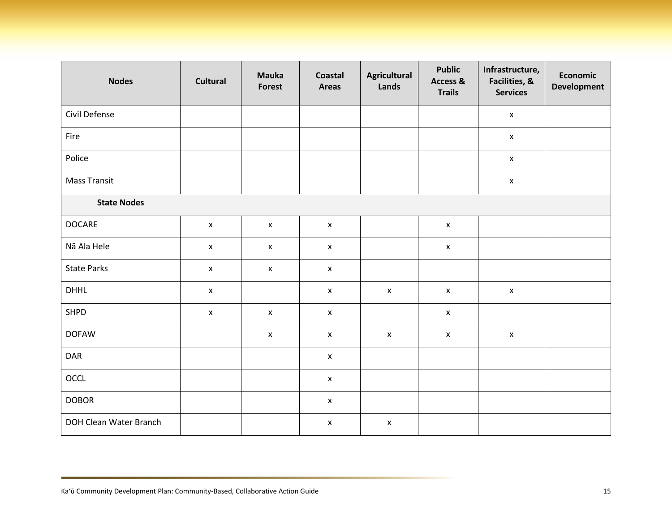| <b>Nodes</b>           | <b>Cultural</b>    | <b>Mauka</b><br><b>Forest</b> | <b>Coastal</b><br><b>Areas</b> | <b>Agricultural</b><br>Lands | <b>Public</b><br>Access &<br><b>Trails</b> | Infrastructure,<br>Facilities, &<br><b>Services</b> | <b>Economic</b><br><b>Development</b> |  |  |  |
|------------------------|--------------------|-------------------------------|--------------------------------|------------------------------|--------------------------------------------|-----------------------------------------------------|---------------------------------------|--|--|--|
| Civil Defense          |                    |                               |                                |                              |                                            | $\pmb{\mathsf{X}}$                                  |                                       |  |  |  |
| Fire                   |                    |                               |                                |                              |                                            | $\pmb{\mathsf{X}}$                                  |                                       |  |  |  |
| Police                 |                    |                               |                                |                              |                                            | $\pmb{\mathsf{X}}$                                  |                                       |  |  |  |
| <b>Mass Transit</b>    |                    |                               |                                |                              |                                            | $\pmb{\mathsf{X}}$                                  |                                       |  |  |  |
| <b>State Nodes</b>     |                    |                               |                                |                              |                                            |                                                     |                                       |  |  |  |
| <b>DOCARE</b>          | $\pmb{\mathsf{X}}$ | $\pmb{\mathsf{X}}$            | $\pmb{\mathsf{X}}$             |                              | $\pmb{\mathsf{X}}$                         |                                                     |                                       |  |  |  |
| Nā Ala Hele            | $\pmb{\mathsf{X}}$ | $\pmb{\mathsf{x}}$            | $\pmb{\mathsf{X}}$             |                              | $\pmb{\mathsf{X}}$                         |                                                     |                                       |  |  |  |
| <b>State Parks</b>     | $\pmb{\mathsf{X}}$ | $\pmb{\mathsf{X}}$            | $\pmb{\mathsf{X}}$             |                              |                                            |                                                     |                                       |  |  |  |
| <b>DHHL</b>            | $\pmb{\mathsf{x}}$ |                               | $\pmb{\mathsf{x}}$             | $\pmb{\mathsf{x}}$           | $\pmb{\mathsf{x}}$                         | $\pmb{\mathsf{x}}$                                  |                                       |  |  |  |
| SHPD                   | $\pmb{\mathsf{X}}$ | $\pmb{\mathsf{X}}$            | $\pmb{\mathsf{x}}$             |                              | $\pmb{\chi}$                               |                                                     |                                       |  |  |  |
| <b>DOFAW</b>           |                    | $\pmb{\mathsf{X}}$            | $\pmb{\mathsf{X}}$             | $\pmb{\mathsf{X}}$           | $\pmb{\mathsf{X}}$                         | $\pmb{\mathsf{X}}$                                  |                                       |  |  |  |
| <b>DAR</b>             |                    |                               | $\pmb{\mathsf{X}}$             |                              |                                            |                                                     |                                       |  |  |  |
| OCCL                   |                    |                               | $\pmb{\mathsf{x}}$             |                              |                                            |                                                     |                                       |  |  |  |
| <b>DOBOR</b>           |                    |                               | $\pmb{\mathsf{X}}$             |                              |                                            |                                                     |                                       |  |  |  |
| DOH Clean Water Branch |                    |                               | $\pmb{\mathsf{X}}$             | $\pmb{\mathsf{X}}$           |                                            |                                                     |                                       |  |  |  |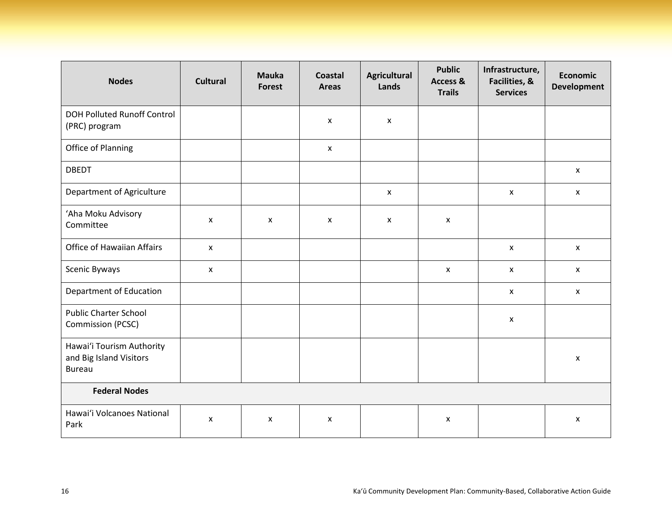| <b>Nodes</b>                                                          | <b>Cultural</b>    | <b>Mauka</b><br><b>Forest</b> | <b>Coastal</b><br><b>Areas</b> | <b>Agricultural</b><br>Lands | <b>Public</b><br>Access &<br><b>Trails</b> | Infrastructure,<br>Facilities, &<br><b>Services</b> | <b>Economic</b><br><b>Development</b> |
|-----------------------------------------------------------------------|--------------------|-------------------------------|--------------------------------|------------------------------|--------------------------------------------|-----------------------------------------------------|---------------------------------------|
| DOH Polluted Runoff Control<br>(PRC) program                          |                    |                               | $\boldsymbol{\mathsf{X}}$      | X                            |                                            |                                                     |                                       |
| Office of Planning                                                    |                    |                               | $\pmb{\mathsf{X}}$             |                              |                                            |                                                     |                                       |
| <b>DBEDT</b>                                                          |                    |                               |                                |                              |                                            |                                                     | $\mathsf{x}$                          |
| <b>Department of Agriculture</b>                                      |                    |                               |                                | $\boldsymbol{\mathsf{x}}$    |                                            | $\mathsf{x}$                                        | $\mathsf{x}$                          |
| 'Aha Moku Advisory<br>Committee                                       | $\pmb{\mathsf{X}}$ | $\boldsymbol{\mathsf{x}}$     | $\mathsf{x}$                   | X                            | $\boldsymbol{\mathsf{x}}$                  |                                                     |                                       |
| <b>Office of Hawaiian Affairs</b>                                     | $\pmb{\mathsf{x}}$ |                               |                                |                              |                                            | $\mathsf{x}$                                        | $\mathsf{x}$                          |
| Scenic Byways                                                         | X                  |                               |                                |                              | $\boldsymbol{\mathsf{x}}$                  | $\mathsf{x}$                                        | $\mathsf{x}$                          |
| <b>Department of Education</b>                                        |                    |                               |                                |                              |                                            | $\mathsf{x}$                                        | $\mathsf{x}$                          |
| <b>Public Charter School</b><br>Commission (PCSC)                     |                    |                               |                                |                              |                                            | $\mathsf{x}$                                        |                                       |
| Hawai'i Tourism Authority<br>and Big Island Visitors<br><b>Bureau</b> |                    |                               |                                |                              |                                            |                                                     | $\mathsf{x}$                          |
| <b>Federal Nodes</b>                                                  |                    |                               |                                |                              |                                            |                                                     |                                       |
| Hawai'i Volcanoes National<br>Park                                    | X                  | X                             | X                              |                              | x                                          |                                                     | X                                     |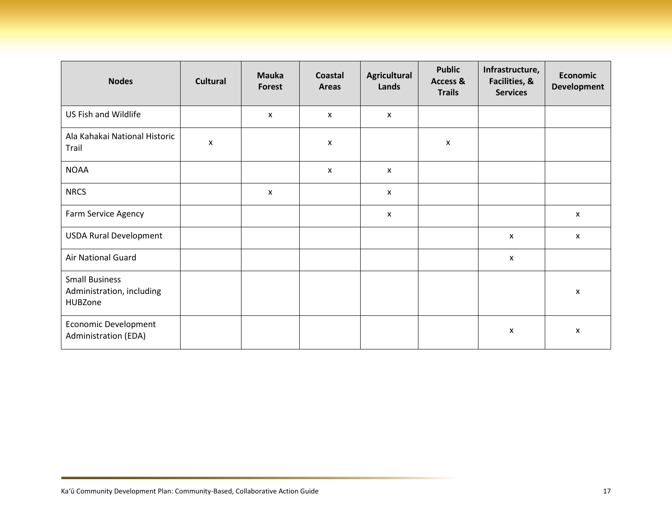| <b>Nodes</b>                                                  | <b>Cultural</b>           | <b>Mauka</b><br><b>Forest</b> | Coastal<br><b>Areas</b>   | Agricultural<br>Lands     | <b>Public</b><br>Access &<br><b>Trails</b> | Infrastructure,<br>Facilities, &<br><b>Services</b> | <b>Economic</b><br><b>Development</b> |
|---------------------------------------------------------------|---------------------------|-------------------------------|---------------------------|---------------------------|--------------------------------------------|-----------------------------------------------------|---------------------------------------|
| US Fish and Wildlife                                          |                           | X                             | $\mathsf{x}$              | $\boldsymbol{\mathsf{x}}$ |                                            |                                                     |                                       |
| Ala Kahakai National Historic<br>Trail                        | $\boldsymbol{\mathsf{X}}$ |                               | $\boldsymbol{\mathsf{X}}$ |                           | $\boldsymbol{\mathsf{x}}$                  |                                                     |                                       |
| <b>NOAA</b>                                                   |                           |                               | $\mathsf{x}$              | $\mathsf{x}$              |                                            |                                                     |                                       |
| <b>NRCS</b>                                                   |                           | X                             |                           | $\boldsymbol{\mathsf{x}}$ |                                            |                                                     |                                       |
| Farm Service Agency                                           |                           |                               |                           | $\boldsymbol{\mathsf{x}}$ |                                            |                                                     | $\pmb{\mathsf{X}}$                    |
| <b>USDA Rural Development</b>                                 |                           |                               |                           |                           |                                            | X                                                   | $\boldsymbol{\mathsf{x}}$             |
| Air National Guard                                            |                           |                               |                           |                           |                                            | $\boldsymbol{\mathsf{x}}$                           |                                       |
| <b>Small Business</b><br>Administration, including<br>HUBZone |                           |                               |                           |                           |                                            |                                                     | $\pmb{\mathsf{x}}$                    |
| <b>Economic Development</b><br>Administration (EDA)           |                           |                               |                           |                           |                                            | X                                                   | X                                     |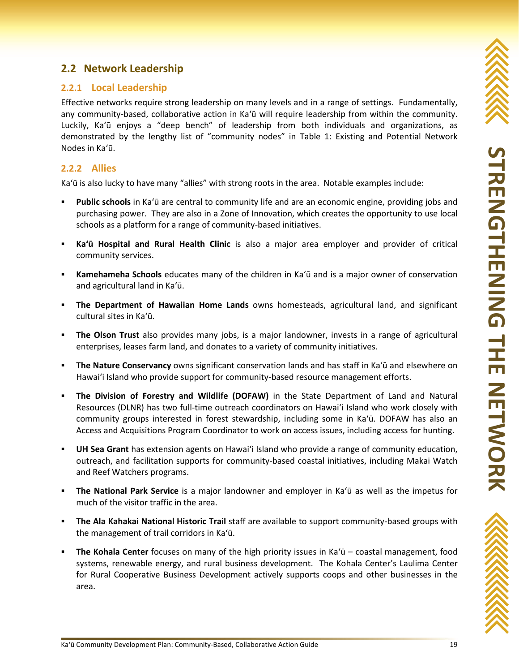## <span id="page-20-0"></span>**2.2 Network Leadership**

#### <span id="page-20-1"></span>**2.2.1 Local Leadership**

Effective networks require strong leadership on many levels and in a range of settings. Fundamentally, any community-based, collaborative action in Ka'ū will require leadership from within the community. Luckily, Ka'ū enjoys a "deep bench" of leadership from both individuals and organizations, as demonstrated by the lengthy list of "community nodes" in Table 1[: Existing and Potential Network](#page-8-0)  [Nodes in Ka'ū.](#page-8-0)

### <span id="page-20-2"></span>**2.2.2 Allies**

Ka'ū is also lucky to have many "allies" with strong roots in the area. Notable examples include:

- **Public schools** in Ka'ū are central to community life and are an economic engine, providing jobs and purchasing power. They are also in a Zone of Innovation, which creates the opportunity to use local schools as a platform for a range of community-based initiatives.
- **Ka'ū Hospital and Rural Health Clinic** is also a major area employer and provider of critical community services.
- **Kamehameha Schools** educates many of the children in Ka'ū and is a major owner of conservation and agricultural land in Ka'ū.
- **The Department of Hawaiian Home Lands** owns homesteads, agricultural land, and significant cultural sites in Ka'ū.
- **The Olson Trust** also provides many jobs, is a major landowner, invests in a range of agricultural enterprises, leases farm land, and donates to a variety of community initiatives.
- **The Nature Conservancy** owns significant conservation lands and has staff in Ka'ū and elsewhere on Hawai'i Island who provide support for community-based resource management efforts.
- **The Division of Forestry and Wildlife (DOFAW)** in the State Department of Land and Natural Resources (DLNR) has two full-time outreach coordinators on Hawai'i Island who work closely with community groups interested in forest stewardship, including some in Ka'ū. DOFAW has also an Access and Acquisitions Program Coordinator to work on access issues, including access for hunting.
- **UH Sea Grant** has extension agents on Hawai'i Island who provide a range of community education, outreach, and facilitation supports for community-based coastal initiatives, including Makai Watch and Reef Watchers programs.
- **The National Park Service** is a major landowner and employer in Ka'ū as well as the impetus for much of the visitor traffic in the area.
- **The Ala Kahakai National Historic Trail** staff are available to support community-based groups with the management of trail corridors in Ka'ū.
- **The Kohala Center** focuses on many of the high priority issues in Ka'ū coastal management, food systems, renewable energy, and rural business development. The Kohala Center's Laulima Center for Rural Cooperative Business Development actively supports coops and other businesses in the area.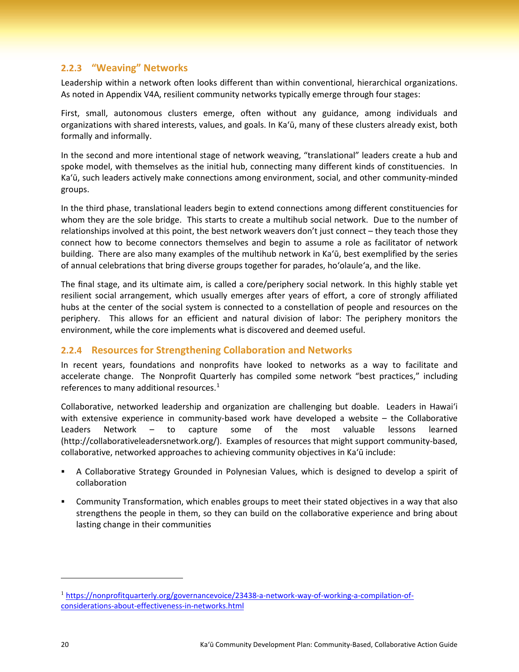#### <span id="page-21-0"></span>**2.2.3 "Weaving" Networks**

Leadership within a network often looks different than within conventional, hierarchical organizations. As noted in Appendix V4A, resilient community networks typically emerge through four stages:

First, small, autonomous clusters emerge, often without any guidance, among individuals and organizations with shared interests, values, and goals. In Ka'ū, many of these clusters already exist, both formally and informally.

In the second and more intentional stage of network weaving, "translational" leaders create a hub and spoke model, with themselves as the initial hub, connecting many different kinds of constituencies. In Ka'ū, such leaders actively make connections among environment, social, and other community-minded groups.

In the third phase, translational leaders begin to extend connections among different constituencies for whom they are the sole bridge. This starts to create a multihub social network. Due to the number of relationships involved at this point, the best network weavers don't just connect – they teach those they connect how to become connectors themselves and begin to assume a role as facilitator of network building. There are also many examples of the multihub network in Ka'ū, best exemplified by the series of annual celebrations that bring diverse groups together for parades, ho'olaule'a, and the like.

The final stage, and its ultimate aim, is called a core/periphery social network. In this highly stable yet resilient social arrangement, which usually emerges after years of effort, a core of strongly affiliated hubs at the center of the social system is connected to a constellation of people and resources on the periphery. This allows for an efficient and natural division of labor: The periphery monitors the environment, while the core implements what is discovered and deemed useful.

#### <span id="page-21-1"></span>**2.2.4 Resources for Strengthening Collaboration and Networks**

In recent years, foundations and nonprofits have looked to networks as a way to facilitate and accelerate change. The Nonprofit Quarterly has compiled some network "best practices," including references to many additional resources.<sup>[1](#page-21-2)</sup>

Collaborative, networked leadership and organization are challenging but doable. Leaders in Hawai'i with extensive experience in community-based work have developed a website – the Collaborative Leaders Network – to capture some of the most valuable lessons learned (http://collaborativeleadersnetwork.org/). Examples of resources that might support community-based, collaborative, networked approaches to achieving community objectives in Ka'ū include:

- A Collaborative Strategy Grounded in Polynesian Values, which is designed to develop a spirit of collaboration
- Community Transformation, which enables groups to meet their stated objectives in a way that also strengthens the people in them, so they can build on the collaborative experience and bring about lasting change in their communities

 $\overline{a}$ 

<span id="page-21-2"></span><sup>1</sup> [https://nonprofitquarterly.org/governancevoice/23438](https://nonprofitquarterly.org/governancevoice/23438-a-network-way-of-working-a-compilation-of-considerations-about-effectiveness-in-networks.html)-a-network-way-of-working-a-compilation-of[considerations](https://nonprofitquarterly.org/governancevoice/23438-a-network-way-of-working-a-compilation-of-considerations-about-effectiveness-in-networks.html)-about-effectiveness-in-networks.html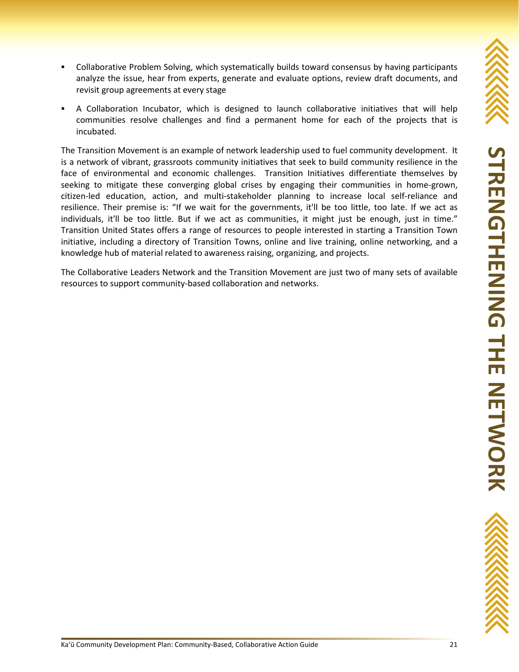- Collaborative Problem Solving, which systematically builds toward consensus by having participants analyze the issue, hear from experts, generate and evaluate options, review draft documents, and revisit group agreements at every stage
- A Collaboration Incubator, which is designed to launch collaborative initiatives that will help communities resolve challenges and find a permanent home for each of the projects that is incubated.

The Transition Movement is an example of network leadership used to fuel community development. It is a network of vibrant, grassroots community initiatives that seek to build community resilience in the face of environmental and economic challenges. Transition Initiatives differentiate themselves by seeking to mitigate these converging global crises by engaging their communities in home-grown, citizen-led education, action, and multi-stakeholder planning to increase local self-reliance and resilience. Their premise is: "If we wait for the governments, it'll be too little, too late. If we act as individuals, it'll be too little. But if we act as communities, it might just be enough, just in time." Transition United States offers a range of resources to people interested in starting a Transition Town initiative, including a directory of Transition Towns, online and live training, online networking, and a knowledge hub of material related to awareness raising, organizing, and projects.

The Collaborative Leaders Network and the Transition Movement are just two of many sets of available resources to support community-based collaboration and networks.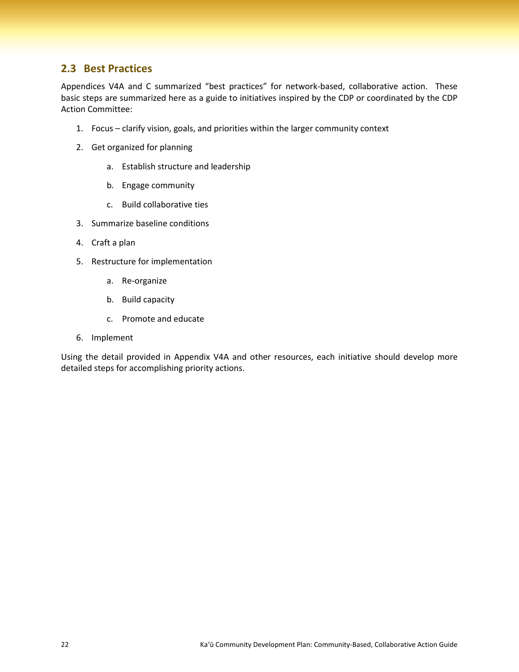## <span id="page-23-0"></span>**2.3 Best Practices**

Appendices V4A and C summarized "best practices" for network-based, collaborative action. These basic steps are summarized here as a guide to initiatives inspired by the CDP or coordinated by the CDP Action Committee:

- 1. Focus clarify vision, goals, and priorities within the larger community context
- 2. Get organized for planning
	- a. Establish structure and leadership
	- b. Engage community
	- c. Build collaborative ties
- 3. Summarize baseline conditions
- 4. Craft a plan
- 5. Restructure for implementation
	- a. Re-organize
	- b. Build capacity
	- c. Promote and educate
- 6. Implement

Using the detail provided in Appendix V4A and other resources, each initiative should develop more detailed steps for accomplishing priority actions.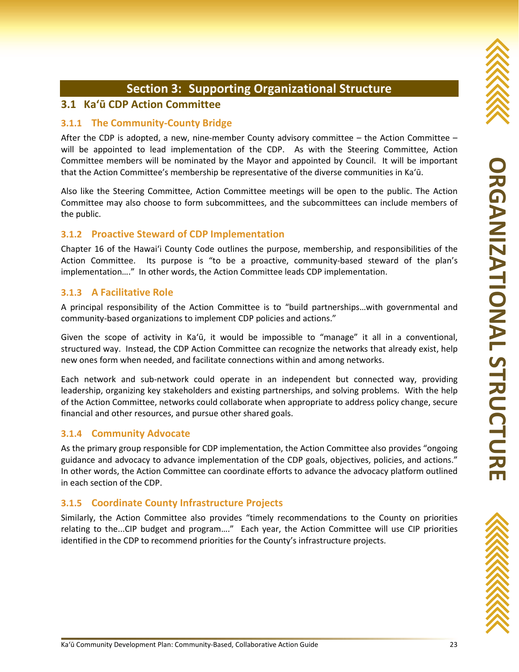

# **Section 3: Supporting Organizational Structure**

## <span id="page-24-1"></span><span id="page-24-0"></span>**3.1 Ka'ū CDP Action Committee**

### <span id="page-24-2"></span>**3.1.1 The Community-County Bridge**

After the CDP is adopted, a new, nine-member County advisory committee – the Action Committee – will be appointed to lead implementation of the CDP. As with the Steering Committee, Action Committee members will be nominated by the Mayor and appointed by Council. It will be important that the Action Committee's membership be representative of the diverse communities in Ka'ū.

Also like the Steering Committee, Action Committee meetings will be open to the public. The Action Committee may also choose to form subcommittees, and the subcommittees can include members of the public.

## <span id="page-24-3"></span>**3.1.2 Proactive Steward of CDP Implementation**

Chapter 16 of the Hawai'i County Code outlines the purpose, membership, and responsibilities of the Action Committee. Its purpose is "to be a proactive, community-based steward of the plan's implementation…." In other words, the Action Committee leads CDP implementation.

#### <span id="page-24-4"></span>**3.1.3 A Facilitative Role**

A principal responsibility of the Action Committee is to "build partnerships…with governmental and community-based organizations to implement CDP policies and actions."

Given the scope of activity in Ka'ū, it would be impossible to "manage" it all in a conventional, structured way. Instead, the CDP Action Committee can recognize the networks that already exist, help new ones form when needed, and facilitate connections within and among networks.

Each network and sub-network could operate in an independent but connected way, providing leadership, organizing key stakeholders and existing partnerships, and solving problems. With the help of the Action Committee, networks could collaborate when appropriate to address policy change, secure financial and other resources, and pursue other shared goals.

## <span id="page-24-5"></span>**3.1.4 Community Advocate**

As the primary group responsible for CDP implementation, the Action Committee also provides "ongoing guidance and advocacy to advance implementation of the CDP goals, objectives, policies, and actions." In other words, the Action Committee can coordinate efforts to advance the advocacy platform outlined in each section of the CDP.

## <span id="page-24-6"></span>**3.1.5 Coordinate County Infrastructure Projects**

Similarly, the Action Committee also provides "timely recommendations to the County on priorities relating to the...CIP budget and program…." Each year, the Action Committee will use CIP priorities identified in the CDP to recommend priorities for the County's infrastructure projects.

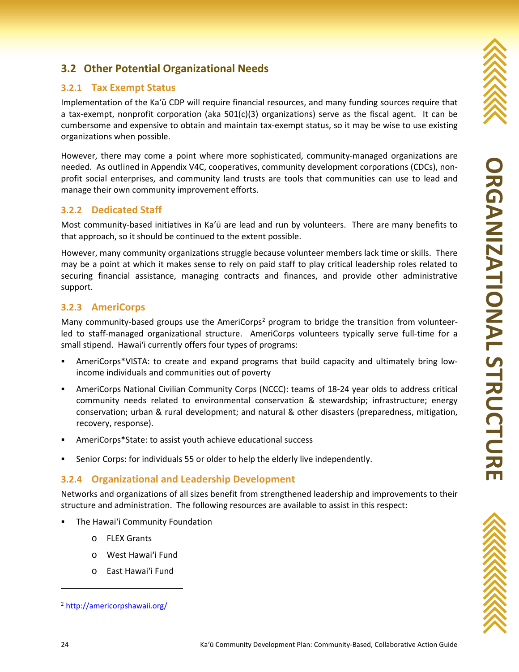ORGANIZATIONAL STRUCTURE **ORGANIZATIONAL STRUCTURE**

## <span id="page-25-0"></span>**3.2 Other Potential Organizational Needs**

## <span id="page-25-1"></span>**3.2.1 Tax Exempt Status**

Implementation of the Ka'ū CDP will require financial resources, and many funding sources require that a tax-exempt, nonprofit corporation (aka 501(c)(3) organizations) serve as the fiscal agent. It can be cumbersome and expensive to obtain and maintain tax-exempt status, so it may be wise to use existing organizations when possible.

However, there may come a point where more sophisticated, community-managed organizations are needed. As outlined in Appendix V4C, cooperatives, community development corporations (CDCs), nonprofit social enterprises, and community land trusts are tools that communities can use to lead and manage their own community improvement efforts.

## <span id="page-25-2"></span>**3.2.2 Dedicated Staff**

Most community-based initiatives in Ka'ū are lead and run by volunteers. There are many benefits to that approach, so it should be continued to the extent possible.

However, many community organizations struggle because volunteer members lack time or skills. There may be a point at which it makes sense to rely on paid staff to play critical leadership roles related to securing financial assistance, managing contracts and finances, and provide other administrative support.

## <span id="page-25-3"></span>**3.2.3 AmeriCorps**

Many community-based groups use the AmeriCorps<sup>[2](#page-25-5)</sup> program to bridge the transition from volunteerled to staff-managed organizational structure. AmeriCorps volunteers typically serve full-time for a small stipend. Hawai'i currently offers four types of programs:

- AmeriCorps\*VISTA: to create and expand programs that build capacity and ultimately bring lowincome individuals and communities out of poverty
- AmeriCorps National Civilian Community Corps (NCCC): teams of 18-24 year olds to address critical community needs related to environmental conservation & stewardship; infrastructure; energy conservation; urban & rural development; and natural & other disasters (preparedness, mitigation, recovery, response).
- AmeriCorps\*State: to assist youth achieve educational success
- Senior Corps: for individuals 55 or older to help the elderly live independently.

## <span id="page-25-4"></span>**3.2.4 Organizational and Leadership Development**

Networks and organizations of all sizes benefit from strengthened leadership and improvements to their structure and administration. The following resources are available to assist in this respect:

- The Hawai'i Community Foundation
	- o FLEX Grants
	- o West Hawai'i Fund
	- o East Hawai'i Fund

l

<span id="page-25-5"></span><sup>2</sup> <http://americorpshawaii.org/>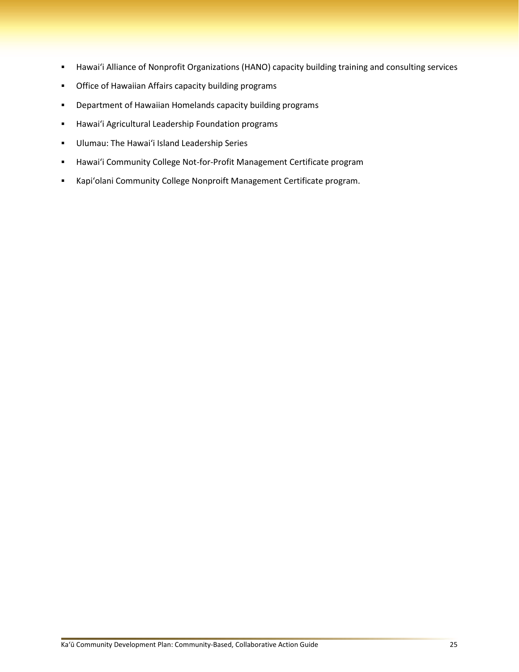- Hawai'i Alliance of Nonprofit Organizations (HANO) capacity building training and consulting services
- Office of Hawaiian Affairs capacity building programs
- Department of Hawaiian Homelands capacity building programs
- **Hawai'i Agricultural Leadership Foundation programs**
- **Ulumau: The Hawai'i Island Leadership Series**
- Hawai'i Community College Not-for-Profit Management Certificate program
- Kapiʻolani Community College Nonproift Management Certificate program.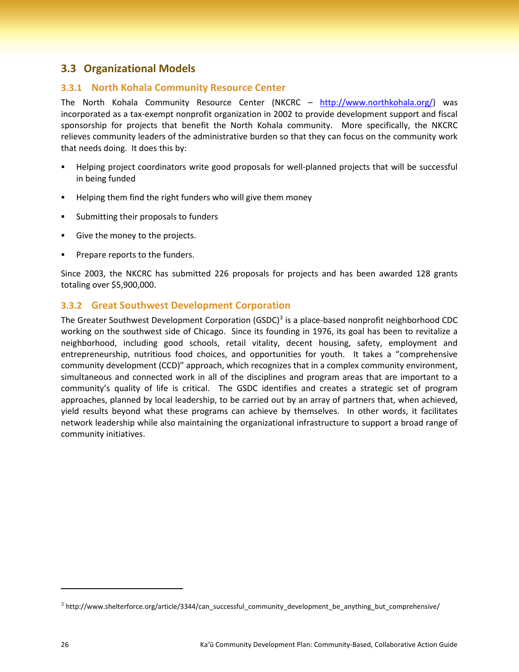## <span id="page-27-0"></span>**3.3 Organizational Models**

#### <span id="page-27-1"></span>**3.3.1 North Kohala Community Resource Center**

The North Kohala Community Resource Center (NKCRC – [http://www.northkohala.org/\)](http://www.northkohala.org/) was incorporated as a tax-exempt nonprofit organization in 2002 to provide development support and fiscal sponsorship for projects that benefit the North Kohala community. More specifically, the NKCRC relieves community leaders of the administrative burden so that they can focus on the community work that needs doing. It does this by:

- Helping project coordinators write good proposals for well-planned projects that will be successful in being funded
- Helping them find the right funders who will give them money
- Submitting their proposals to funders
- Give the money to the projects.
- Prepare reports to the funders.

Since 2003, the NKCRC has submitted 226 proposals for projects and has been awarded 128 grants totaling over \$5,900,000.

#### <span id="page-27-2"></span>**3.3.2 Great Southwest Development Corporation**

The Greater Southwest Development Corporation  $(GSDC)^3$  $(GSDC)^3$  is a place-based nonprofit neighborhood CDC working on the southwest side of Chicago. Since its founding in 1976, its goal has been to revitalize a neighborhood, including good schools, retail vitality, decent housing, safety, employment and entrepreneurship, nutritious food choices, and opportunities for youth. It takes a "comprehensive community development (CCD)" approach, which recognizes that in a complex community environment, simultaneous and connected work in all of the disciplines and program areas that are important to a community's quality of life is critical. The GSDC identifies and creates a strategic set of program approaches, planned by local leadership, to be carried out by an array of partners that, when achieved, yield results beyond what these programs can achieve by themselves. In other words, it facilitates network leadership while also maintaining the organizational infrastructure to support a broad range of community initiatives.

 $\overline{\phantom{a}}$ 

<span id="page-27-3"></span><sup>3</sup> http://www.shelterforce.org/article/3344/can\_successful\_community\_development\_be\_anything\_but\_comprehensive/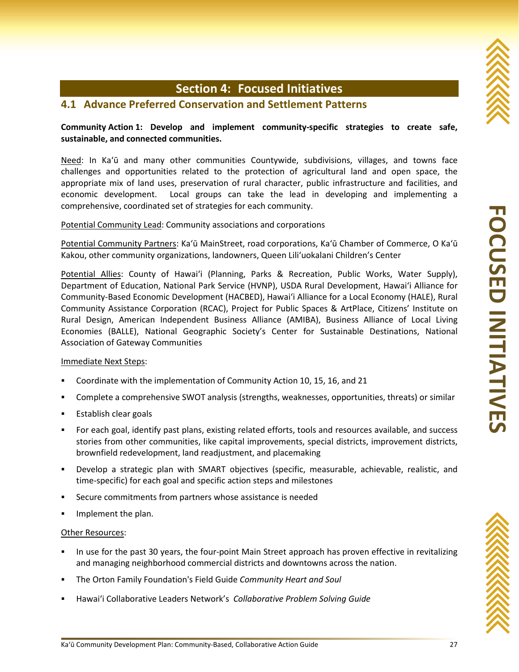

# **Section 4: Focused Initiatives**

## <span id="page-28-1"></span><span id="page-28-0"></span>**4.1 Advance Preferred Conservation and Settlement Patterns**

#### <span id="page-28-2"></span>**Community Action 1: Develop and implement community-specific strategies to create safe, sustainable, and connected communities.**

Need: In Ka'ū and many other communities Countywide, subdivisions, villages, and towns face challenges and opportunities related to the protection of agricultural land and open space, the appropriate mix of land uses, preservation of rural character, public infrastructure and facilities, and economic development. Local groups can take the lead in developing and implementing a comprehensive, coordinated set of strategies for each community.

#### Potential Community Lead: Community associations and corporations

Potential Community Partners: Ka'ū MainStreet, road corporations, Ka'ū Chamber of Commerce, O Ka'ū Kakou, other community organizations, landowners, Queen Liliʻuokalani Children's Center

Potential Allies: County of Hawai'i (Planning, Parks & Recreation, Public Works, Water Supply), Department of Education, National Park Service (HVNP), USDA Rural Development, Hawai'i Alliance for Community-Based Economic Development (HACBED), Hawai'i Alliance for a Local Economy (HALE), Rural Community Assistance Corporation (RCAC), Project for Public Spaces & ArtPlace, Citizens' Institute on Rural Design, American Independent Business Alliance (AMIBA), Business Alliance of Local Living Economies (BALLE), National Geographic Society's Center for Sustainable Destinations, National Association of Gateway Communities

#### Immediate Next Steps:

- Coordinate with the implementation of Community Action 10, 15, 16, and 21
- Complete a comprehensive SWOT analysis (strengths, weaknesses, opportunities, threats) or similar
- **Establish clear goals**
- For each goal, identify past plans, existing related efforts, tools and resources available, and success stories from other communities, like capital improvements, special districts, improvement districts, brownfield redevelopment, land readjustment, and placemaking
- Develop a strategic plan with SMART objectives (specific, measurable, achievable, realistic, and time-specific) for each goal and specific action steps and milestones
- Secure commitments from partners whose assistance is needed
- Implement the plan.

#### Other Resources:

- In use for the past 30 years, the four-point Main Street approach has proven effective in revitalizing and managing neighborhood commercial districts and downtowns across the nation.
- The Orton Family Foundation's Field Guide *Community Heart and Soul*
- Hawai'i Collaborative Leaders Network's *Collaborative Problem Solving Guide*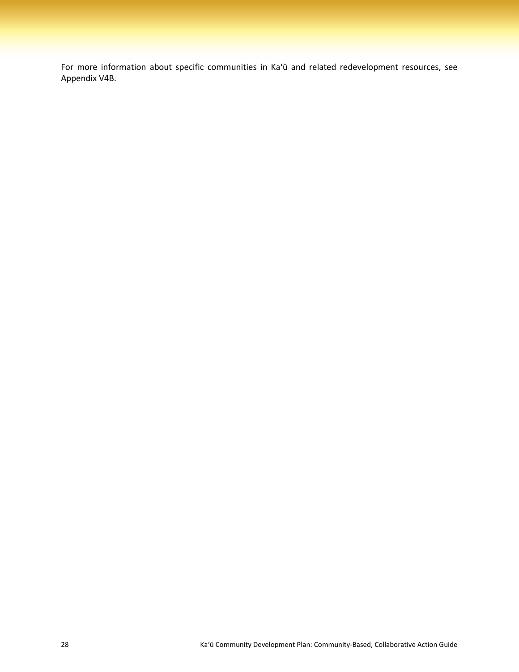For more information about specific communities in Ka'ū and related redevelopment resources, see Appendix V4B.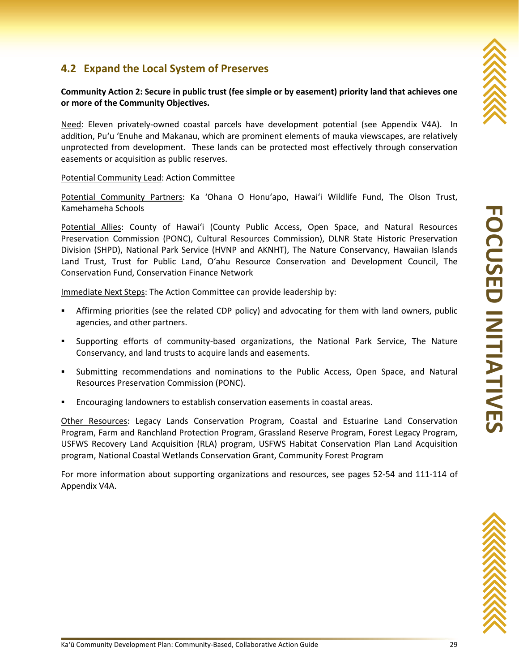## <span id="page-30-0"></span>**4.2 Expand the Local System of Preserves**

<span id="page-30-1"></span>**Community Action 2: Secure in public trust (fee simple or by easement) priority land that achieves one or more of the Community Objectives.**

Need: Eleven privately-owned coastal parcels have development potential (see Appendix V4A). In addition, Pu'u 'Enuhe and Makanau, which are prominent elements of mauka viewscapes, are relatively unprotected from development. These lands can be protected most effectively through conservation easements or acquisition as public reserves.

Potential Community Lead: Action Committee

Potential Community Partners: Ka 'Ohana O Honu'apo, Hawai'i Wildlife Fund, The Olson Trust, Kamehameha Schools

Potential Allies: County of Hawai'i (County Public Access, Open Space, and Natural Resources Preservation Commission (PONC), Cultural Resources Commission), DLNR State Historic Preservation Division (SHPD), National Park Service (HVNP and AKNHT), The Nature Conservancy, Hawaiian Islands Land Trust, Trust for Public Land, O'ahu Resource Conservation and Development Council, The Conservation Fund, Conservation Finance Network

Immediate Next Steps: The Action Committee can provide leadership by:

- Affirming priorities (see the related CDP policy) and advocating for them with land owners, public agencies, and other partners.
- Supporting efforts of community-based organizations, the National Park Service, The Nature Conservancy, and land trusts to acquire lands and easements.
- Submitting recommendations and nominations to the Public Access, Open Space, and Natural Resources Preservation Commission (PONC).
- Encouraging landowners to establish conservation easements in coastal areas.

Other Resources: Legacy Lands Conservation Program, Coastal and Estuarine Land Conservation Program, Farm and Ranchland Protection Program, Grassland Reserve Program, Forest Legacy Program, USFWS Recovery Land Acquisition (RLA) program, USFWS Habitat Conservation Plan Land Acquisition program, National Coastal Wetlands Conservation Grant, Community Forest Program

For more information about supporting organizations and resources, see pages 52-54 and 111-114 of Appendix V4A.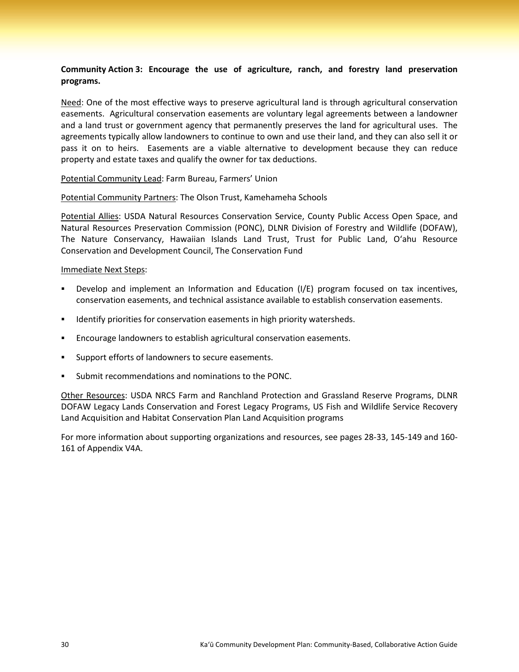#### <span id="page-31-0"></span>**Community Action 3: Encourage the use of agriculture, ranch, and forestry land preservation programs.**

Need: One of the most effective ways to preserve agricultural land is through agricultural conservation easements. Agricultural conservation easements are voluntary legal agreements between a landowner and a land trust or government agency that permanently preserves the land for agricultural uses. The agreements typically allow landowners to continue to own and use their land, and they can also sell it or pass it on to heirs. Easements are a viable alternative to development because they can reduce property and estate taxes and qualify the owner for tax deductions.

Potential Community Lead: Farm Bureau, Farmers' Union

Potential Community Partners: The Olson Trust, Kamehameha Schools

Potential Allies: USDA Natural Resources Conservation Service, County Public Access Open Space, and Natural Resources Preservation Commission (PONC), DLNR Division of Forestry and Wildlife (DOFAW), The Nature Conservancy, Hawaiian Islands Land Trust, Trust for Public Land, O'ahu Resource Conservation and Development Council, The Conservation Fund

#### Immediate Next Steps:

- Develop and implement an Information and Education (I/E) program focused on tax incentives, conservation easements, and technical assistance available to establish conservation easements.
- Identify priorities for conservation easements in high priority watersheds.
- Encourage landowners to establish agricultural conservation easements.
- Support efforts of landowners to secure easements.
- Submit recommendations and nominations to the PONC.

Other Resources: USDA NRCS Farm and Ranchland Protection and Grassland Reserve Programs, DLNR DOFAW Legacy Lands Conservation and Forest Legacy Programs, US Fish and Wildlife Service Recovery Land Acquisition and Habitat Conservation Plan Land Acquisition programs

For more information about supporting organizations and resources, see pages 28-33, 145-149 and 160- 161 of Appendix V4A.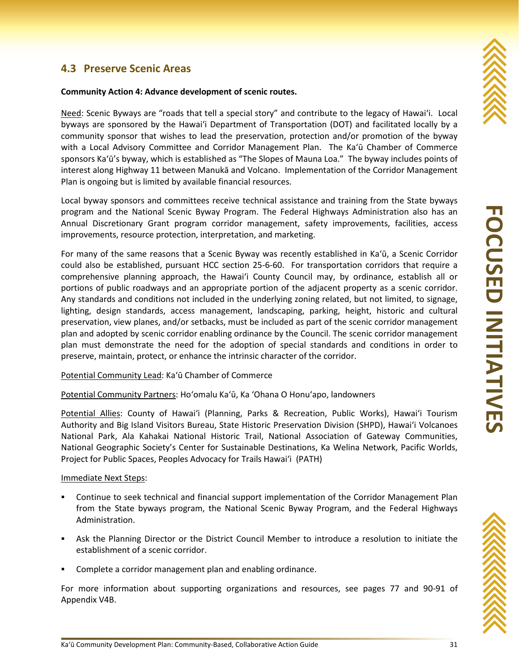#### <span id="page-32-1"></span><span id="page-32-0"></span>**Community Action 4: Advance development of scenic routes.**

Need: Scenic Byways are "roads that tell a special story" and contribute to the legacy of Hawai'i. Local byways are sponsored by the Hawai'i Department of Transportation (DOT) and facilitated locally by a community sponsor that wishes to lead the preservation, protection and/or promotion of the byway with a Local Advisory Committee and Corridor Management Plan. The Ka'ū Chamber of Commerce sponsors Ka'ū's byway, which is established as "The Slopes of Mauna Loa." The byway includes points of interest along Highway 11 between Manukā and Volcano. Implementation of the Corridor Management Plan is ongoing but is limited by available financial resources.

Local byway sponsors and committees receive technical assistance and training from the State byways program and the National Scenic Byway Program. The Federal Highways Administration also has an Annual Discretionary Grant program corridor management, safety improvements, facilities, access improvements, resource protection, interpretation, and marketing.

For many of the same reasons that a Scenic Byway was recently established in Ka'ū, a Scenic Corridor could also be established, pursuant HCC section 25-6-60. For transportation corridors that require a comprehensive planning approach, the Hawai'i County Council may, by ordinance, establish all or portions of public roadways and an appropriate portion of the adjacent property as a scenic corridor. Any standards and conditions not included in the underlying zoning related, but not limited, to signage, lighting, design standards, access management, landscaping, parking, height, historic and cultural preservation, view planes, and/or setbacks, must be included as part of the scenic corridor management plan and adopted by scenic corridor enabling ordinance by the Council. The scenic corridor management plan must demonstrate the need for the adoption of special standards and conditions in order to preserve, maintain, protect, or enhance the intrinsic character of the corridor.

#### Potential Community Lead: Ka'ū Chamber of Commerce

Potential Community Partners: Hoʻomalu Ka'ū, Ka 'Ohana O Honu'apo, landowners

Potential Allies: County of Hawai'i (Planning, Parks & Recreation, Public Works), Hawai'i Tourism Authority and Big Island Visitors Bureau, State Historic Preservation Division (SHPD), Hawai'i Volcanoes National Park, Ala Kahakai National Historic Trail, National Association of Gateway Communities, National Geographic Society's Center for Sustainable Destinations, Ka Welina Network, Pacific Worlds, Project for Public Spaces, Peoples Advocacy for Trails Hawai'i (PATH)

#### Immediate Next Steps:

- Continue to seek technical and financial support implementation of the Corridor Management Plan from the State byways program, the National Scenic Byway Program, and the Federal Highways Administration.
- Ask the Planning Director or the District Council Member to introduce a resolution to initiate the establishment of a scenic corridor.
- Complete a corridor management plan and enabling ordinance.

For more information about supporting organizations and resources, see pages 77 and 90-91 of Appendix V4B.

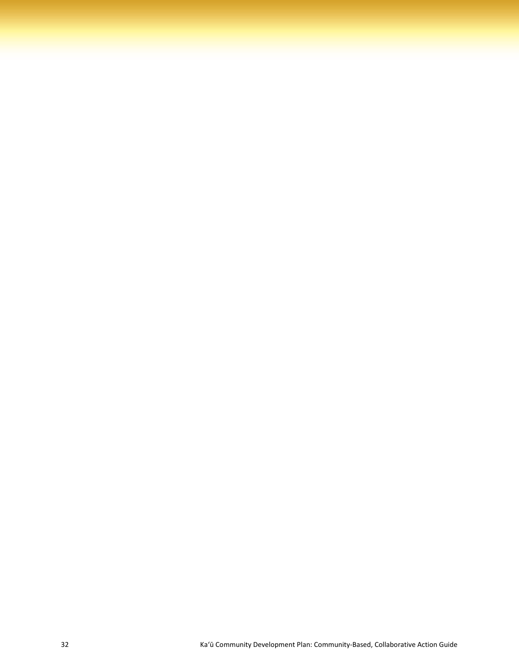Ka'ū Community Development Plan: Community-Based, Collaborative Action Guide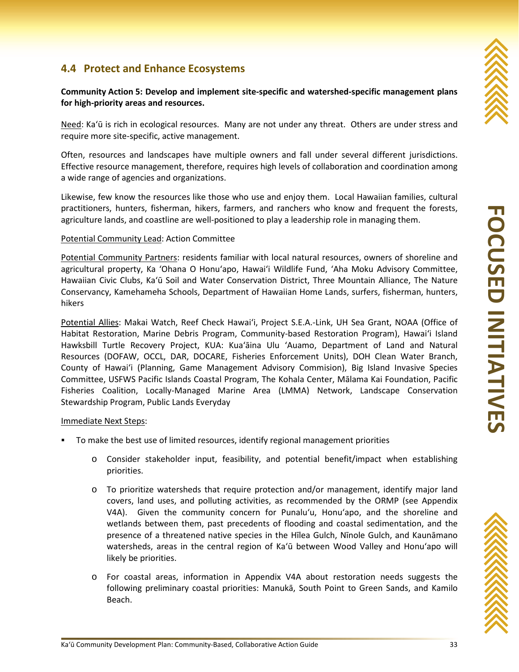## <span id="page-34-0"></span>**4.4 Protect and Enhance Ecosystems**

<span id="page-34-1"></span>**Community Action 5: Develop and implement site-specific and watershed-specific management plans for high-priority areas and resources.**

Need: Ka'ū is rich in ecological resources. Many are not under any threat. Others are under stress and require more site-specific, active management.

Often, resources and landscapes have multiple owners and fall under several different jurisdictions. Effective resource management, therefore, requires high levels of collaboration and coordination among a wide range of agencies and organizations.

Likewise, few know the resources like those who use and enjoy them. Local Hawaiian families, cultural practitioners, hunters, fisherman, hikers, farmers, and ranchers who know and frequent the forests, agriculture lands, and coastline are well-positioned to play a leadership role in managing them.

#### Potential Community Lead: Action Committee

Potential Community Partners: residents familiar with local natural resources, owners of shoreline and agricultural property, Ka 'Ohana O Honu'apo, Hawai'i Wildlife Fund, 'Aha Moku Advisory Committee, Hawaiian Civic Clubs, Ka'ū Soil and Water Conservation District, Three Mountain Alliance, The Nature Conservancy, Kamehameha Schools, Department of Hawaiian Home Lands, surfers, fisherman, hunters, hikers

Potential Allies: Makai Watch, Reef Check Hawai'i, Project S.E.A.-Link, UH Sea Grant, NOAA (Office of Habitat Restoration, Marine Debris Program, Community-based Restoration Program), Hawai'i Island Hawksbill Turtle Recovery Project, KUA: Kuaʻāina Ulu ʻAuamo, Department of Land and Natural Resources (DOFAW, OCCL, DAR, DOCARE, Fisheries Enforcement Units), DOH Clean Water Branch, County of Hawai'i (Planning, Game Management Advisory Commision), Big Island Invasive Species Committee, USFWS Pacific Islands Coastal Program, The Kohala Center, Mālama Kai Foundation, Pacific Fisheries Coalition, Locally-Managed Marine Area (LMMA) Network, Landscape Conservation Stewardship Program, Public Lands Everyday

#### Immediate Next Steps:

- To make the best use of limited resources, identify regional management priorities
	- o Consider stakeholder input, feasibility, and potential benefit/impact when establishing priorities.
	- o To prioritize watersheds that require protection and/or management, identify major land covers, land uses, and polluting activities, as recommended by the ORMP (see Appendix V4A). Given the community concern for Punaluʻu, Honuʻapo, and the shoreline and wetlands between them, past precedents of flooding and coastal sedimentation, and the presence of a threatened native species in the Hīlea Gulch, Nīnole Gulch, and Kaunāmano watersheds, areas in the central region of Ka'ū between Wood Valley and Honu'apo will likely be priorities.
	- o For coastal areas, information in Appendix V4A about restoration needs suggests the following preliminary coastal priorities: Manukā, South Point to Green Sands, and Kamilo Beach.

**FOCUSED INITIATIVES FOCUSED INITIATIVES**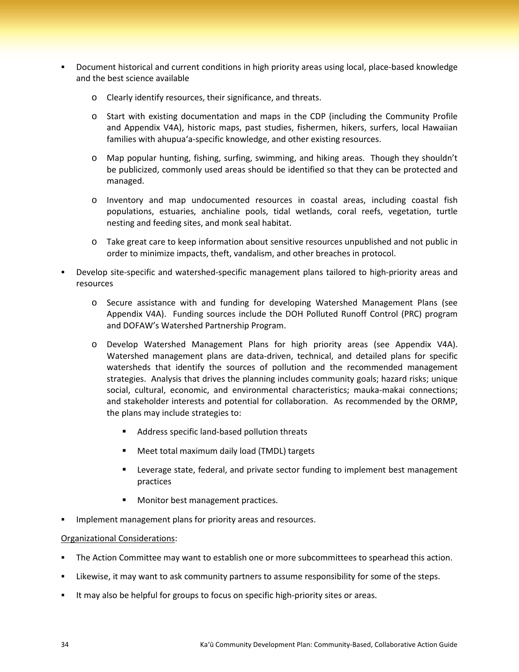- Document historical and current conditions in high priority areas using local, place-based knowledge and the best science available
	- o Clearly identify resources, their significance, and threats.
	- o Start with existing documentation and maps in the CDP (including the Community Profile and Appendix V4A), historic maps, past studies, fishermen, hikers, surfers, local Hawaiian families with ahupua'a-specific knowledge, and other existing resources.
	- o Map popular hunting, fishing, surfing, swimming, and hiking areas. Though they shouldn't be publicized, commonly used areas should be identified so that they can be protected and managed.
	- o Inventory and map undocumented resources in coastal areas, including coastal fish populations, estuaries, anchialine pools, tidal wetlands, coral reefs, vegetation, turtle nesting and feeding sites, and monk seal habitat.
	- o Take great care to keep information about sensitive resources unpublished and not public in order to minimize impacts, theft, vandalism, and other breaches in protocol.
- Develop site-specific and watershed-specific management plans tailored to high-priority areas and resources
	- o Secure assistance with and funding for developing Watershed Management Plans (see Appendix V4A). Funding sources include the DOH Polluted Runoff Control (PRC) program and DOFAW's Watershed Partnership Program.
	- o Develop Watershed Management Plans for high priority areas (see Appendix V4A). Watershed management plans are data-driven, technical, and detailed plans for specific watersheds that identify the sources of pollution and the recommended management strategies. Analysis that drives the planning includes community goals; hazard risks; unique social, cultural, economic, and environmental characteristics; mauka-makai connections; and stakeholder interests and potential for collaboration. As recommended by the ORMP, the plans may include strategies to:
		- Address specific land-based pollution threats
		- Meet total maximum daily load (TMDL) targets
		- Leverage state, federal, and private sector funding to implement best management practices
		- Monitor best management practices.
- Implement management plans for priority areas and resources.

#### Organizational Considerations:

- The Action Committee may want to establish one or more subcommittees to spearhead this action.
- Likewise, it may want to ask community partners to assume responsibility for some of the steps.
- It may also be helpful for groups to focus on specific high-priority sites or areas.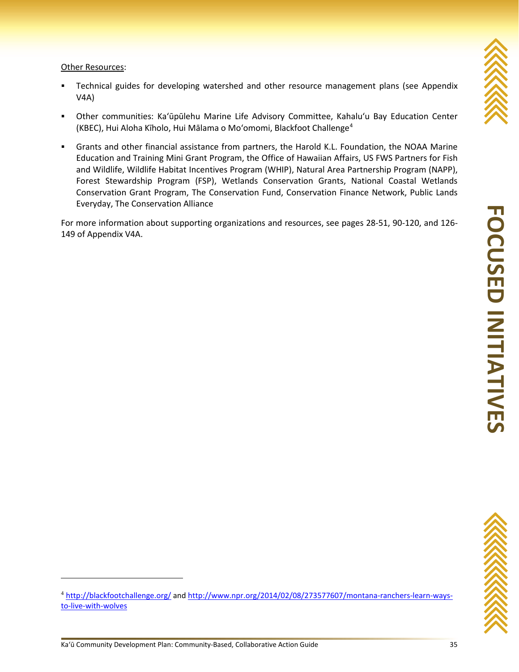### Other Resources:

<span id="page-36-0"></span> $\overline{a}$ 

- Technical guides for developing watershed and other resource management plans (see Appendix V4A)
- Other communities: Kaʻūpūlehu Marine Life Advisory Committee, Kahalu'u Bay Education Center (KBEC), Hui Aloha Kīholo, Hui Mālama o Mo'omomi, Blackfoot Challenge[4](#page-36-0)
- Grants and other financial assistance from partners, the Harold K.L. Foundation, the NOAA Marine Education and Training Mini Grant Program, the Office of Hawaiian Affairs, US FWS Partners for Fish and Wildlife, Wildlife Habitat Incentives Program (WHIP), Natural Area Partnership Program (NAPP), Forest Stewardship Program (FSP), Wetlands Conservation Grants, National Coastal Wetlands Conservation Grant Program, The Conservation Fund, Conservation Finance Network, Public Lands Everyday, The Conservation Alliance

For more information about supporting organizations and resources, see pages 28-51, 90-120, and 126- 149 of Appendix V4A.



<sup>4</sup> <http://blackfootchallenge.org/> and [http://www.npr.org/2014/02/08/273577607/montana](http://www.npr.org/2014/02/08/273577607/montana-ranchers-learn-ways-to-live-with-wolves)-ranchers-learn-waysto-live-with-[wolves](http://www.npr.org/2014/02/08/273577607/montana-ranchers-learn-ways-to-live-with-wolves)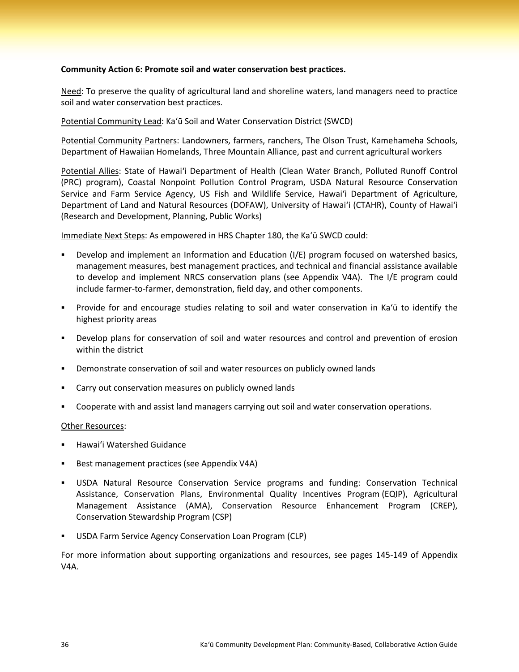### **Community Action 6: Promote soil and water conservation best practices.**

Need: To preserve the quality of agricultural land and shoreline waters, land managers need to practice soil and water conservation best practices.

### Potential Community Lead: Ka'ū Soil and Water Conservation District (SWCD)

Potential Community Partners: Landowners, farmers, ranchers, The Olson Trust, Kamehameha Schools, Department of Hawaiian Homelands, Three Mountain Alliance, past and current agricultural workers

Potential Allies: State of Hawai'i Department of Health (Clean Water Branch, Polluted Runoff Control (PRC) program), Coastal Nonpoint Pollution Control Program, USDA Natural Resource Conservation Service and Farm Service Agency, US Fish and Wildlife Service, Hawai'i Department of Agriculture, Department of Land and Natural Resources (DOFAW), University of Hawai'i (CTAHR), County of Hawai'i (Research and Development, Planning, Public Works)

Immediate Next Steps: As empowered in HRS Chapter 180, the Ka'ū SWCD could:

- Develop and implement an Information and Education (I/E) program focused on watershed basics, management measures, best management practices, and technical and financial assistance available to develop and implement NRCS conservation plans (see Appendix V4A). The I/E program could include farmer-to-farmer, demonstration, field day, and other components.
- Provide for and encourage studies relating to soil and water conservation in Ka'ū to identify the highest priority areas
- Develop plans for conservation of soil and water resources and control and prevention of erosion within the district
- Demonstrate conservation of soil and water resources on publicly owned lands
- Carry out conservation measures on publicly owned lands
- Cooperate with and assist land managers carrying out soil and water conservation operations.

### Other Resources:

- Hawai'i Watershed Guidance
- Best management practices (see Appendix V4A)
- USDA Natural Resource Conservation Service programs and funding: Conservation Technical Assistance, Conservation Plans, Environmental Quality Incentives Program (EQIP), Agricultural Management Assistance (AMA), Conservation Resource Enhancement Program (CREP), Conservation Stewardship Program (CSP)
- USDA Farm Service Agency Conservation Loan Program (CLP)

For more information about supporting organizations and resources, see pages 145-149 of Appendix V4A.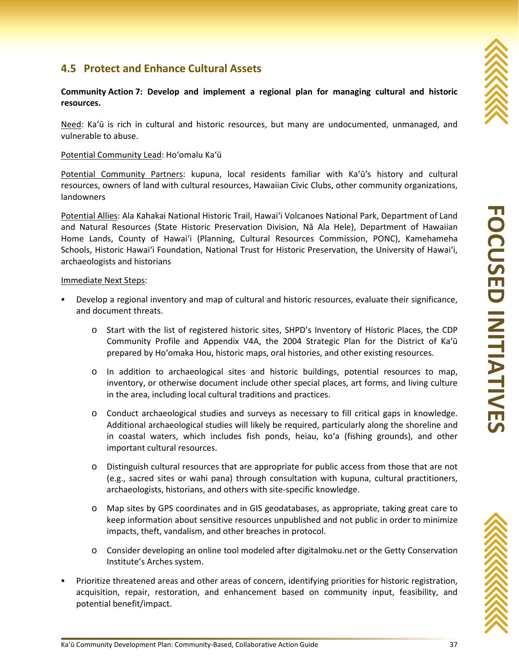# **4.5 Protect and Enhance Cultural Assets**

**Community Action 7: Develop and implement a regional plan for managing cultural and historic resources.**

Need: Ka'ū is rich in cultural and historic resources, but many are undocumented, unmanaged, and vulnerable to abuse.

### Potential Community Lead: Hoʻomalu Ka'ū

Potential Community Partners: kupuna, local residents familiar with Ka'ū's history and cultural resources, owners of land with cultural resources, Hawaiian Civic Clubs, other community organizations, landowners

Potential Allies: Ala Kahakai National Historic Trail, Hawai'i Volcanoes National Park, Department of Land and Natural Resources (State Historic Preservation Division, Nā Ala Hele), Department of Hawaiian Home Lands, County of Hawai'i (Planning, Cultural Resources Commission, PONC), Kamehameha Schools, Historic Hawai'i Foundation, National Trust for Historic Preservation, the University of Hawai'i, archaeologists and historians

### Immediate Next Steps:

- Develop a regional inventory and map of cultural and historic resources, evaluate their significance, and document threats.
	- o Start with the list of registered historic sites, SHPD's Inventory of Historic Places, the CDP Community Profile and Appendix V4A, the 2004 Strategic Plan for the District of Ka'ū prepared by Ho'omaka Hou, historic maps, oral histories, and other existing resources.
	- o In addition to archaeological sites and historic buildings, potential resources to map, inventory, or otherwise document include other special places, art forms, and living culture in the area, including local cultural traditions and practices.
	- o Conduct archaeological studies and surveys as necessary to fill critical gaps in knowledge. Additional archaeological studies will likely be required, particularly along the shoreline and in coastal waters, which includes fish ponds, heiau, ko'a (fishing grounds), and other important cultural resources.
	- o Distinguish cultural resources that are appropriate for public access from those that are not (e.g., sacred sites or wahi pana) through consultation with kupuna, cultural practitioners, archaeologists, historians, and others with site-specific knowledge.
	- o Map sites by GPS coordinates and in GIS geodatabases, as appropriate, taking great care to keep information about sensitive resources unpublished and not public in order to minimize impacts, theft, vandalism, and other breaches in protocol.
	- o Consider developing an online tool modeled after digitalmoku.net or the Getty Conservation Institute's Arches system.
- Prioritize threatened areas and other areas of concern, identifying priorities for historic registration, acquisition, repair, restoration, and enhancement based on community input, feasibility, and potential benefit/impact.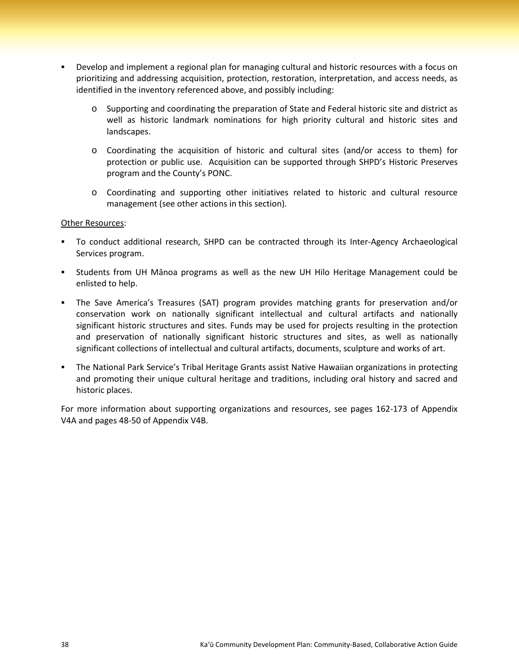- Develop and implement a regional plan for managing cultural and historic resources with a focus on prioritizing and addressing acquisition, protection, restoration, interpretation, and access needs, as identified in the inventory referenced above, and possibly including:
	- o Supporting and coordinating the preparation of State and Federal historic site and district as well as historic landmark nominations for high priority cultural and historic sites and landscapes.
	- o Coordinating the acquisition of historic and cultural sites (and/or access to them) for protection or public use. Acquisition can be supported through SHPD's Historic Preserves program and the County's PONC.
	- o Coordinating and supporting other initiatives related to historic and cultural resource management (see other actions in this section).

### Other Resources:

- To conduct additional research, SHPD can be contracted through its Inter-Agency Archaeological Services program.
- Students from UH Mānoa programs as well as the new UH Hilo Heritage Management could be enlisted to help.
- The Save America's Treasures (SAT) program provides matching grants for preservation and/or conservation work on nationally significant intellectual and cultural artifacts and nationally significant historic structures and sites. Funds may be used for projects resulting in the protection and preservation of nationally significant historic structures and sites, as well as nationally significant collections of intellectual and cultural artifacts, documents, sculpture and works of art.
- The National Park Service's Tribal Heritage Grants assist Native Hawaiian organizations in protecting and promoting their unique cultural heritage and traditions, including oral history and sacred and historic places.

For more information about supporting organizations and resources, see pages 162-173 of Appendix V4A and pages 48-50 of Appendix V4B.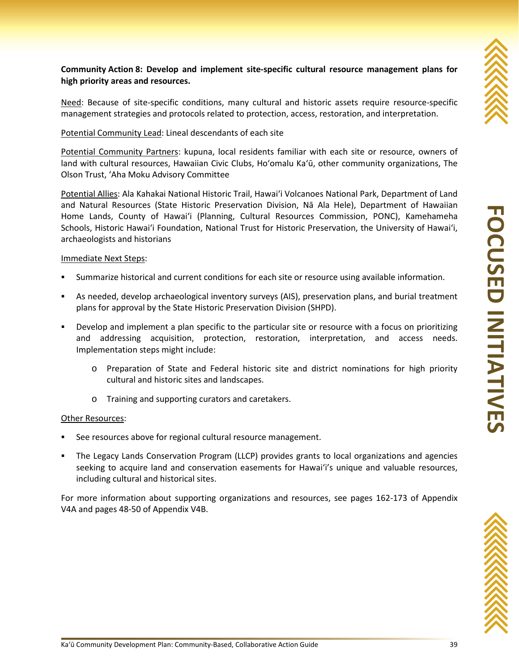# **Community Action 8: Develop and implement site-specific cultural resource management plans for high priority areas and resources.**

Need: Because of site-specific conditions, many cultural and historic assets require resource-specific management strategies and protocols related to protection, access, restoration, and interpretation.

### Potential Community Lead: Lineal descendants of each site

Potential Community Partners: kupuna, local residents familiar with each site or resource, owners of land with cultural resources, Hawaiian Civic Clubs, Hoʻomalu Ka'ū, other community organizations, The Olson Trust, 'Aha Moku Advisory Committee

Potential Allies: Ala Kahakai National Historic Trail, Hawai'i Volcanoes National Park, Department of Land and Natural Resources (State Historic Preservation Division, Nā Ala Hele), Department of Hawaiian Home Lands, County of Hawai'i (Planning, Cultural Resources Commission, PONC), Kamehameha Schools, Historic Hawai'i Foundation, National Trust for Historic Preservation, the University of Hawai'i, archaeologists and historians

### Immediate Next Steps:

- Summarize historical and current conditions for each site or resource using available information.
- As needed, develop archaeological inventory surveys (AIS), preservation plans, and burial treatment plans for approval by the State Historic Preservation Division (SHPD).
- Develop and implement a plan specific to the particular site or resource with a focus on prioritizing and addressing acquisition, protection, restoration, interpretation, and access needs. Implementation steps might include:
	- o Preparation of State and Federal historic site and district nominations for high priority cultural and historic sites and landscapes.
	- o Training and supporting curators and caretakers.

# Other Resources:

- See resources above for regional cultural resource management.
- The Legacy Lands Conservation Program (LLCP) provides grants to local organizations and agencies seeking to acquire land and conservation easements for Hawai'i's unique and valuable resources, including cultural and historical sites.

For more information about supporting organizations and resources, see pages 162-173 of Appendix V4A and pages 48-50 of Appendix V4B.

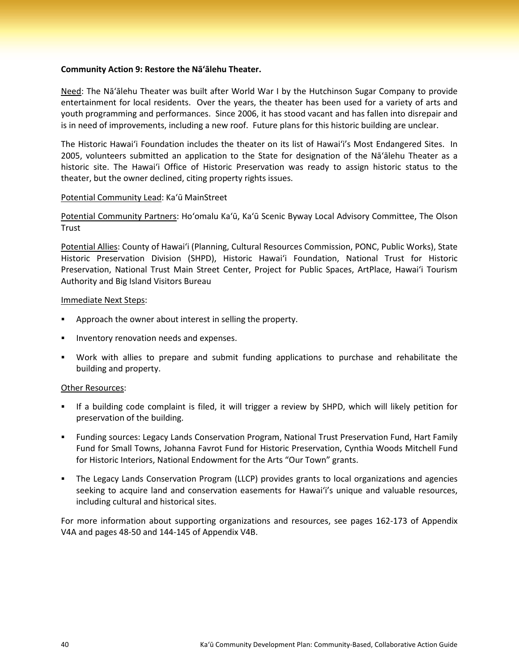### **Community Action 9: Restore the Nāʻālehu Theater.**

Need: The Nāʻālehu Theater was built after World War I by the Hutchinson Sugar Company to provide entertainment for local residents. Over the years, the theater has been used for a variety of arts and youth programming and performances. Since 2006, it has stood vacant and has fallen into disrepair and is in need of improvements, including a new roof. Future plans for this historic building are unclear.

The Historic Hawai'i Foundation includes the theater on its list of Hawai'i's Most Endangered Sites. In 2005, volunteers submitted an application to the State for designation of the Nāʻālehu Theater as a historic site. The Hawai'i Office of Historic Preservation was ready to assign historic status to the theater, but the owner declined, citing property rights issues.

### Potential Community Lead: Ka'ū MainStreet

Potential Community Partners: Hoʻomalu Ka'ū, Ka'ū Scenic Byway Local Advisory Committee, The Olson Trust

Potential Allies: County of Hawai'i (Planning, Cultural Resources Commission, PONC, Public Works), State Historic Preservation Division (SHPD), Historic Hawai'i Foundation, National Trust for Historic Preservation, National Trust Main Street Center, Project for Public Spaces, ArtPlace, Hawai'i Tourism Authority and Big Island Visitors Bureau

### Immediate Next Steps:

- Approach the owner about interest in selling the property.
- Inventory renovation needs and expenses.
- Work with allies to prepare and submit funding applications to purchase and rehabilitate the building and property.

# Other Resources:

- If a building code complaint is filed, it will trigger a review by SHPD, which will likely petition for preservation of the building.
- Funding sources: Legacy Lands Conservation Program, National Trust Preservation Fund, Hart Family Fund for Small Towns, Johanna Favrot Fund for Historic Preservation, Cynthia Woods Mitchell Fund for Historic Interiors, National Endowment for the Arts "Our Town" grants.
- The Legacy Lands Conservation Program (LLCP) provides grants to local organizations and agencies seeking to acquire land and conservation easements for Hawai'i's unique and valuable resources, including cultural and historical sites.

For more information about supporting organizations and resources, see pages 162-173 of Appendix V4A and pages 48-50 and 144-145 of Appendix V4B.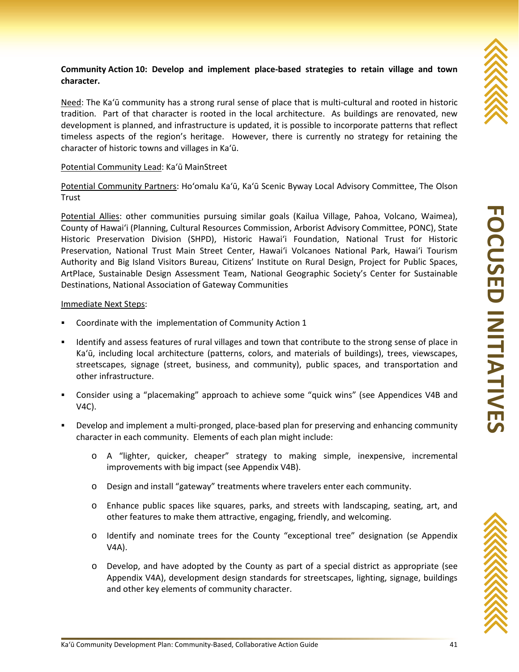# **Community Action 10: Develop and implement place-based strategies to retain village and town character.**

Need: The Ka'ū community has a strong rural sense of place that is multi-cultural and rooted in historic tradition. Part of that character is rooted in the local architecture. As buildings are renovated, new development is planned, and infrastructure is updated, it is possible to incorporate patterns that reflect timeless aspects of the region's heritage. However, there is currently no strategy for retaining the character of historic towns and villages in Ka'ū.

# Potential Community Lead: Ka'ū MainStreet

Potential Community Partners: Hoʻomalu Ka'ū, Ka'ū Scenic Byway Local Advisory Committee, The Olson Trust

Potential Allies: other communities pursuing similar goals (Kailua Village, Pahoa, Volcano, Waimea), County of Hawai'i (Planning, Cultural Resources Commission, Arborist Advisory Committee, PONC), State Historic Preservation Division (SHPD), Historic Hawai'i Foundation, National Trust for Historic Preservation, National Trust Main Street Center, Hawai'i Volcanoes National Park, Hawai'i Tourism Authority and Big Island Visitors Bureau, Citizens' Institute on Rural Design, Project for Public Spaces, ArtPlace, Sustainable Design Assessment Team, National Geographic Society's Center for Sustainable Destinations, National Association of Gateway Communities

### Immediate Next Steps:

- Coordinate with the implementation of Community Action 1
- Identify and assess features of rural villages and town that contribute to the strong sense of place in Ka'ū, including local architecture (patterns, colors, and materials of buildings), trees, viewscapes, streetscapes, signage (street, business, and community), public spaces, and transportation and other infrastructure.
- Consider using a "placemaking" approach to achieve some "quick wins" (see Appendices V4B and V4C).
- Develop and implement a multi-pronged, place-based plan for preserving and enhancing community character in each community. Elements of each plan might include:
	- o A "lighter, quicker, cheaper" strategy to making simple, inexpensive, incremental improvements with big impact (see Appendix V4B).
	- o Design and install "gateway" treatments where travelers enter each community.
	- o Enhance public spaces like squares, parks, and streets with landscaping, seating, art, and other features to make them attractive, engaging, friendly, and welcoming.
	- o Identify and nominate trees for the County "exceptional tree" designation (se Appendix V4A).
	- o Develop, and have adopted by the County as part of a special district as appropriate (see Appendix V4A), development design standards for streetscapes, lighting, signage, buildings and other key elements of community character.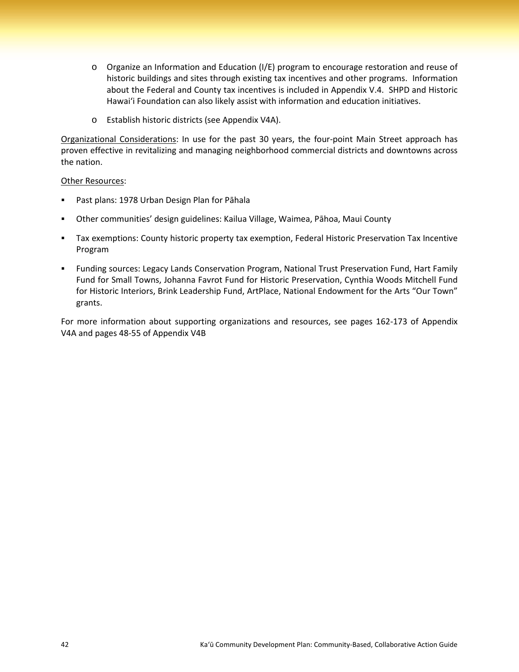- $\circ$  Organize an Information and Education (I/E) program to encourage restoration and reuse of historic buildings and sites through existing tax incentives and other programs. Information about the Federal and County tax incentives is included in Appendix V.4. SHPD and Historic Hawai'i Foundation can also likely assist with information and education initiatives.
- o Establish historic districts (see Appendix V4A).

Organizational Considerations: In use for the past 30 years, the four-point Main Street approach has proven effective in revitalizing and managing neighborhood commercial districts and downtowns across the nation.

### Other Resources:

- Past plans: 1978 Urban Design Plan for Pāhala
- Other communities' design guidelines: Kailua Village, Waimea, Pāhoa, Maui County
- Tax exemptions: County historic property tax exemption, Federal Historic Preservation Tax Incentive Program
- Funding sources: Legacy Lands Conservation Program, National Trust Preservation Fund, Hart Family Fund for Small Towns, Johanna Favrot Fund for Historic Preservation, Cynthia Woods Mitchell Fund for Historic Interiors, Brink Leadership Fund, ArtPlace, National Endowment for the Arts "Our Town" grants.

For more information about supporting organizations and resources, see pages 162-173 of Appendix V4A and pages 48-55 of Appendix V4B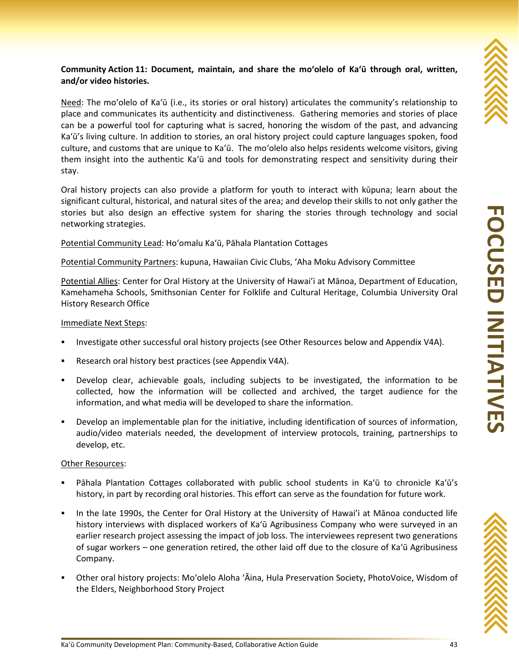# **Community Action 11: Document, maintain, and share the mo'olelo of Ka'ū through oral, written, and/or video histories.**

Need: The mo'olelo of Ka'ū (i.e., its stories or oral history) articulates the community's relationship to place and communicates its authenticity and distinctiveness. Gathering memories and stories of place can be a powerful tool for capturing what is sacred, honoring the wisdom of the past, and advancing Ka'ū's living culture. In addition to stories, an oral history project could capture languages spoken, food culture, and customs that are unique to Ka'ū. The mo'olelo also helps residents welcome visitors, giving them insight into the authentic Ka'ū and tools for demonstrating respect and sensitivity during their stay.

Oral history projects can also provide a platform for youth to interact with kūpuna; learn about the significant cultural, historical, and natural sites of the area; and develop their skills to not only gather the stories but also design an effective system for sharing the stories through technology and social networking strategies.

Potential Community Lead: Hoʻomalu Ka'ū, Pāhala Plantation Cottages

Potential Community Partners: kupuna, Hawaiian Civic Clubs, 'Aha Moku Advisory Committee

Potential Allies: Center for Oral History at the University of Hawai'i at Mānoa, Department of Education, Kamehameha Schools, Smithsonian Center for Folklife and Cultural Heritage, Columbia University Oral History Research Office

# Immediate Next Steps:

- Investigate other successful oral history projects (see Other Resources below and Appendix V4A).
- Research oral history best practices (see Appendix V4A).
- Develop clear, achievable goals, including subjects to be investigated, the information to be collected, how the information will be collected and archived, the target audience for the information, and what media will be developed to share the information.
- Develop an implementable plan for the initiative, including identification of sources of information, audio/video materials needed, the development of interview protocols, training, partnerships to develop, etc.

# Other Resources:

- Pāhala Plantation Cottages collaborated with public school students in Ka'ū to chronicle Ka'ū's history, in part by recording oral histories. This effort can serve as the foundation for future work.
- In the late 1990s, the Center for Oral History at the University of Hawai'i at Mānoa conducted life history interviews with displaced workers of Ka'ū Agribusiness Company who were surveyed in an earlier research project assessing the impact of job loss. The interviewees represent two generations of sugar workers – one generation retired, the other laid off due to the closure of Ka'ū Agribusiness Company.
- Other oral history projects: Mo'olelo Aloha 'Āina, Hula Preservation Society, PhotoVoice, Wisdom of the Elders, Neighborhood Story Project

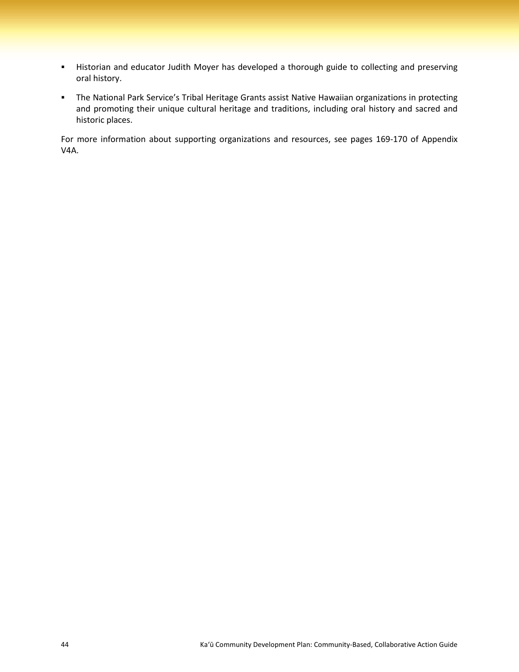- Historian and educator Judith Moyer has developed a thorough guide to collecting and preserving oral history.
- The National Park Service's Tribal Heritage Grants assist Native Hawaiian organizations in protecting and promoting their unique cultural heritage and traditions, including oral history and sacred and historic places.

For more information about supporting organizations and resources, see pages 169-170 of Appendix V4A.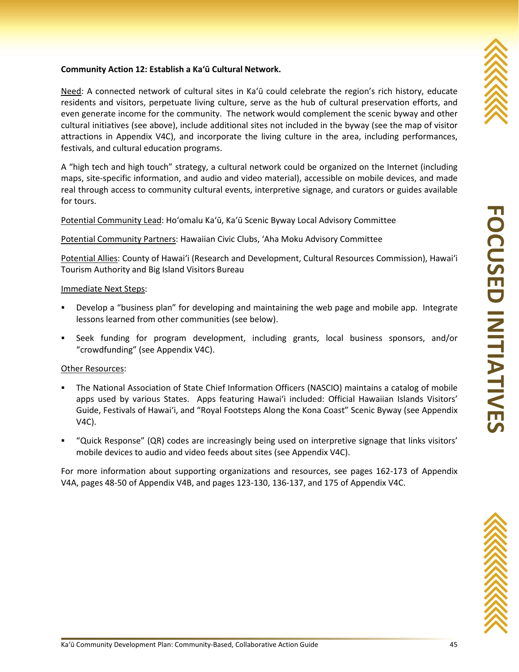# **Community Action 12: Establish a Ka'ū Cultural Network.**

Need: A connected network of cultural sites in Ka'ū could celebrate the region's rich history, educate residents and visitors, perpetuate living culture, serve as the hub of cultural preservation efforts, and even generate income for the community. The network would complement the scenic byway and other cultural initiatives (see above), include additional sites not included in the byway (see the map of visitor attractions in Appendix V4C), and incorporate the living culture in the area, including performances, festivals, and cultural education programs.

A "high tech and high touch" strategy, a cultural network could be organized on the Internet (including maps, site-specific information, and audio and video material), accessible on mobile devices, and made real through access to community cultural events, interpretive signage, and curators or guides available for tours.

Potential Community Lead: Hoʻomalu Ka'ū, Ka'ū Scenic Byway Local Advisory Committee

Potential Community Partners: Hawaiian Civic Clubs, 'Aha Moku Advisory Committee

Potential Allies: County of Hawai'i (Research and Development, Cultural Resources Commission), Hawai'i Tourism Authority and Big Island Visitors Bureau

### Immediate Next Steps:

- Develop a "business plan" for developing and maintaining the web page and mobile app. Integrate lessons learned from other communities (see below).
- Seek funding for program development, including grants, local business sponsors, and/or "crowdfunding" (see Appendix V4C).

# Other Resources:

- The National Association of State Chief Information Officers (NASCIO) maintains a catalog of mobile apps used by various States. Apps featuring Hawai'i included: Official Hawaiian Islands Visitors' Guide, Festivals of Hawai'i, and "Royal Footsteps Along the Kona Coast" Scenic Byway (see Appendix V4C).
- "Quick Response" (QR) codes are increasingly being used on interpretive signage that links visitors' mobile devices to audio and video feeds about sites (see Appendix V4C).

For more information about supporting organizations and resources, see pages 162-173 of Appendix V4A, pages 48-50 of Appendix V4B, and pages 123-130, 136-137, and 175 of Appendix V4C.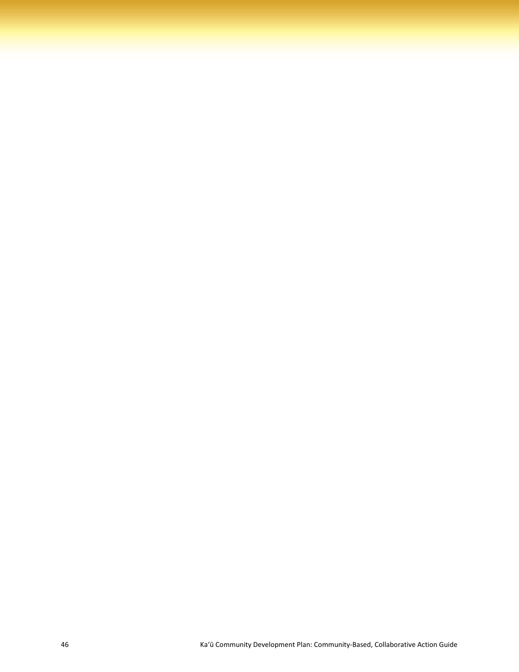Ka'ū Community Development Plan: Community-Based, Collaborative Action Guide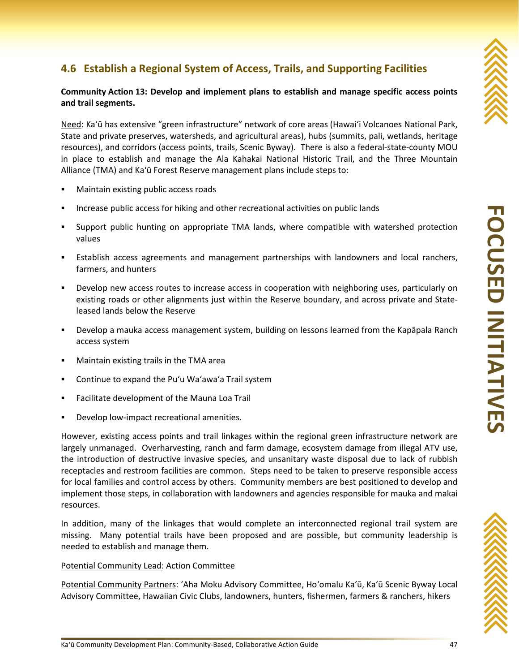# **4.6 Establish a Regional System of Access, Trails, and Supporting Facilities**

**Community Action 13: Develop and implement plans to establish and manage specific access points and trail segments.**

Need: Ka'ū has extensive "green infrastructure" network of core areas (Hawai'i Volcanoes National Park, State and private preserves, watersheds, and agricultural areas), hubs (summits, pali, wetlands, heritage resources), and corridors (access points, trails, Scenic Byway). There is also a federal-state-county MOU in place to establish and manage the Ala Kahakai National Historic Trail, and the Three Mountain Alliance (TMA) and Ka'ū Forest Reserve management plans include steps to:

- Maintain existing public access roads
- Increase public access for hiking and other recreational activities on public lands
- Support public hunting on appropriate TMA lands, where compatible with watershed protection values
- Establish access agreements and management partnerships with landowners and local ranchers, farmers, and hunters
- Develop new access routes to increase access in cooperation with neighboring uses, particularly on existing roads or other alignments just within the Reserve boundary, and across private and Stateleased lands below the Reserve
- Develop a mauka access management system, building on lessons learned from the Kapāpala Ranch access system
- Maintain existing trails in the TMA area
- Continue to expand the Pu'u Wa'awa'a Trail system
- Facilitate development of the Mauna Loa Trail
- Develop low-impact recreational amenities.

However, existing access points and trail linkages within the regional green infrastructure network are largely unmanaged. Overharvesting, ranch and farm damage, ecosystem damage from illegal ATV use, the introduction of destructive invasive species, and unsanitary waste disposal due to lack of rubbish receptacles and restroom facilities are common. Steps need to be taken to preserve responsible access for local families and control access by others. Community members are best positioned to develop and implement those steps, in collaboration with landowners and agencies responsible for mauka and makai resources.

In addition, many of the linkages that would complete an interconnected regional trail system are missing. Many potential trails have been proposed and are possible, but community leadership is needed to establish and manage them.

# Potential Community Lead: Action Committee

Potential Community Partners: 'Aha Moku Advisory Committee, Hoʻomalu Ka'ū, Ka'ū Scenic Byway Local Advisory Committee, Hawaiian Civic Clubs, landowners, hunters, fishermen, farmers & ranchers, hikers

Ka'ū Community Development Plan: Community-Based, Collaborative Action Guide 47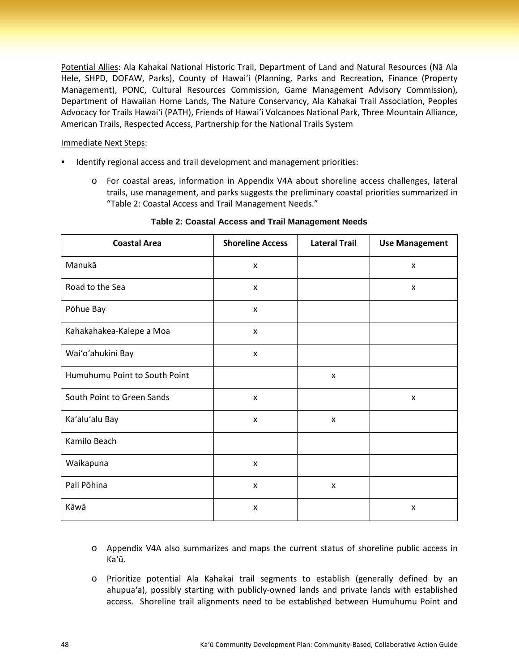Potential Allies: Ala Kahakai National Historic Trail, Department of Land and Natural Resources (Nā Ala Hele, SHPD, DOFAW, Parks), County of Hawai'i (Planning, Parks and Recreation, Finance (Property Management), PONC, Cultural Resources Commission, Game Management Advisory Commission), Department of Hawaiian Home Lands, The Nature Conservancy, Ala Kahakai Trail Association, Peoples Advocacy for Trails Hawai'i (PATH), Friends of Hawai'i Volcanoes National Park, Three Mountain Alliance, American Trails, Respected Access, Partnership for the National Trails System

### Immediate Next Steps:

- Identify regional access and trail development and management priorities:
	- o For coastal areas, information in Appendix V4A about shoreline access challenges, lateral trails, use management, and parks suggests the preliminary coastal priorities summarized in "Table 2[: Coastal Access and Trail Management Needs.](#page-49-0)"

<span id="page-49-0"></span>

| <b>Coastal Area</b>           | <b>Shoreline Access</b> | <b>Lateral Trail</b> | <b>Use Management</b> |
|-------------------------------|-------------------------|----------------------|-----------------------|
| Manukā                        | X                       |                      | X                     |
| Road to the Sea               | X                       |                      | X                     |
| Pōhue Bay                     | X                       |                      |                       |
| Kahakahakea-Kalepe a Moa      | X                       |                      |                       |
| Wai'o'ahukini Bay             | X                       |                      |                       |
| Humuhumu Point to South Point |                         | $\mathsf{x}$         |                       |
| South Point to Green Sands    | $\mathsf{x}$            |                      | X                     |
| Ka'alu'alu Bay                | X                       | X                    |                       |
| Kamilo Beach                  |                         |                      |                       |
| Waikapuna                     | X                       |                      |                       |
| Pali Pōhina                   | X                       | X                    |                       |
| Kāwā                          | X                       |                      | X                     |

### **Table 2: Coastal Access and Trail Management Needs**

- o Appendix V4A also summarizes and maps the current status of shoreline public access in Ka'ū.
- o Prioritize potential Ala Kahakai trail segments to establish (generally defined by an ahupua'a), possibly starting with publicly-owned lands and private lands with established access. Shoreline trail alignments need to be established between Humuhumu Point and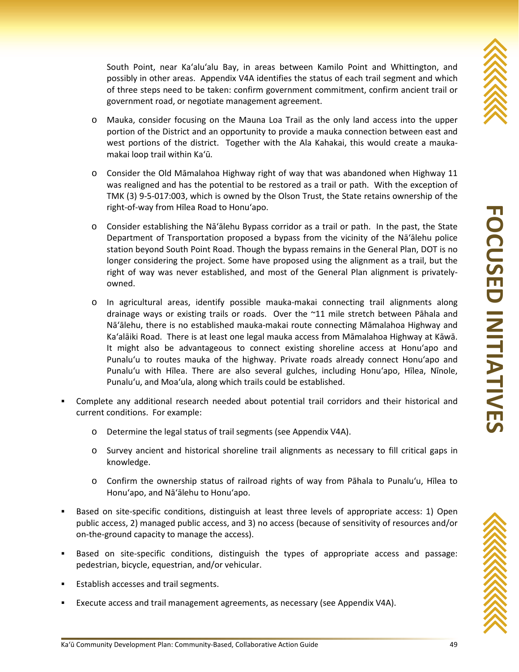South Point, near Ka'alu'alu Bay, in areas between Kamilo Point and Whittington, and possibly in other areas. Appendix V4A identifies the status of each trail segment and which of three steps need to be taken: confirm government commitment, confirm ancient trail or government road, or negotiate management agreement.

- o Mauka, consider focusing on the Mauna Loa Trail as the only land access into the upper portion of the District and an opportunity to provide a mauka connection between east and west portions of the district. Together with the Ala Kahakai, this would create a maukamakai loop trail within Ka'ū.
- o Consider the Old Māmalahoa Highway right of way that was abandoned when Highway 11 was realigned and has the potential to be restored as a trail or path. With the exception of TMK (3) 9-5-017:003, which is owned by the Olson Trust, the State retains ownership of the right-of-way from Hīlea Road to Honuʻapo.
- o Consider establishing the Nāʻālehu Bypass corridor as a trail or path. In the past, the State Department of Transportation proposed a bypass from the vicinity of the Nāʻālehu police station beyond South Point Road. Though the bypass remains in the General Plan, DOT is no longer considering the project. Some have proposed using the alignment as a trail, but the right of way was never established, and most of the General Plan alignment is privatelyowned.
- o In agricultural areas, identify possible mauka-makai connecting trail alignments along drainage ways or existing trails or roads. Over the ~11 mile stretch between Pāhala and Nāʻālehu, there is no established mauka-makai route connecting Māmalahoa Highway and Ka'alāiki Road. There is at least one legal mauka access from Māmalahoa Highway at Kāwā. It might also be advantageous to connect existing shoreline access at Honuʻapo and Punaluʻu to routes mauka of the highway. Private roads already connect Honuʻapo and Punaluʻu with Hīlea. There are also several gulches, including Honuʻapo, Hīlea, Nīnole, Punaluʻu, and Moa'ula, along which trails could be established.
- Complete any additional research needed about potential trail corridors and their historical and current conditions. For example:
	- o Determine the legal status of trail segments (see Appendix V4A).
	- o Survey ancient and historical shoreline trail alignments as necessary to fill critical gaps in knowledge.
	- o Confirm the ownership status of railroad rights of way from Pāhala to Punaluʻu, Hīlea to Honuʻapo, and Nāʻālehu to Honuʻapo.
- Based on site-specific conditions, distinguish at least three levels of appropriate access: 1) Open public access, 2) managed public access, and 3) no access (because of sensitivity of resources and/or on-the-ground capacity to manage the access).
- Based on site-specific conditions, distinguish the types of appropriate access and passage: pedestrian, bicycle, equestrian, and/or vehicular.
- Establish accesses and trail segments.
- Execute access and trail management agreements, as necessary (see Appendix V4A).

**FOCUSED INITIATIVES FOCUSED INITIATIVES**

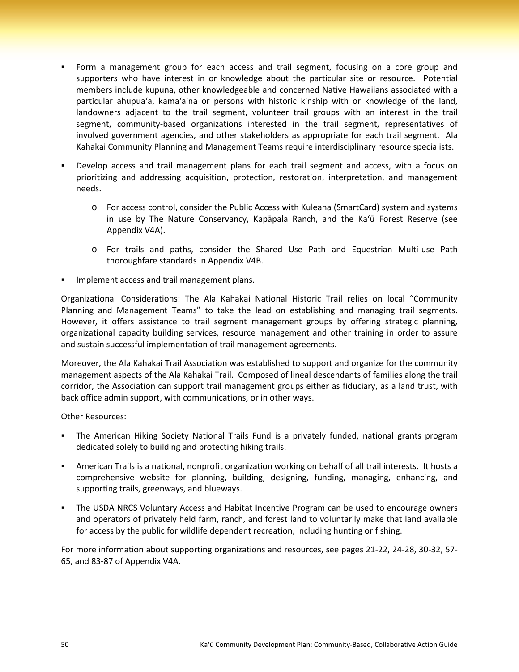- Form a management group for each access and trail segment, focusing on a core group and supporters who have interest in or knowledge about the particular site or resource. Potential members include kupuna, other knowledgeable and concerned Native Hawaiians associated with a particular ahupua'a, kama'aina or persons with historic kinship with or knowledge of the land, landowners adjacent to the trail segment, volunteer trail groups with an interest in the trail segment, community-based organizations interested in the trail segment, representatives of involved government agencies, and other stakeholders as appropriate for each trail segment. Ala Kahakai Community Planning and Management Teams require interdisciplinary resource specialists.
- Develop access and trail management plans for each trail segment and access, with a focus on prioritizing and addressing acquisition, protection, restoration, interpretation, and management needs.
	- o For access control, consider the Public Access with Kuleana (SmartCard) system and systems in use by The Nature Conservancy, Kapāpala Ranch, and the Ka'ū Forest Reserve (see Appendix V4A).
	- o For trails and paths, consider the Shared Use Path and Equestrian Multi-use Path thoroughfare standards in Appendix V4B.
- Implement access and trail management plans.

Organizational Considerations: The Ala Kahakai National Historic Trail relies on local "Community Planning and Management Teams" to take the lead on establishing and managing trail segments. However, it offers assistance to trail segment management groups by offering strategic planning, organizational capacity building services, resource management and other training in order to assure and sustain successful implementation of trail management agreements.

Moreover, the Ala Kahakai Trail Association was established to support and organize for the community management aspects of the Ala Kahakai Trail. Composed of lineal descendants of families along the trail corridor, the Association can support trail management groups either as fiduciary, as a land trust, with back office admin support, with communications, or in other ways.

# Other Resources:

- The American Hiking Society National Trails Fund is a privately funded, national grants program dedicated solely to building and protecting hiking trails.
- American Trails is a national, nonprofit organization working on behalf of all trail interests. It hosts a comprehensive website for planning, building, designing, funding, managing, enhancing, and supporting trails, greenways, and blueways.
- The USDA NRCS Voluntary Access and Habitat Incentive Program can be used to encourage owners and operators of privately held farm, ranch, and forest land to voluntarily make that land available for access by the public for wildlife dependent recreation, including hunting or fishing.

For more information about supporting organizations and resources, see pages 21-22, 24-28, 30-32, 57- 65, and 83-87 of Appendix V4A.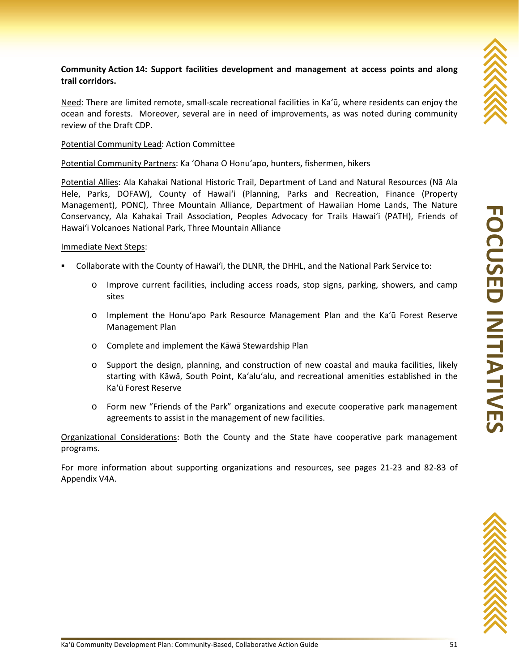# **Community Action 14: Support facilities development and management at access points and along trail corridors.**

Need: There are limited remote, small-scale recreational facilities in Ka'ū, where residents can enjoy the ocean and forests. Moreover, several are in need of improvements, as was noted during community review of the Draft CDP.

### Potential Community Lead: Action Committee

### Potential Community Partners: Ka 'Ohana O Honu'apo, hunters, fishermen, hikers

Potential Allies: Ala Kahakai National Historic Trail, Department of Land and Natural Resources (Nā Ala Hele, Parks, DOFAW), County of Hawai'i (Planning, Parks and Recreation, Finance (Property Management), PONC), Three Mountain Alliance, Department of Hawaiian Home Lands, The Nature Conservancy, Ala Kahakai Trail Association, Peoples Advocacy for Trails Hawai'i (PATH), Friends of Hawai'i Volcanoes National Park, Three Mountain Alliance

### Immediate Next Steps:

- Collaborate with the County of Hawai'i, the DLNR, the DHHL, and the National Park Service to:
	- o Improve current facilities, including access roads, stop signs, parking, showers, and camp sites
	- o Implement the Honuʻapo Park Resource Management Plan and the Ka'ū Forest Reserve Management Plan
	- o Complete and implement the Kāwā Stewardship Plan
	- o Support the design, planning, and construction of new coastal and mauka facilities, likely starting with Kāwā, South Point, Ka'alu'alu, and recreational amenities established in the Ka'ū Forest Reserve
	- o Form new "Friends of the Park" organizations and execute cooperative park management agreements to assist in the management of new facilities.

Organizational Considerations: Both the County and the State have cooperative park management programs.

For more information about supporting organizations and resources, see pages 21-23 and 82-83 of Appendix V4A.

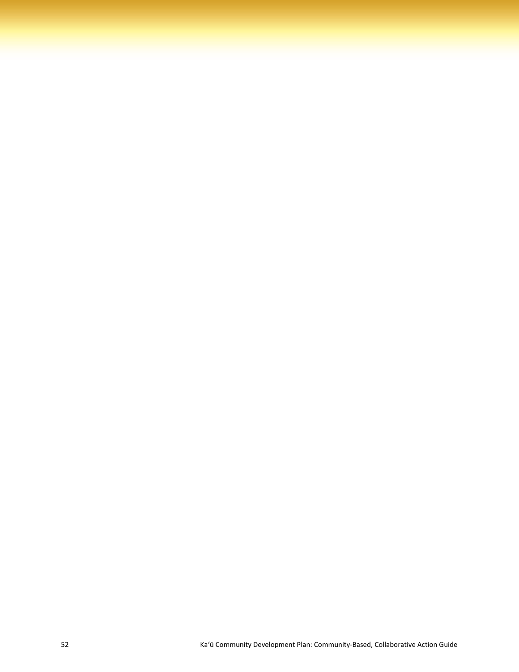Ka'ū Community Development Plan: Community-Based, Collaborative Action Guide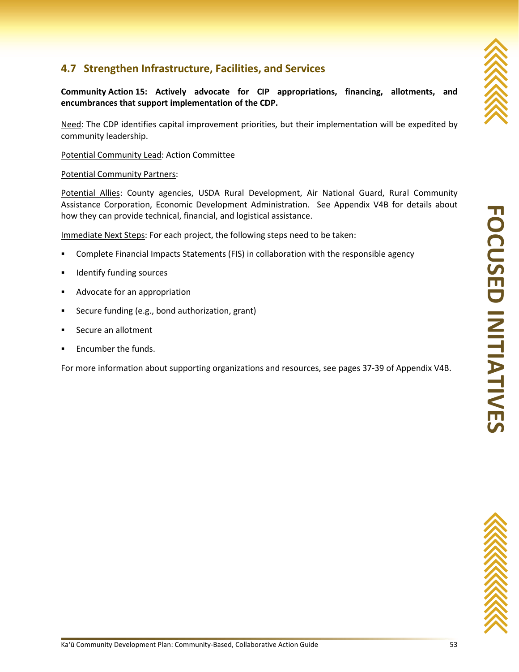# **4.7 Strengthen Infrastructure, Facilities, and Services**

**Community Action 15: Actively advocate for CIP appropriations, financing, allotments, and encumbrances that support implementation of the CDP.**

Need: The CDP identifies capital improvement priorities, but their implementation will be expedited by community leadership.

# Potential Community Lead: Action Committee

# Potential Community Partners:

Potential Allies: County agencies, USDA Rural Development, Air National Guard, Rural Community Assistance Corporation, Economic Development Administration. See Appendix V4B for details about how they can provide technical, financial, and logistical assistance.

Immediate Next Steps: For each project, the following steps need to be taken:

- Complete Financial Impacts Statements (FIS) in collaboration with the responsible agency
- Identify funding sources
- Advocate for an appropriation
- Secure funding (e.g., bond authorization, grant)
- Secure an allotment
- Encumber the funds.

For more information about supporting organizations and resources, see pages 37-39 of Appendix V4B.





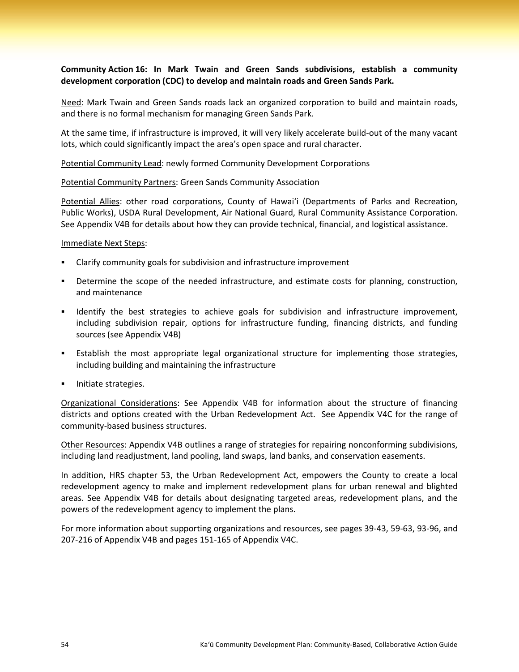# **Community Action 16: In Mark Twain and Green Sands subdivisions, establish a community development corporation (CDC) to develop and maintain roads and Green Sands Park.**

Need: Mark Twain and Green Sands roads lack an organized corporation to build and maintain roads, and there is no formal mechanism for managing Green Sands Park.

At the same time, if infrastructure is improved, it will very likely accelerate build-out of the many vacant lots, which could significantly impact the area's open space and rural character.

Potential Community Lead: newly formed Community Development Corporations

#### Potential Community Partners: Green Sands Community Association

Potential Allies: other road corporations, County of Hawai'i (Departments of Parks and Recreation, Public Works), USDA Rural Development, Air National Guard, Rural Community Assistance Corporation. See Appendix V4B for details about how they can provide technical, financial, and logistical assistance.

#### Immediate Next Steps:

- Clarify community goals for subdivision and infrastructure improvement
- Determine the scope of the needed infrastructure, and estimate costs for planning, construction, and maintenance
- Identify the best strategies to achieve goals for subdivision and infrastructure improvement, including subdivision repair, options for infrastructure funding, financing districts, and funding sources (see Appendix V4B)
- Establish the most appropriate legal organizational structure for implementing those strategies, including building and maintaining the infrastructure
- Initiate strategies.

Organizational Considerations: See Appendix V4B for information about the structure of financing districts and options created with the Urban Redevelopment Act. See Appendix V4C for the range of community-based business structures.

Other Resources: Appendix V4B outlines a range of strategies for repairing nonconforming subdivisions, including land readjustment, land pooling, land swaps, land banks, and conservation easements.

In addition, HRS chapter 53, the Urban Redevelopment Act, empowers the County to create a local redevelopment agency to make and implement redevelopment plans for urban renewal and blighted areas. See Appendix V4B for details about designating targeted areas, redevelopment plans, and the powers of the redevelopment agency to implement the plans.

For more information about supporting organizations and resources, see pages 39-43, 59-63, 93-96, and 207-216 of Appendix V4B and pages 151-165 of Appendix V4C.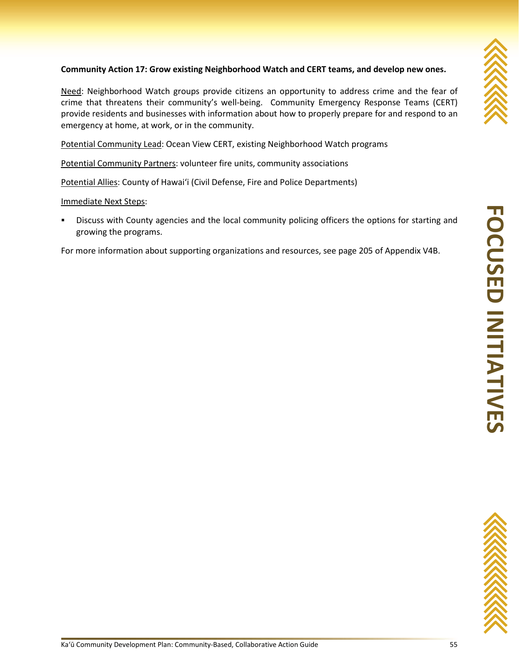

# **Community Action 17: Grow existing Neighborhood Watch and CERT teams, and develop new ones.**

Need: Neighborhood Watch groups provide citizens an opportunity to address crime and the fear of crime that threatens their community's well-being. Community Emergency Response Teams (CERT) provide residents and businesses with information about how to properly prepare for and respond to an emergency at home, at work, or in the community.

Potential Community Lead: Ocean View CERT, existing Neighborhood Watch programs

Potential Community Partners: volunteer fire units, community associations

Potential Allies: County of Hawai'i (Civil Defense, Fire and Police Departments)

### Immediate Next Steps:

 Discuss with County agencies and the local community policing officers the options for starting and growing the programs.

For more information about supporting organizations and resources, see page 205 of Appendix V4B.

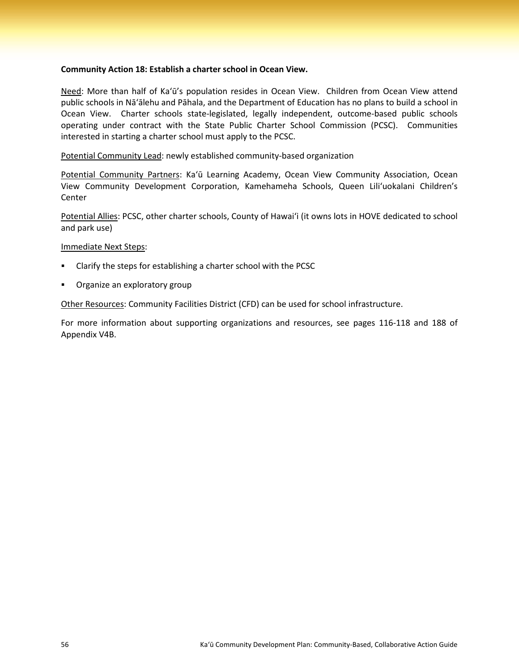### **Community Action 18: Establish a charter school in Ocean View.**

Need: More than half of Ka'ū's population resides in Ocean View. Children from Ocean View attend public schools in Nāʻālehu and Pāhala, and the Department of Education has no plans to build a school in Ocean View. Charter schools state-legislated, legally independent, outcome-based public schools operating under contract with the State Public Charter School Commission (PCSC). Communities interested in starting a charter school must apply to the PCSC.

Potential Community Lead: newly established community-based organization

Potential Community Partners: Ka'ū Learning Academy, Ocean View Community Association, Ocean View Community Development Corporation, Kamehameha Schools, Queen Liliʻuokalani Children's Center

Potential Allies: PCSC, other charter schools, County of Hawai'i (it owns lots in HOVE dedicated to school and park use)

Immediate Next Steps:

- Clarify the steps for establishing a charter school with the PCSC
- Organize an exploratory group

Other Resources: Community Facilities District (CFD) can be used for school infrastructure.

For more information about supporting organizations and resources, see pages 116-118 and 188 of Appendix V4B.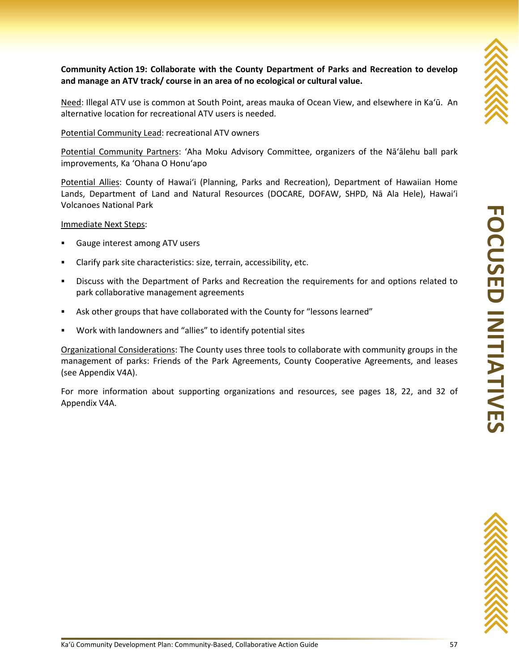# **Community Action 19: Collaborate with the County Department of Parks and Recreation to develop and manage an ATV track/ course in an area of no ecological or cultural value.**

Need: Illegal ATV use is common at South Point, areas mauka of Ocean View, and elsewhere in Ka'ū. An alternative location for recreational ATV users is needed.

### Potential Community Lead: recreational ATV owners

Potential Community Partners: 'Aha Moku Advisory Committee, organizers of the Nāʻālehu ball park improvements, Ka 'Ohana O Honu'apo

Potential Allies: County of Hawai'i (Planning, Parks and Recreation), Department of Hawaiian Home Lands, Department of Land and Natural Resources (DOCARE, DOFAW, SHPD, Nā Ala Hele), Hawai'i Volcanoes National Park

### Immediate Next Steps:

- Gauge interest among ATV users
- Clarify park site characteristics: size, terrain, accessibility, etc.
- Discuss with the Department of Parks and Recreation the requirements for and options related to park collaborative management agreements
- Ask other groups that have collaborated with the County for "lessons learned"
- Work with landowners and "allies" to identify potential sites

Organizational Considerations: The County uses three tools to collaborate with community groups in the management of parks: Friends of the Park Agreements, County Cooperative Agreements, and leases (see Appendix V4A).

For more information about supporting organizations and resources, see pages 18, 22, and 32 of Appendix V4A.

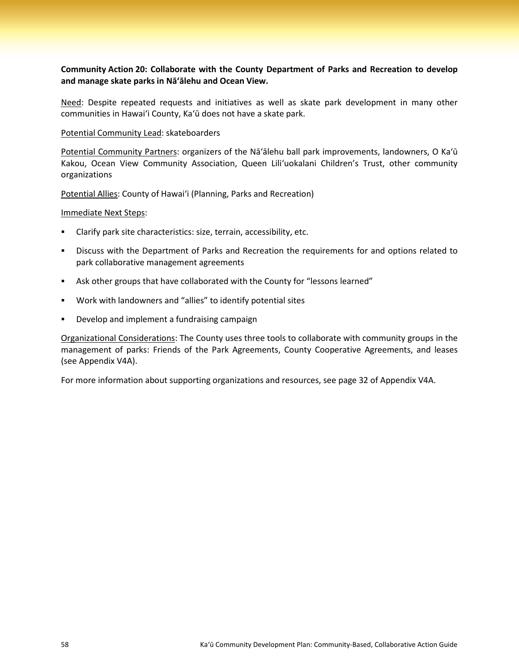# **Community Action 20: Collaborate with the County Department of Parks and Recreation to develop and manage skate parks in Nāʻālehu and Ocean View.**

Need: Despite repeated requests and initiatives as well as skate park development in many other communities in Hawai'i County, Ka'ū does not have a skate park.

Potential Community Lead: skateboarders

Potential Community Partners: organizers of the Nāʻālehu ball park improvements, landowners, O Ka'ū Kakou, Ocean View Community Association, Queen Liliʻuokalani Children's Trust, other community organizations

Potential Allies: County of Hawai'i (Planning, Parks and Recreation)

### Immediate Next Steps:

- Clarify park site characteristics: size, terrain, accessibility, etc.
- Discuss with the Department of Parks and Recreation the requirements for and options related to park collaborative management agreements
- Ask other groups that have collaborated with the County for "lessons learned"
- Work with landowners and "allies" to identify potential sites
- Develop and implement a fundraising campaign

Organizational Considerations: The County uses three tools to collaborate with community groups in the management of parks: Friends of the Park Agreements, County Cooperative Agreements, and leases (see Appendix V4A).

For more information about supporting organizations and resources, see page 32 of Appendix V4A.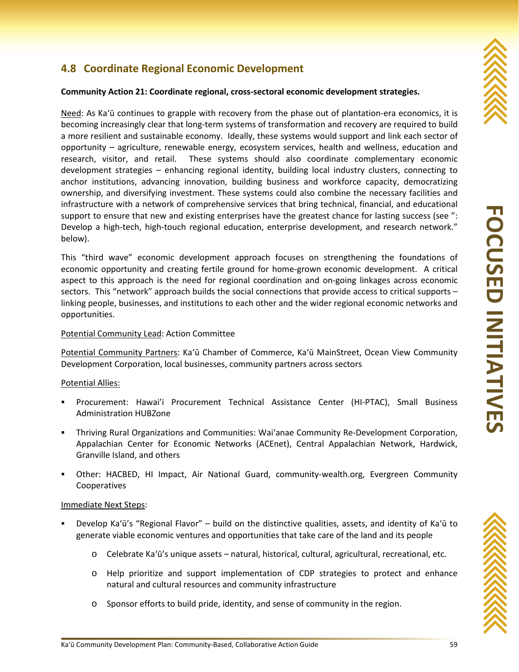

# **4.8 Coordinate Regional Economic Development**

### <span id="page-60-0"></span>**Community Action 21: Coordinate regional, cross-sectoral economic development strategies.**

Need: As Ka'ū continues to grapple with recovery from the phase out of plantation-era economics, it is becoming increasingly clear that long-term systems of transformation and recovery are required to build a more resilient and sustainable economy. Ideally, these systems would support and link each sector of opportunity – agriculture, renewable energy, ecosystem services, health and wellness, education and research, visitor, and retail. These systems should also coordinate complementary economic development strategies – enhancing regional identity, building local industry clusters, connecting to anchor institutions, advancing innovation, building business and workforce capacity, democratizing ownership, and diversifying investment. These systems could also combine the necessary facilities and infrastructure with a network of comprehensive services that bring technical, financial, and educational support to ensure that new and existing enterprises have the greatest chance for lasting success (see [":](#page-63-0)  Develop a high-tech, high-[touch regional education, enterprise development, and research network."](#page-63-0) [below\)](#page-63-0).

This "third wave" economic development approach focuses on strengthening the foundations of economic opportunity and creating fertile ground for home-grown economic development. A critical aspect to this approach is the need for regional coordination and on-going linkages across economic sectors. This "network" approach builds the social connections that provide access to critical supports – linking people, businesses, and institutions to each other and the wider regional economic networks and opportunities.

# Potential Community Lead: Action Committee

Potential Community Partners: Ka'ū Chamber of Commerce, Ka'ū MainStreet, Ocean View Community Development Corporation, local businesses, community partners across sectors

### Potential Allies:

- Procurement: Hawai'i Procurement Technical Assistance Center (HI-PTAC), Small Business Administration HUBZone
- Thriving Rural Organizations and Communities: Wai'anae Community Re-Development Corporation, Appalachian Center for Economic Networks (ACEnet), Central Appalachian Network, Hardwick, Granville Island, and others
- Other: HACBED, HI Impact, Air National Guard, community-wealth.org, Evergreen Community Cooperatives

### Immediate Next Steps:

- Develop Ka'ū's "Regional Flavor" build on the distinctive qualities, assets, and identity of Ka'ū to generate viable economic ventures and opportunities that take care of the land and its people
	- o Celebrate Ka'ū's unique assets natural, historical, cultural, agricultural, recreational, etc.
	- o Help prioritize and support implementation of CDP strategies to protect and enhance natural and cultural resources and community infrastructure
	- o Sponsor efforts to build pride, identity, and sense of community in the region.

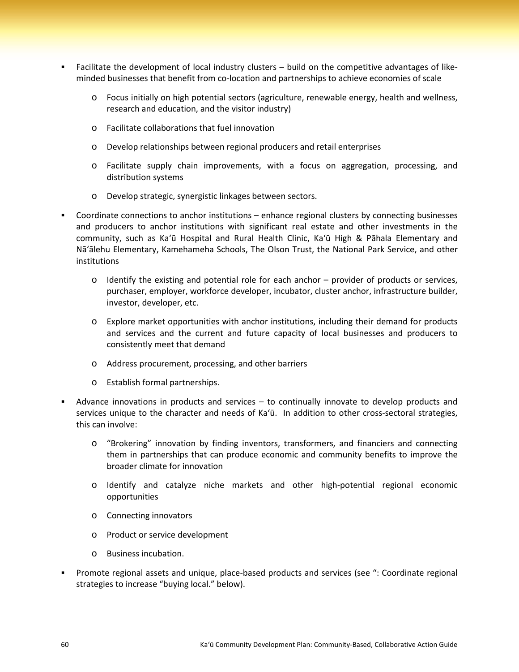- Facilitate the development of local industry clusters build on the competitive advantages of likeminded businesses that benefit from co-location and partnerships to achieve economies of scale
	- o Focus initially on high potential sectors (agriculture, renewable energy, health and wellness, research and education, and the visitor industry)
	- o Facilitate collaborations that fuel innovation
	- o Develop relationships between regional producers and retail enterprises
	- o Facilitate supply chain improvements, with a focus on aggregation, processing, and distribution systems
	- o Develop strategic, synergistic linkages between sectors.
	- Coordinate connections to anchor institutions enhance regional clusters by connecting businesses and producers to anchor institutions with significant real estate and other investments in the community, such as Ka'ū Hospital and Rural Health Clinic, Ka'ū High & Pāhala Elementary and Nā'ālehu Elementary, Kamehameha Schools, The Olson Trust, the National Park Service, and other institutions
		- $\circ$  Identify the existing and potential role for each anchor provider of products or services, purchaser, employer, workforce developer, incubator, cluster anchor, infrastructure builder, investor, developer, etc.
		- o Explore market opportunities with anchor institutions, including their demand for products and services and the current and future capacity of local businesses and producers to consistently meet that demand
		- o Address procurement, processing, and other barriers
		- o Establish formal partnerships.
- Advance innovations in products and services to continually innovate to develop products and services unique to the character and needs of Ka'ū. In addition to other cross-sectoral strategies, this can involve:
	- o "Brokering" innovation by finding inventors, transformers, and financiers and connecting them in partnerships that can produce economic and community benefits to improve the broader climate for innovation
	- o Identify and catalyze niche markets and other high-potential regional economic opportunities
	- o Connecting innovators
	- o Product or service development
	- o Business incubation.
- Promote regional assets and unique, place-based products and services (see [": Coordinate regional](#page-67-0)  [strategies to increase "buying local."](#page-67-0) [below\)](#page-67-0).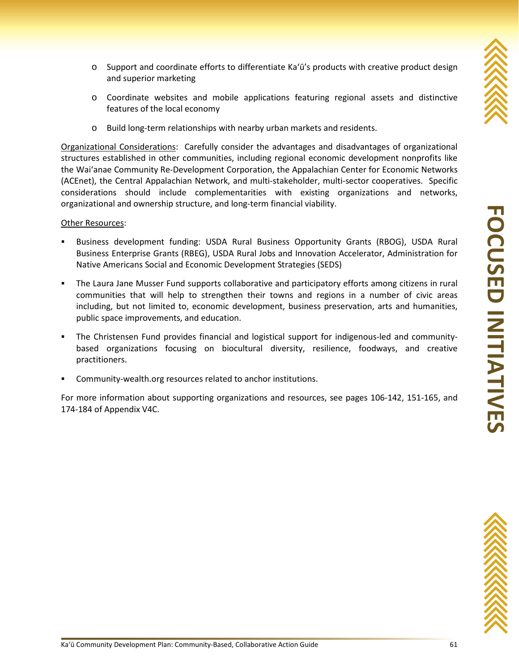- $\circ$  Support and coordinate efforts to differentiate Ka'ū's products with creative product design and superior marketing
- o Coordinate websites and mobile applications featuring regional assets and distinctive features of the local economy
- o Build long-term relationships with nearby urban markets and residents.

Organizational Considerations: Carefully consider the advantages and disadvantages of organizational structures established in other communities, including regional economic development nonprofits like the Wai'anae Community Re-Development Corporation, the Appalachian Center for Economic Networks (ACEnet), the Central Appalachian Network, and multi-stakeholder, multi-sector cooperatives. Specific considerations should include complementarities with existing organizations and networks, organizational and ownership structure, and long-term financial viability.

### Other Resources:

- Business development funding: USDA Rural Business Opportunity Grants (RBOG), USDA Rural Business Enterprise Grants (RBEG), USDA Rural Jobs and Innovation Accelerator, Administration for Native Americans Social and Economic Development Strategies (SEDS)
- The Laura Jane Musser Fund supports collaborative and participatory efforts among citizens in rural communities that will help to strengthen their towns and regions in a number of civic areas including, but not limited to, economic development, business preservation, arts and humanities, public space improvements, and education.
- The Christensen Fund provides financial and logistical support for indigenous-led and communitybased organizations focusing on biocultural diversity, resilience, foodways, and creative practitioners.
- Community-wealth.org resources related to anchor institutions.

For more information about supporting organizations and resources, see pages 106-142, 151-165, and 174-184 of Appendix V4C.

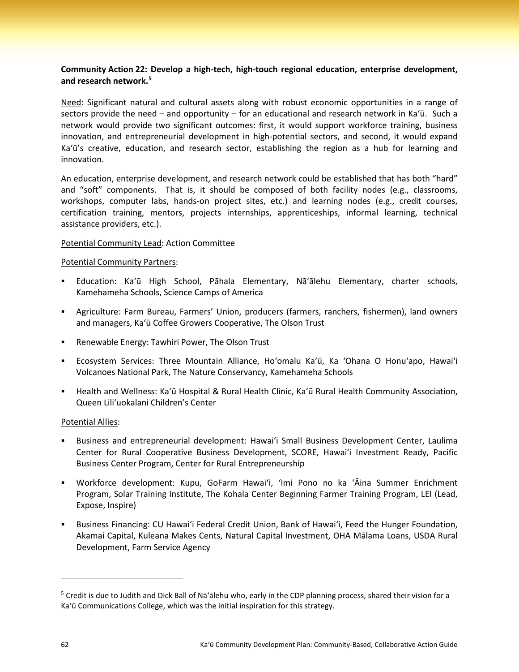# <span id="page-63-0"></span>**Community Action 22: Develop a high-tech, high-touch regional education, enterprise development, and research network.[5](#page-63-1)**

Need: Significant natural and cultural assets along with robust economic opportunities in a range of sectors provide the need – and opportunity – for an educational and research network in Ka'ū. Such a network would provide two significant outcomes: first, it would support workforce training, business innovation, and entrepreneurial development in high-potential sectors, and second, it would expand Ka'ū's creative, education, and research sector, establishing the region as a hub for learning and innovation.

An education, enterprise development, and research network could be established that has both "hard" and "soft" components. That is, it should be composed of both facility nodes (e.g., classrooms, workshops, computer labs, hands-on project sites, etc.) and learning nodes (e.g., credit courses, certification training, mentors, projects internships, apprenticeships, informal learning, technical assistance providers, etc.).

### Potential Community Lead: Action Committee

### Potential Community Partners:

- Education: Ka'ū High School, Pāhala Elementary, Nā'ālehu Elementary, charter schools, Kamehameha Schools, Science Camps of America
- Agriculture: Farm Bureau, Farmers' Union, producers (farmers, ranchers, fishermen), land owners and managers, Ka'ū Coffee Growers Cooperative, The Olson Trust
- Renewable Energy: Tawhiri Power, The Olson Trust
- Ecosystem Services: Three Mountain Alliance, Ho'omalu Ka'ū, Ka 'Ohana O Honu'apo, Hawai'i Volcanoes National Park, The Nature Conservancy, Kamehameha Schools
- Health and Wellness: Ka'ū Hospital & Rural Health Clinic, Ka'ū Rural Health Community Association, Queen Liliʻuokalani Children's Center

### Potential Allies:

- Business and entrepreneurial development: Hawai'i Small Business Development Center, Laulima Center for Rural Cooperative Business Development, SCORE, Hawai'i Investment Ready, Pacific Business Center Program, Center for Rural Entrepreneurship
- Workforce development: Kupu, GoFarm Hawai'i, 'Imi Pono no ka 'Āina Summer Enrichment Program, Solar Training Institute, The Kohala Center Beginning Farmer Training Program, LEI (Lead, Expose, Inspire)
- Business Financing: CU Hawai'i Federal Credit Union, Bank of Hawai'i, Feed the Hunger Foundation, Akamai Capital, Kuleana Makes Cents, Natural Capital Investment, OHA Mālama Loans, USDA Rural Development, Farm Service Agency

 $\overline{a}$ 

<span id="page-63-1"></span> $5$  Credit is due to Judith and Dick Ball of Nā'alehu who, early in the CDP planning process, shared their vision for a Ka'ū Communications College, which was the initial inspiration for this strategy.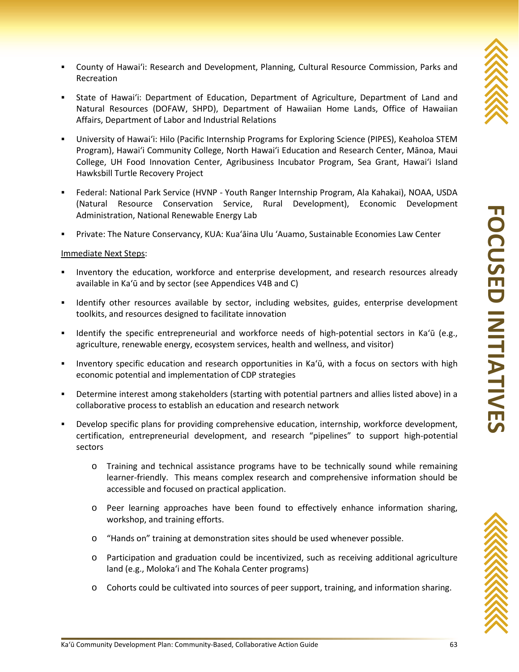- County of Hawai'i: Research and Development, Planning, Cultural Resource Commission, Parks and Recreation
- State of Hawai'i: Department of Education, Department of Agriculture, Department of Land and Natural Resources (DOFAW, SHPD), Department of Hawaiian Home Lands, Office of Hawaiian Affairs, Department of Labor and Industrial Relations
- University of Hawai'i: Hilo (Pacific Internship Programs for Exploring Science (PIPES), Keaholoa STEM Program), Hawai'i Community College, North Hawai'i Education and Research Center, Mānoa, Maui College, UH Food Innovation Center, Agribusiness Incubator Program, Sea Grant, Hawai'i Island Hawksbill Turtle Recovery Project
- Federal: National Park Service (HVNP Youth Ranger Internship Program, Ala Kahakai), NOAA, USDA (Natural Resource Conservation Service, Rural Development), Economic Development Administration, National Renewable Energy Lab
- Private: The Nature Conservancy, KUA: Kuaʻāina Ulu ʻAuamo, Sustainable Economies Law Center

### Immediate Next Steps:

- Inventory the education, workforce and enterprise development, and research resources already available in Ka'ū and by sector (see Appendices V4B and C)
- Identify other resources available by sector, including websites, guides, enterprise development toolkits, and resources designed to facilitate innovation
- Identify the specific entrepreneurial and workforce needs of high-potential sectors in Ka'ū (e.g., agriculture, renewable energy, ecosystem services, health and wellness, and visitor)
- **Inventory specific education and research opportunities in Ka'ū, with a focus on sectors with high** economic potential and implementation of CDP strategies
- Determine interest among stakeholders (starting with potential partners and allies listed above) in a collaborative process to establish an education and research network
- Develop specific plans for providing comprehensive education, internship, workforce development, certification, entrepreneurial development, and research "pipelines" to support high-potential sectors
	- o Training and technical assistance programs have to be technically sound while remaining learner-friendly. This means complex research and comprehensive information should be accessible and focused on practical application.
	- o Peer learning approaches have been found to effectively enhance information sharing, workshop, and training efforts.
	- o "Hands on" training at demonstration sites should be used whenever possible.
	- o Participation and graduation could be incentivized, such as receiving additional agriculture land (e.g., Moloka'i and The Kohala Center programs)
	- o Cohorts could be cultivated into sources of peer support, training, and information sharing.

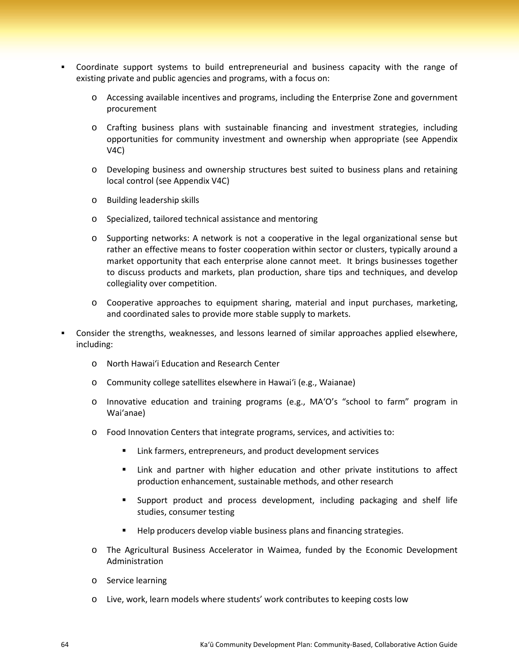- Coordinate support systems to build entrepreneurial and business capacity with the range of existing private and public agencies and programs, with a focus on:
	- o Accessing available incentives and programs, including the Enterprise Zone and government procurement
	- o Crafting business plans with sustainable financing and investment strategies, including opportunities for community investment and ownership when appropriate (see Appendix V4C)
	- o Developing business and ownership structures best suited to business plans and retaining local control (see Appendix V4C)
	- o Building leadership skills
	- o Specialized, tailored technical assistance and mentoring
	- o Supporting networks: A network is not a cooperative in the legal organizational sense but rather an effective means to foster cooperation within sector or clusters, typically around a market opportunity that each enterprise alone cannot meet. It brings businesses together to discuss products and markets, plan production, share tips and techniques, and develop collegiality over competition.
	- o Cooperative approaches to equipment sharing, material and input purchases, marketing, and coordinated sales to provide more stable supply to markets.
- Consider the strengths, weaknesses, and lessons learned of similar approaches applied elsewhere, including:
	- o North Hawai'i Education and Research Center
	- o Community college satellites elsewhere in Hawai'i (e.g., Waianae)
	- o Innovative education and training programs (e.g., MAʻO's "school to farm" program in Wai'anae)
	- o Food Innovation Centers that integrate programs, services, and activities to:
		- Link farmers, entrepreneurs, and product development services
		- Link and partner with higher education and other private institutions to affect production enhancement, sustainable methods, and other research
		- Support product and process development, including packaging and shelf life studies, consumer testing
		- Help producers develop viable business plans and financing strategies.
	- o The Agricultural Business Accelerator in Waimea, funded by the Economic Development Administration
	- o Service learning
	- o Live, work, learn models where students' work contributes to keeping costs low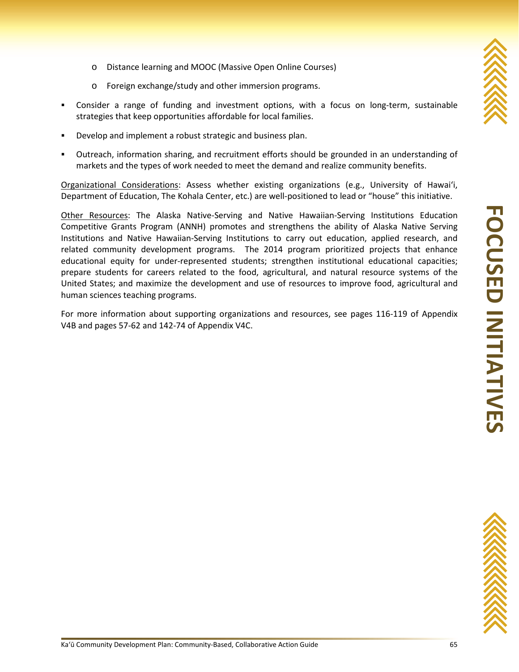

- o Distance learning and MOOC (Massive Open Online Courses)
- o Foreign exchange/study and other immersion programs.
- Consider a range of funding and investment options, with a focus on long-term, sustainable strategies that keep opportunities affordable for local families.
- Develop and implement a robust strategic and business plan.
- Outreach, information sharing, and recruitment efforts should be grounded in an understanding of markets and the types of work needed to meet the demand and realize community benefits.

Organizational Considerations: Assess whether existing organizations (e.g., University of Hawai'i, Department of Education, The Kohala Center, etc.) are well-positioned to lead or "house" this initiative.

Other Resources: The Alaska Native-Serving and Native Hawaiian-Serving Institutions Education Competitive Grants Program (ANNH) promotes and strengthens the ability of Alaska Native Serving Institutions and Native Hawaiian-Serving Institutions to carry out education, applied research, and related community development programs. The 2014 program prioritized projects that enhance educational equity for under-represented students; strengthen institutional educational capacities; prepare students for careers related to the food, agricultural, and natural resource systems of the United States; and maximize the development and use of resources to improve food, agricultural and human sciences teaching programs.

For more information about supporting organizations and resources, see pages 116-119 of Appendix V4B and pages 57-62 and 142-74 of Appendix V4C.

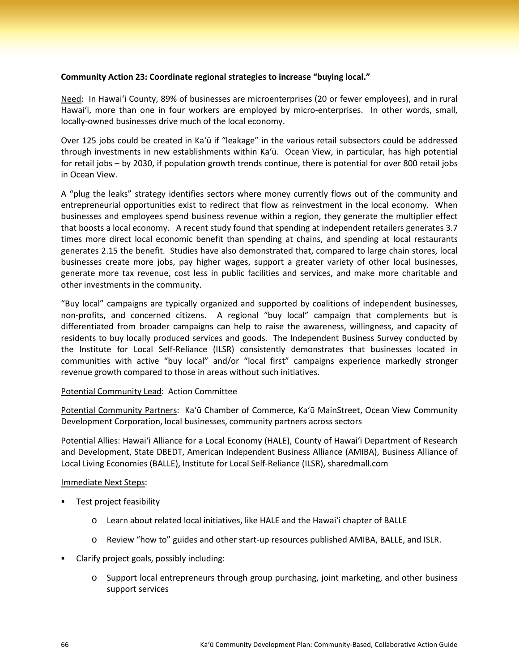# <span id="page-67-0"></span>**Community Action 23: Coordinate regional strategies to increase "buying local."**

Need: In Hawai'i County, 89% of businesses are microenterprises (20 or fewer employees), and in rural Hawai'i, more than one in four workers are employed by micro-enterprises. In other words, small, locally-owned businesses drive much of the local economy.

Over 125 jobs could be created in Ka'ū if "leakage" in the various retail subsectors could be addressed through investments in new establishments within Ka'ū. Ocean View, in particular, has high potential for retail jobs – by 2030, if population growth trends continue, there is potential for over 800 retail jobs in Ocean View.

A "plug the leaks" strategy identifies sectors where money currently flows out of the community and entrepreneurial opportunities exist to redirect that flow as reinvestment in the local economy. When businesses and employees spend business revenue within a region, they generate the multiplier effect that boosts a local economy. A recent study found that spending at independent retailers generates 3.7 times more direct local economic benefit than spending at chains, and spending at local restaurants generates 2.15 the benefit. Studies have also demonstrated that, compared to large chain stores, local businesses create more jobs, pay higher wages, support a greater variety of other local businesses, generate more tax revenue, cost less in public facilities and services, and make more charitable and other investments in the community.

"Buy local" campaigns are typically organized and supported by coalitions of independent businesses, non-profits, and concerned citizens. A regional "buy local" campaign that complements but is differentiated from broader campaigns can help to raise the awareness, willingness, and capacity of residents to buy locally produced services and goods. The Independent Business Survey conducted by the Institute for Local Self-Reliance (ILSR) consistently demonstrates that businesses located in communities with active "buy local" and/or "local first" campaigns experience markedly stronger revenue growth compared to those in areas without such initiatives.

### Potential Community Lead: Action Committee

Potential Community Partners: Ka'ū Chamber of Commerce, Ka'ū MainStreet, Ocean View Community Development Corporation, local businesses, community partners across sectors

Potential Allies: Hawai'i Alliance for a Local Economy (HALE), County of Hawai'i Department of Research and Development, State DBEDT, American Independent Business Alliance (AMIBA), Business Alliance of Local Living Economies (BALLE), Institute for Local Self-Reliance (ILSR), sharedmall.com

### Immediate Next Steps:

- Test project feasibility
	- o Learn about related local initiatives, like HALE and the Hawai'i chapter of BALLE
	- o Review "how to" guides and other start-up resources published AMIBA, BALLE, and ISLR.
- Clarify project goals, possibly including:
	- o Support local entrepreneurs through group purchasing, joint marketing, and other business support services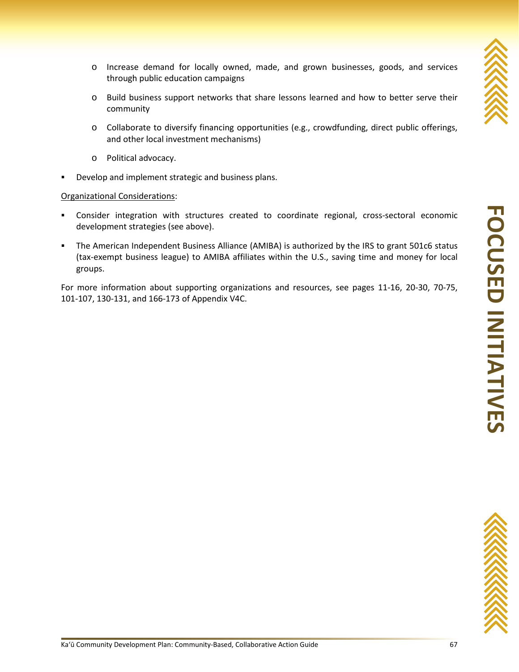- o Increase demand for locally owned, made, and grown businesses, goods, and services through public education campaigns
- o Build business support networks that share lessons learned and how to better serve their community
- o Collaborate to diversify financing opportunities (e.g., crowdfunding, direct public offerings, and other local investment mechanisms)
- o Political advocacy.
- Develop and implement strategic and business plans.

### Organizational Considerations:

- Consider integration with structures created to coordinate regional, cross-sectoral economic development strategies (see [above\)](#page-60-0).
- The American Independent Business Alliance (AMIBA) is authorized by the IRS to grant 501c6 status (tax-exempt business league) to AMIBA affiliates within the U.S., saving time and money for local groups.

For more information about supporting organizations and resources, see pages 11-16, 20-30, 70-75, 101-107, 130-131, and 166-173 of Appendix V4C.

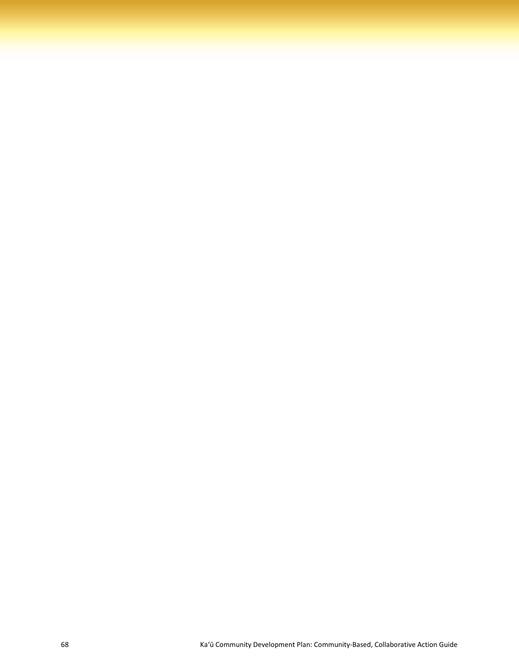Ka'ū Community Development Plan: Community-Based, Collaborative Action Guide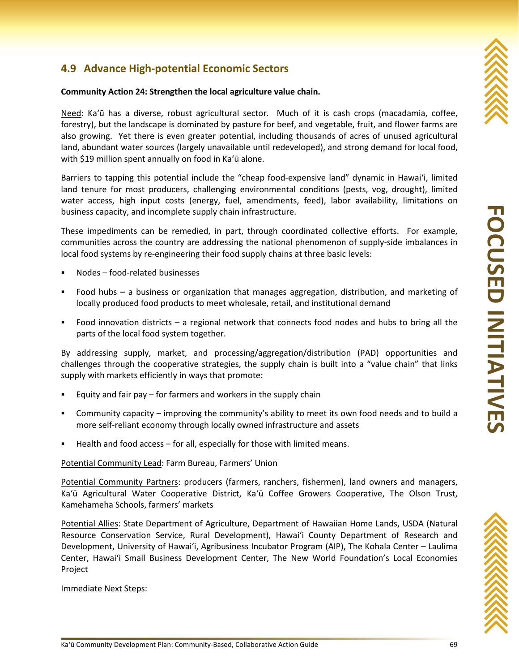

# **4.9 Advance High-potential Economic Sectors**

# **Community Action 24: Strengthen the local agriculture value chain.**

Need: Ka'ū has a diverse, robust agricultural sector. Much of it is cash crops (macadamia, coffee, forestry), but the landscape is dominated by pasture for beef, and vegetable, fruit, and flower farms are also growing. Yet there is even greater potential, including thousands of acres of unused agricultural land, abundant water sources (largely unavailable until redeveloped), and strong demand for local food, with \$19 million spent annually on food in Ka'ū alone.

Barriers to tapping this potential include the "cheap food-expensive land" dynamic in Hawai'i, limited land tenure for most producers, challenging environmental conditions (pests, vog, drought), limited water access, high input costs (energy, fuel, amendments, feed), labor availability, limitations on business capacity, and incomplete supply chain infrastructure.

These impediments can be remedied, in part, through coordinated collective efforts. For example, communities across the country are addressing the national phenomenon of supply-side imbalances in local food systems by re-engineering their food supply chains at three basic levels:

- Nodes food-related businesses
- Food hubs a business or organization that manages aggregation, distribution, and marketing of locally produced food products to meet wholesale, retail, and institutional demand
- Food innovation districts a regional network that connects food nodes and hubs to bring all the parts of the local food system together.

By addressing supply, market, and processing/aggregation/distribution (PAD) opportunities and challenges through the cooperative strategies, the supply chain is built into a "value chain" that links supply with markets efficiently in ways that promote:

- Equity and fair pay for farmers and workers in the supply chain
- Community capacity improving the community's ability to meet its own food needs and to build a more self-reliant economy through locally owned infrastructure and assets
- Health and food access for all, especially for those with limited means.

Potential Community Lead: Farm Bureau, Farmers' Union

Potential Community Partners: producers (farmers, ranchers, fishermen), land owners and managers, Ka'ū Agricultural Water Cooperative District, Ka'ū Coffee Growers Cooperative, The Olson Trust, Kamehameha Schools, farmers' markets

Potential Allies: State Department of Agriculture, Department of Hawaiian Home Lands, USDA (Natural Resource Conservation Service, Rural Development), Hawai'i County Department of Research and Development, University of Hawai'i, Agribusiness Incubator Program (AIP), The Kohala Center – Laulima Center, Hawai'i Small Business Development Center, The New World Foundation's Local Economies Project

### Immediate Next Steps: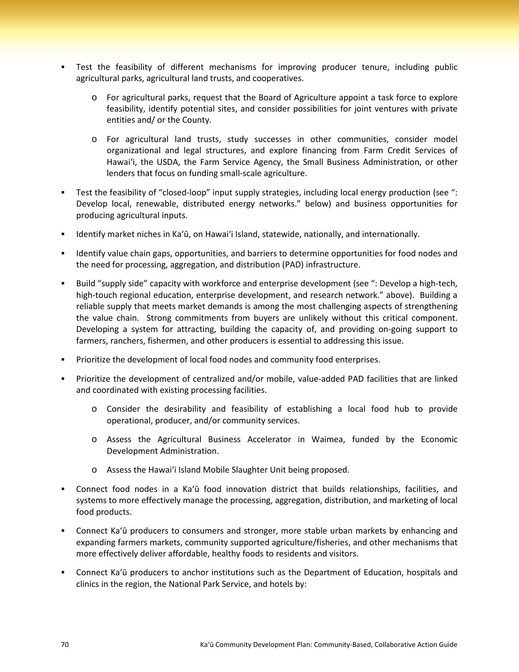- Test the feasibility of different mechanisms for improving producer tenure, including public agricultural parks, agricultural land trusts, and cooperatives.
	- o For agricultural parks, request that the Board of Agriculture appoint a task force to explore feasibility, identify potential sites, and consider possibilities for joint ventures with private entities and/ or the County.
	- o For agricultural land trusts, study successes in other communities, consider model organizational and legal structures, and explore financing from Farm Credit Services of Hawai'i, the USDA, the Farm Service Agency, the Small Business Administration, or other lenders that focus on funding small-scale agriculture.
- Test the feasibility of "closed-loop" input supply strategies, including local energy production (see [":](#page-73-0)  [Develop local, renewable, distributed energy](#page-73-0) networks." [below\)](#page-73-0) and business opportunities for producing agricultural inputs.
- Identify market niches in Ka'ū, on Hawai'i Island, statewide, nationally, and internationally.
- **If all identify value chain gaps, opportunities, and barriers to determine opportunities for food nodes and ignosity** the need for processing, aggregation, and distribution (PAD) infrastructure.
- Build "supply side" capacity with workforce and enterprise development (see [": Develop a high](#page-63-0)-tech, high-[touch regional education, enterprise development, and research network." above\)](#page-63-0). Building a reliable supply that meets market demands is among the most challenging aspects of strengthening the value chain. Strong commitments from buyers are unlikely without this critical component. Developing a system for attracting, building the capacity of, and providing on-going support to farmers, ranchers, fishermen, and other producers is essential to addressing this issue.
- Prioritize the development of local food nodes and community food enterprises.
- Prioritize the development of centralized and/or mobile, value-added PAD facilities that are linked and coordinated with existing processing facilities.
	- o Consider the desirability and feasibility of establishing a local food hub to provide operational, producer, and/or community services.
	- o Assess the Agricultural Business Accelerator in Waimea, funded by the Economic Development Administration.
	- o Assess the Hawai'i Island Mobile Slaughter Unit being proposed.
- Connect food nodes in a Ka'ū food innovation district that builds relationships, facilities, and systems to more effectively manage the processing, aggregation, distribution, and marketing of local food products.
- Connect Ka'ū producers to consumers and stronger, more stable urban markets by enhancing and expanding farmers markets, community supported agriculture/fisheries, and other mechanisms that more effectively deliver affordable, healthy foods to residents and visitors.
- Connect Ka'ū producers to anchor institutions such as the Department of Education, hospitals and clinics in the region, the National Park Service, and hotels by: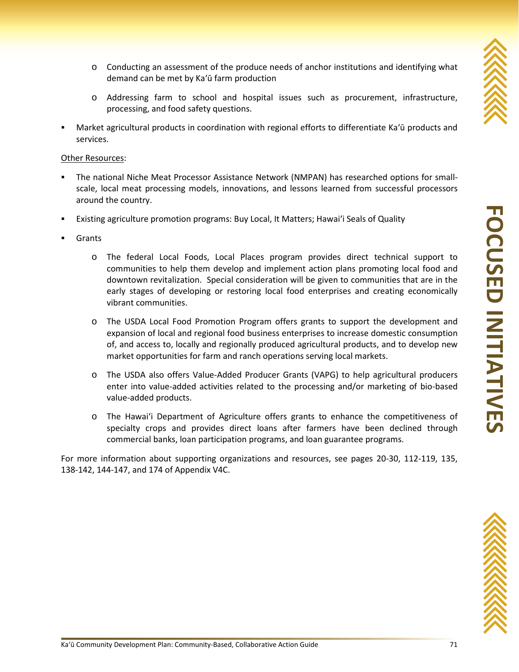- o Conducting an assessment of the produce needs of anchor institutions and identifying what demand can be met by Ka'ū farm production
- o Addressing farm to school and hospital issues such as procurement, infrastructure, processing, and food safety questions.
- Market agricultural products in coordination with regional efforts to differentiate Ka'ū products and services.

# Other Resources:

- The national Niche Meat Processor Assistance Network (NMPAN) has researched options for smallscale, local meat processing models, innovations, and lessons learned from successful processors around the country.
- Existing agriculture promotion programs: Buy Local, It Matters; Hawai'i Seals of Quality
- Grants
	- o The federal Local Foods, Local Places program provides direct technical support to communities to help them develop and implement action plans promoting local food and downtown revitalization. Special consideration will be given to communities that are in the early stages of developing or restoring local food enterprises and creating economically vibrant communities.
	- o The USDA Local Food Promotion Program offers grants to support the development and expansion of local and regional food business enterprises to increase domestic consumption of, and access to, locally and regionally produced agricultural products, and to develop new market opportunities for farm and ranch operations serving local markets.
	- o The USDA also offers Value-Added Producer Grants (VAPG) to help agricultural producers enter into value-added activities related to the processing and/or marketing of bio-based value-added products.
	- o The Hawai'i Department of Agriculture offers grants to enhance the competitiveness of specialty crops and provides direct loans after farmers have been declined through commercial banks, loan participation programs, and loan guarantee programs.

For more information about supporting organizations and resources, see pages 20-30, 112-119, 135, 138-142, 144-147, and 174 of Appendix V4C.

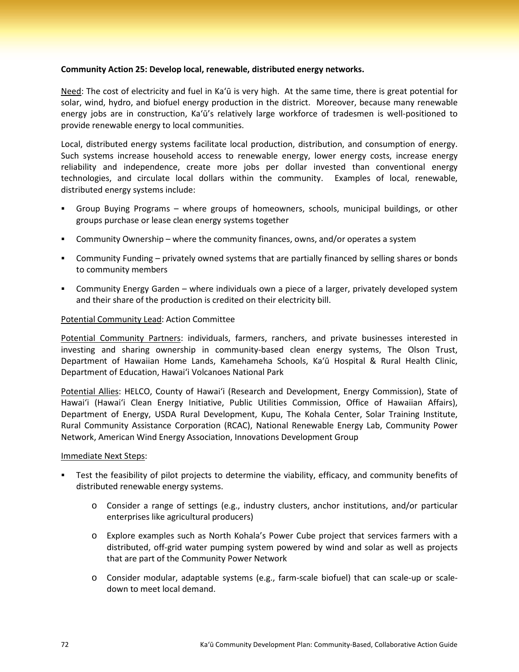#### **Community Action 25: Develop local, renewable, distributed energy networks.**

Need: The cost of electricity and fuel in Ka'ū is very high. At the same time, there is great potential for solar, wind, hydro, and biofuel energy production in the district. Moreover, because many renewable energy jobs are in construction, Ka'ū's relatively large workforce of tradesmen is well-positioned to provide renewable energy to local communities.

Local, distributed energy systems facilitate local production, distribution, and consumption of energy. Such systems increase household access to renewable energy, lower energy costs, increase energy reliability and independence, create more jobs per dollar invested than conventional energy technologies, and circulate local dollars within the community. Examples of local, renewable, distributed energy systems include:

- Group Buying Programs where groups of homeowners, schools, municipal buildings, or other groups purchase or lease clean energy systems together
- Community Ownership where the community finances, owns, and/or operates a system
- Community Funding privately owned systems that are partially financed by selling shares or bonds to community members
- Community Energy Garden where individuals own a piece of a larger, privately developed system and their share of the production is credited on their electricity bill.

#### Potential Community Lead: Action Committee

Potential Community Partners: individuals, farmers, ranchers, and private businesses interested in investing and sharing ownership in community-based clean energy systems, The Olson Trust, Department of Hawaiian Home Lands, Kamehameha Schools, Ka'ū Hospital & Rural Health Clinic, Department of Education, Hawai'i Volcanoes National Park

Potential Allies: HELCO, County of Hawai'i (Research and Development, Energy Commission), State of Hawai'i (Hawai'i Clean Energy Initiative, Public Utilities Commission, Office of Hawaiian Affairs), Department of Energy, USDA Rural Development, Kupu, The Kohala Center, Solar Training Institute, Rural Community Assistance Corporation (RCAC), National Renewable Energy Lab, Community Power Network, American Wind Energy Association, Innovations Development Group

#### Immediate Next Steps:

- Test the feasibility of pilot projects to determine the viability, efficacy, and community benefits of distributed renewable energy systems.
	- o Consider a range of settings (e.g., industry clusters, anchor institutions, and/or particular enterprises like agricultural producers)
	- o Explore examples such as North Kohala's Power Cube project that services farmers with a distributed, off-grid water pumping system powered by wind and solar as well as projects that are part of the Community Power Network
	- o Consider modular, adaptable systems (e.g., farm-scale biofuel) that can scale-up or scaledown to meet local demand.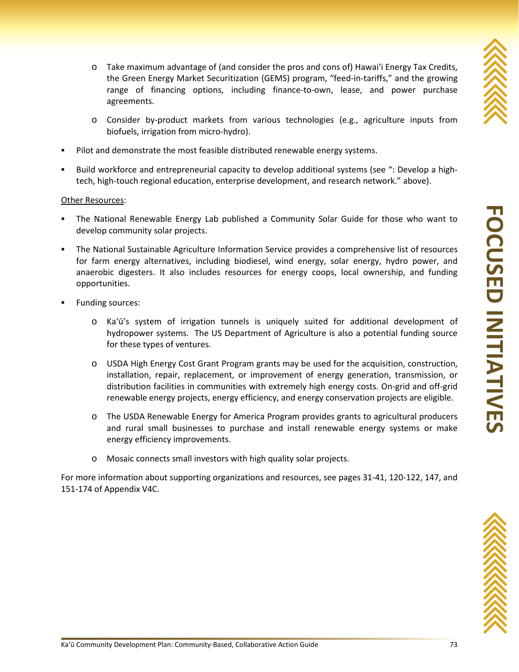- o Take maximum advantage of (and consider the pros and cons of) Hawai'i Energy Tax Credits, the Green Energy Market Securitization (GEMS) program, "feed-in-tariffs," and the growing range of financing options, including finance-to-own, lease, and power purchase agreements.
- o Consider by-product markets from various technologies (e.g., agriculture inputs from biofuels, irrigation from micro-hydro).
- Pilot and demonstrate the most feasible distributed renewable energy systems.
- Build workforce and entrepreneurial capacity to develop additional systems (see [": Develop](#page-63-0) a hightech, high-[touch regional education, enterprise development, and research network." above\)](#page-63-0).

#### Other Resources:

- The National Renewable Energy Lab published a Community Solar Guide for those who want to develop community solar projects.
- The National Sustainable Agriculture Information Service provides a comprehensive list of resources for farm energy alternatives, including biodiesel, wind energy, solar energy, hydro power, and anaerobic digesters. It also includes resources for energy coops, local ownership, and funding opportunities.
- Funding sources:
	- o Ka'ū's system of irrigation tunnels is uniquely suited for additional development of hydropower systems. The US Department of Agriculture is also a potential funding source for these types of ventures.
	- o USDA High Energy Cost Grant Program grants may be used for the acquisition, construction, installation, repair, replacement, or improvement of energy generation, transmission, or distribution facilities in communities with extremely high energy costs. On-grid and off-grid renewable energy projects, energy efficiency, and energy conservation projects are eligible.
	- o The USDA Renewable Energy for America Program provides grants to agricultural producers and rural small businesses to purchase and install renewable energy systems or make energy efficiency improvements.
	- o Mosaic connects small investors with high quality solar projects.

For more information about supporting organizations and resources, see pages 31-41, 120-122, 147, and 151-174 of Appendix V4C.

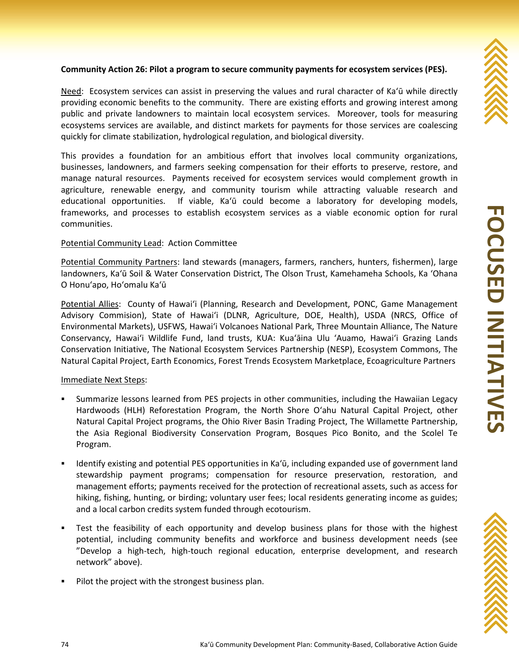**FOCUSED INITIATIVES FOCUSED INITIATIVES**

#### **Community Action 26: Pilot a program to secure community payments for ecosystem services (PES).**

Need: Ecosystem services can assist in preserving the values and rural character of Ka'ū while directly providing economic benefits to the community. There are existing efforts and growing interest among public and private landowners to maintain local ecosystem services. Moreover, tools for measuring ecosystems services are available, and distinct markets for payments for those services are coalescing quickly for climate stabilization, hydrological regulation, and biological diversity.

This provides a foundation for an ambitious effort that involves local community organizations, businesses, landowners, and farmers seeking compensation for their efforts to preserve, restore, and manage natural resources. Payments received for ecosystem services would complement growth in agriculture, renewable energy, and community tourism while attracting valuable research and educational opportunities. If viable, Ka'ū could become a laboratory for developing models, frameworks, and processes to establish ecosystem services as a viable economic option for rural communities.

#### Potential Community Lead: Action Committee

Potential Community Partners: land stewards (managers, farmers, ranchers, hunters, fishermen), large landowners, Ka'ū Soil & Water Conservation District, The Olson Trust, Kamehameha Schools, Ka 'Ohana O Honu'apo, Hoʻomalu Ka'ū

Potential Allies: County of Hawai'i (Planning, Research and Development, PONC, Game Management Advisory Commision), State of Hawai'i (DLNR, Agriculture, DOE, Health), USDA (NRCS, Office of Environmental Markets), USFWS, Hawai'i Volcanoes National Park, Three Mountain Alliance, The Nature Conservancy, Hawai'i Wildlife Fund, land trusts, KUA: Kuaʻāina Ulu ʻAuamo, Hawai'i Grazing Lands Conservation Initiative, The National Ecosystem Services Partnership (NESP), Ecosystem Commons, The Natural Capital Project, Earth Economics, Forest Trends Ecosystem Marketplace, Ecoagriculture Partners

# Immediate Next Steps:

- Summarize lessons learned from PES projects in other communities, including the Hawaiian Legacy Hardwoods (HLH) Reforestation Program, the North Shore Oʻahu Natural Capital Project, other Natural Capital Project programs, the Ohio River Basin Trading Project, The Willamette Partnership, the Asia Regional Biodiversity Conservation Program, Bosques Pico Bonito, and the Scolel Te Program.
- Identify existing and potential PES opportunities in Ka'ū, including expanded use of government land stewardship payment programs; compensation for resource preservation, restoration, and management efforts; payments received for the protection of recreational assets, such as access for hiking, fishing, hunting, or birding; voluntary user fees; local residents generating income as guides; and a local carbon credits system funded through ecotourism.
- Test the feasibility of each opportunity and develop business plans for those with the highest potential, including community benefits and workforce and business development needs (see "Develop a high-tech, high-touch regional education, enterprise development, and research network" above).
- Pilot the project with the strongest business plan.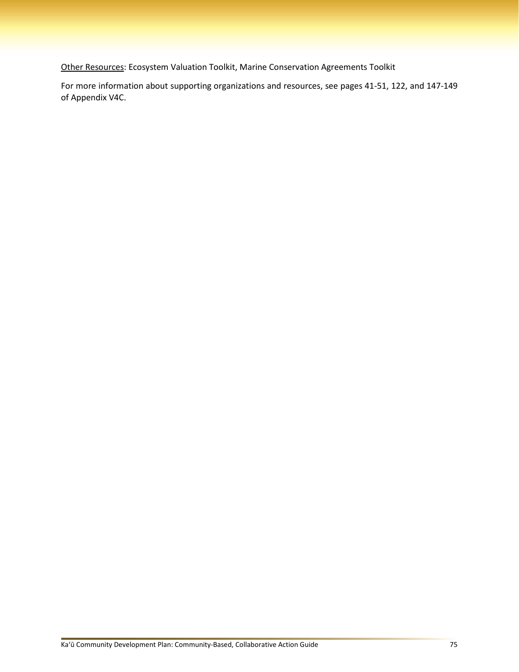Other Resources: Ecosystem Valuation Toolkit, Marine Conservation Agreements Toolkit

For more information about supporting organizations and resources, see pages 41-51, 122, and 147-149 of Appendix V4C.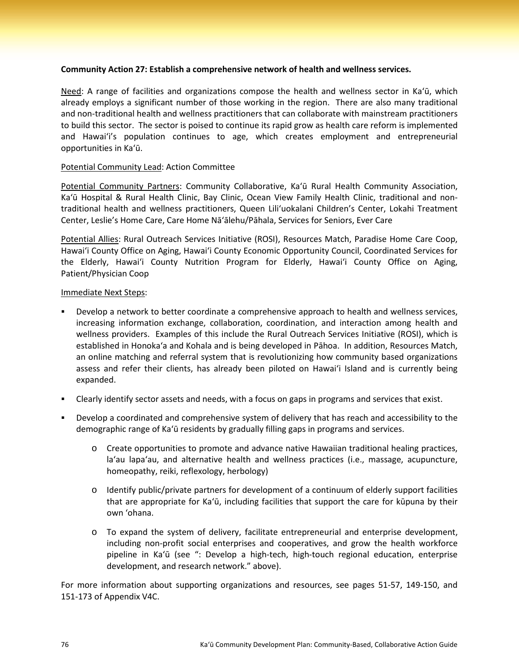#### **Community Action 27: Establish a comprehensive network of health and wellness services.**

Need: A range of facilities and organizations compose the health and wellness sector in Ka'ū, which already employs a significant number of those working in the region. There are also many traditional and non-traditional health and wellness practitioners that can collaborate with mainstream practitioners to build this sector. The sector is poised to continue its rapid grow as health care reform is implemented and Hawai'i's population continues to age, which creates employment and entrepreneurial opportunities in Ka'ū.

#### Potential Community Lead: Action Committee

Potential Community Partners: Community Collaborative, Ka'ū Rural Health Community Association, Ka'ū Hospital & Rural Health Clinic, Bay Clinic, Ocean View Family Health Clinic, traditional and nontraditional health and wellness practitioners, Queen Liliʻuokalani Children's Center, Lokahi Treatment Center, Leslie's Home Care, Care Home Nā'ālehu/Pāhala, Services for Seniors, Ever Care

Potential Allies: Rural Outreach Services Initiative (ROSI), Resources Match, Paradise Home Care Coop, Hawai'i County Office on Aging, Hawai'i County Economic Opportunity Council, Coordinated Services for the Elderly, Hawai'i County Nutrition Program for Elderly, Hawai'i County Office on Aging, Patient/Physician Coop

#### Immediate Next Steps:

- Develop a network to better coordinate a comprehensive approach to health and wellness services, increasing information exchange, collaboration, coordination, and interaction among health and wellness providers. Examples of this include the Rural Outreach Services Initiative (ROSI), which is established in Honoka'a and Kohala and is being developed in Pāhoa. In addition, Resources Match, an online matching and referral system that is revolutionizing how community based organizations assess and refer their clients, has already been piloted on Hawai'i Island and is currently being expanded.
- Clearly identify sector assets and needs, with a focus on gaps in programs and services that exist.
- Develop a coordinated and comprehensive system of delivery that has reach and accessibility to the demographic range of Ka'ū residents by gradually filling gaps in programs and services.
	- o Create opportunities to promote and advance native Hawaiian traditional healing practices, laʻau lapaʻau, and alternative health and wellness practices (i.e., massage, acupuncture, homeopathy, reiki, reflexology, herbology)
	- o Identify public/private partners for development of a continuum of elderly support facilities that are appropriate for Ka'ū, including facilities that support the care for kūpuna by their own 'ohana.
	- o To expand the system of delivery, facilitate entrepreneurial and enterprise development, including non-profit social enterprises and cooperatives, and grow the health workforce pipeline in Ka'ū (see ": Develop a high-tech, high-[touch regional education, enterprise](#page-63-0)  [development, and research network." above\)](#page-63-0).

For more information about supporting organizations and resources, see pages 51-57, 149-150, and 151-173 of Appendix V4C.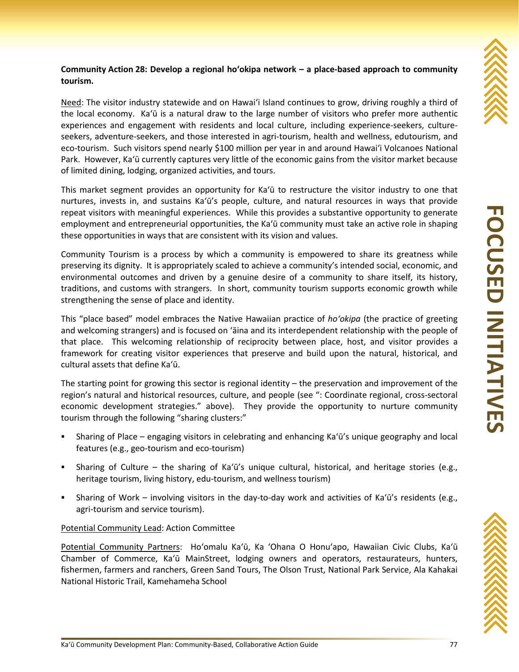# **Community Action 28: Develop a regional hoʻokipa network – a place-based approach to community tourism.**

Need: The visitor industry statewide and on Hawai'i Island continues to grow, driving roughly a third of the local economy. Ka'ū is a natural draw to the large number of visitors who prefer more authentic experiences and engagement with residents and local culture, including experience-seekers, cultureseekers, adventure-seekers, and those interested in agri-tourism, health and wellness, edutourism, and eco-tourism. Such visitors spend nearly \$100 million per year in and around Hawai'i Volcanoes National Park. However, Ka'ū currently captures very little of the economic gains from the visitor market because of limited dining, lodging, organized activities, and tours.

This market segment provides an opportunity for Ka'ū to restructure the visitor industry to one that nurtures, invests in, and sustains Ka'ū's people, culture, and natural resources in ways that provide repeat visitors with meaningful experiences. While this provides a substantive opportunity to generate employment and entrepreneurial opportunities, the Ka'ū community must take an active role in shaping these opportunities in ways that are consistent with its vision and values.

Community Tourism is a process by which a community is empowered to share its greatness while preserving its dignity. It is appropriately scaled to achieve a community's intended social, economic, and environmental outcomes and driven by a genuine desire of a community to share itself, its history, traditions, and customs with strangers. In short, community tourism supports economic growth while strengthening the sense of place and identity.

This "place based" model embraces the Native Hawaiian practice of *ho'okipa* (the practice of greeting and welcoming strangers) and is focused on 'āina and its interdependent relationship with the people of that place. This welcoming relationship of reciprocity between place, host, and visitor provides a framework for creating visitor experiences that preserve and build upon the natural, historical, and cultural assets that define Ka'ū.

The starting point for growing this sector is regional identity – the preservation and improvement of the region's natural and historical resources, culture, and people (see [": Coordinate regional, cross](#page-60-0)-sectoral [economic development strategies."](#page-60-0) [above\)](#page-60-0). They provide the opportunity to nurture community tourism through the following "sharing clusters:"

- Sharing of Place engaging visitors in celebrating and enhancing Ka'ū's unique geography and local features (e.g., geo-tourism and eco-tourism)
- Sharing of Culture the sharing of Ka'ū's unique cultural, historical, and heritage stories (e.g., heritage tourism, living history, edu-tourism, and wellness tourism)
- Sharing of Work involving visitors in the day-to-day work and activities of Ka'ū's residents (e.g., agri-tourism and service tourism).

# Potential Community Lead: Action Committee

Potential Community Partners: Ho'omalu Ka'ū, Ka 'Ohana O Honu'apo, Hawaiian Civic Clubs, Ka'ū Chamber of Commerce, Ka'ū MainStreet, lodging owners and operators, restaurateurs, hunters, fishermen, farmers and ranchers, Green Sand Tours, The Olson Trust, National Park Service, Ala Kahakai National Historic Trail, Kamehameha School

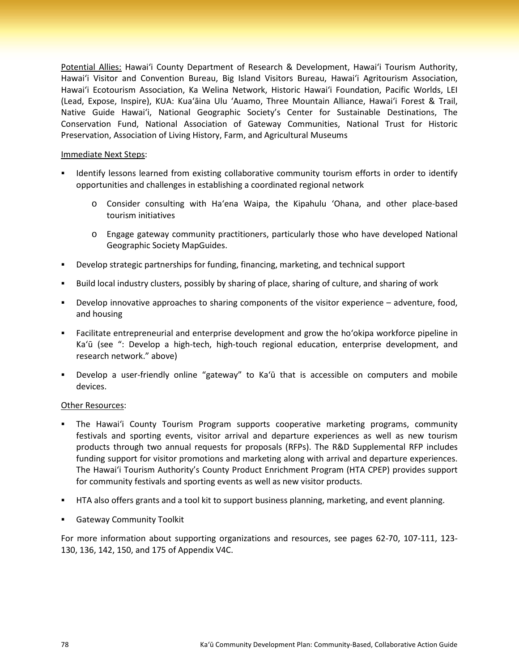Potential Allies: Hawai'i County Department of Research & Development, Hawai'i Tourism Authority, Hawai'i Visitor and Convention Bureau, Big Island Visitors Bureau, Hawai'i Agritourism Association, Hawai'i Ecotourism Association, Ka Welina Network, Historic Hawai'i Foundation, Pacific Worlds, LEI (Lead, Expose, Inspire), KUA: Kuaʻāina Ulu ʻAuamo, Three Mountain Alliance, Hawai'i Forest & Trail, Native Guide Hawai'i, National Geographic Society's Center for Sustainable Destinations, The Conservation Fund, National Association of Gateway Communities, National Trust for Historic Preservation, Association of Living History, Farm, and Agricultural Museums

#### Immediate Next Steps:

- Identify lessons learned from existing collaborative community tourism efforts in order to identify opportunities and challenges in establishing a coordinated regional network
	- o Consider consulting with Ha'ena Waipa, the Kipahulu 'Ohana, and other place-based tourism initiatives
	- o Engage gateway community practitioners, particularly those who have developed National Geographic Society MapGuides.
- Develop strategic partnerships for funding, financing, marketing, and technical support
- Build local industry clusters, possibly by sharing of place, sharing of culture, and sharing of work
- Develop innovative approaches to sharing components of the visitor experience adventure, food, and housing
- Facilitate entrepreneurial and enterprise development and grow the ho'okipa workforce pipeline in Ka'ū (see ": Develop a high-tech, high-[touch regional education, enterprise development, and](#page-63-0)  [research network." above\)](#page-63-0)
- Develop a user-friendly online "gateway" to Ka'ū that is accessible on computers and mobile devices.

#### Other Resources:

- The Hawai'i County Tourism Program supports cooperative marketing programs, community festivals and sporting events, visitor arrival and departure experiences as well as new tourism products through two annual requests for proposals (RFPs). The R&D Supplemental RFP includes funding support for visitor promotions and marketing along with arrival and departure experiences. The Hawai'i Tourism Authority's County Product Enrichment Program (HTA CPEP) provides support for community festivals and sporting events as well as new visitor products.
- HTA also offers grants and a tool kit to support business planning, marketing, and event planning.
- Gateway Community Toolkit

For more information about supporting organizations and resources, see pages 62-70, 107-111, 123- 130, 136, 142, 150, and 175 of Appendix V4C.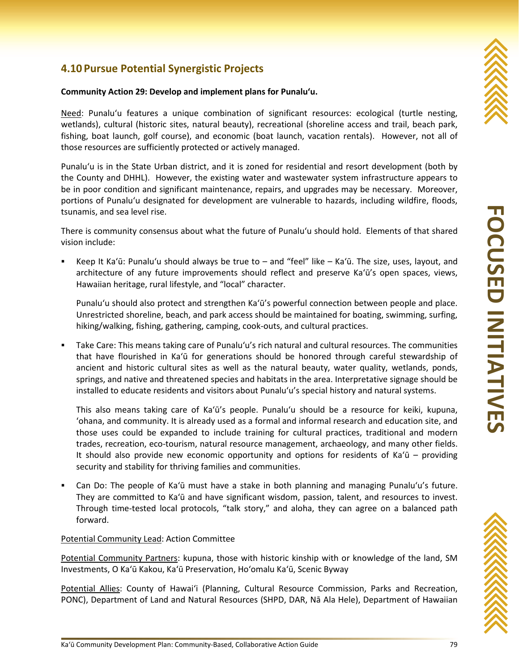# **4.10 Pursue Potential Synergistic Projects**

# **Community Action 29: Develop and implement plans for Punaluʻu.**

Need: Punalu'u features a unique combination of significant resources: ecological (turtle nesting, wetlands), cultural (historic sites, natural beauty), recreational (shoreline access and trail, beach park, fishing, boat launch, golf course), and economic (boat launch, vacation rentals). However, not all of those resources are sufficiently protected or actively managed.

Punaluʻu is in the State Urban district, and it is zoned for residential and resort development (both by the County and DHHL). However, the existing water and wastewater system infrastructure appears to be in poor condition and significant maintenance, repairs, and upgrades may be necessary. Moreover, portions of Punaluʻu designated for development are vulnerable to hazards, including wildfire, floods, tsunamis, and sea level rise.

There is community consensus about what the future of Punaluʻu should hold. Elements of that shared vision include:

Keep It Ka'ū: Punalu'u should always be true to  $-$  and "feel" like  $-$  Ka'ū. The size, uses, layout, and architecture of any future improvements should reflect and preserve Ka'ū's open spaces, views, Hawaiian heritage, rural lifestyle, and "local" character.

Punalu'u should also protect and strengthen Ka'ū's powerful connection between people and place. Unrestricted shoreline, beach, and park access should be maintained for boating, swimming, surfing, hiking/walking, fishing, gathering, camping, cook-outs, and cultural practices.

 Take Care: This means taking care of Punalu'u's rich natural and cultural resources. The communities that have flourished in Ka'ū for generations should be honored through careful stewardship of ancient and historic cultural sites as well as the natural beauty, water quality, wetlands, ponds, springs, and native and threatened species and habitats in the area. Interpretative signage should be installed to educate residents and visitors about Punalu'u's special history and natural systems.

This also means taking care of Ka'ū's people. Punalu'u should be a resource for keiki, kupuna, 'ohana, and community. It is already used as a formal and informal research and education site, and those uses could be expanded to include training for cultural practices, traditional and modern trades, recreation, eco-tourism, natural resource management, archaeology, and many other fields. It should also provide new economic opportunity and options for residents of Ka'ū – providing security and stability for thriving families and communities.

 Can Do: The people of Ka'ū must have a stake in both planning and managing Punalu'u's future. They are committed to Ka'ū and have significant wisdom, passion, talent, and resources to invest. Through time-tested local protocols, "talk story," and aloha, they can agree on a balanced path forward.

#### Potential Community Lead: Action Committee

Potential Community Partners: kupuna, those with historic kinship with or knowledge of the land, SM Investments, O Ka'ū Kakou, Ka'ū Preservation, Ho'omalu Ka'ū, Scenic Byway

Potential Allies: County of Hawai'i (Planning, Cultural Resource Commission, Parks and Recreation, PONC), Department of Land and Natural Resources (SHPD, DAR, Nā Ala Hele), Department of Hawaiian